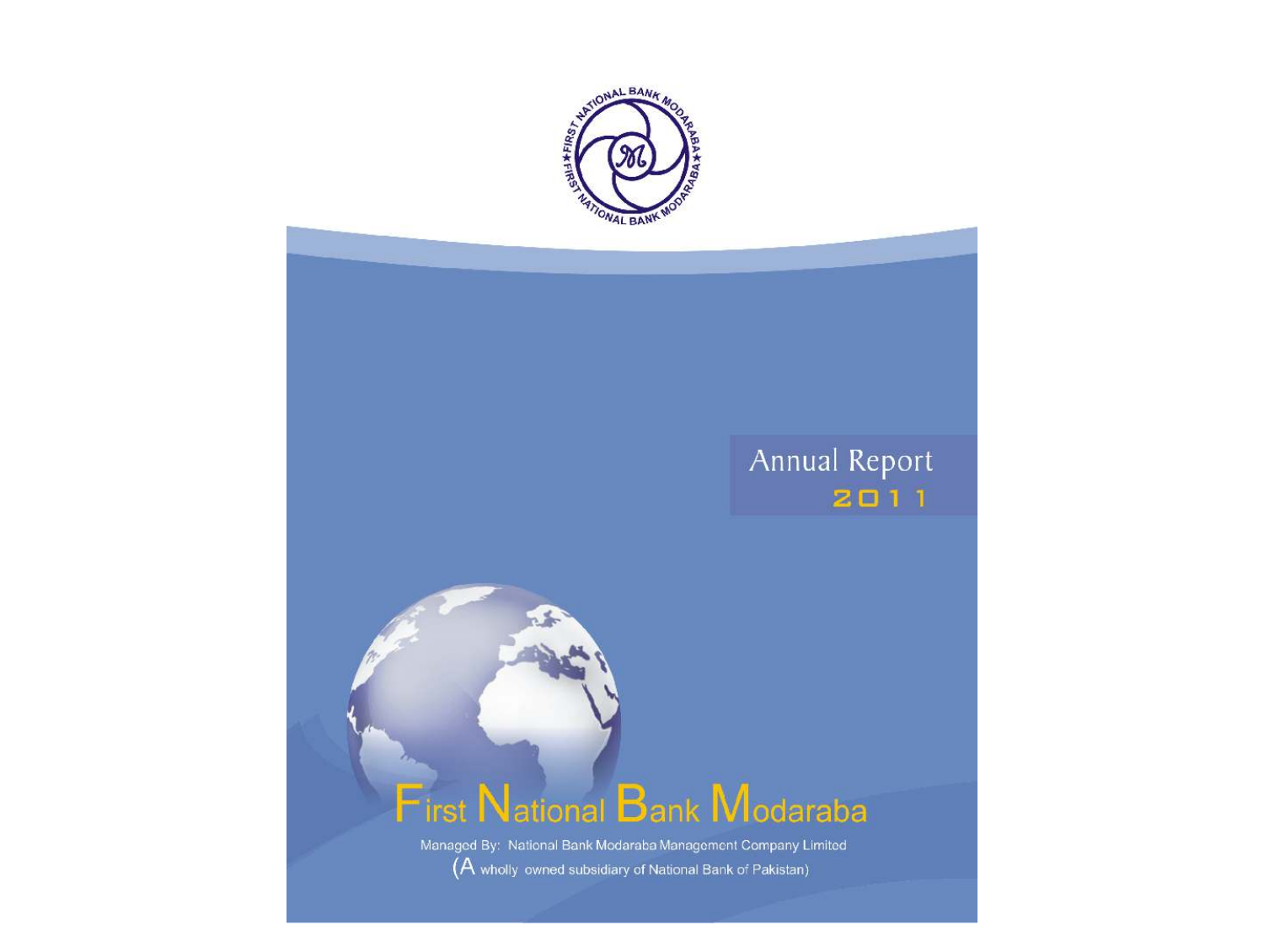

# Annual Report  $2011$



 $\leq$ 

Managed By: National Bank Modaraba Management Company Limited (A wholly owned subsidiary of National Bank of Pakistan)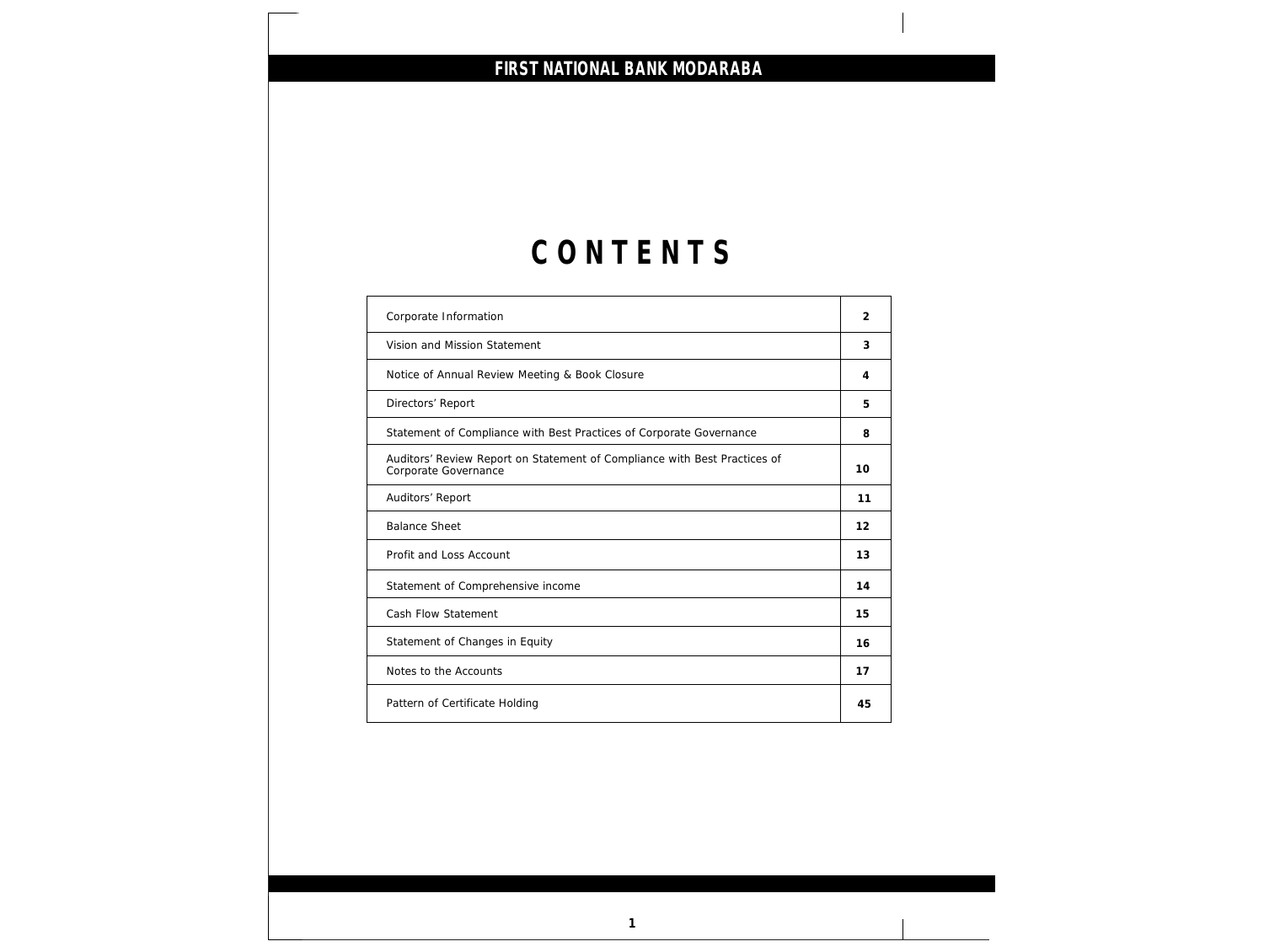# **C O N T E N T S**

| Corporate Information                                                                             | 2  |
|---------------------------------------------------------------------------------------------------|----|
| Vision and Mission Statement                                                                      | 3  |
| Notice of Annual Review Meeting & Book Closure                                                    | 4  |
| Directors' Report                                                                                 | 5  |
| Statement of Compliance with Best Practices of Corporate Governance                               | 8  |
| Auditors' Review Report on Statement of Compliance with Best Practices of<br>Corporate Governance | 10 |
| Auditors' Report                                                                                  | 11 |
| <b>Balance Sheet</b>                                                                              | 12 |
| Profit and Loss Account                                                                           | 13 |
| Statement of Comprehensive income                                                                 | 14 |
| Cash Flow Statement                                                                               | 15 |
| Statement of Changes in Equity                                                                    | 16 |
| Notes to the Accounts                                                                             | 17 |
| Pattern of Certificate Holding                                                                    | 45 |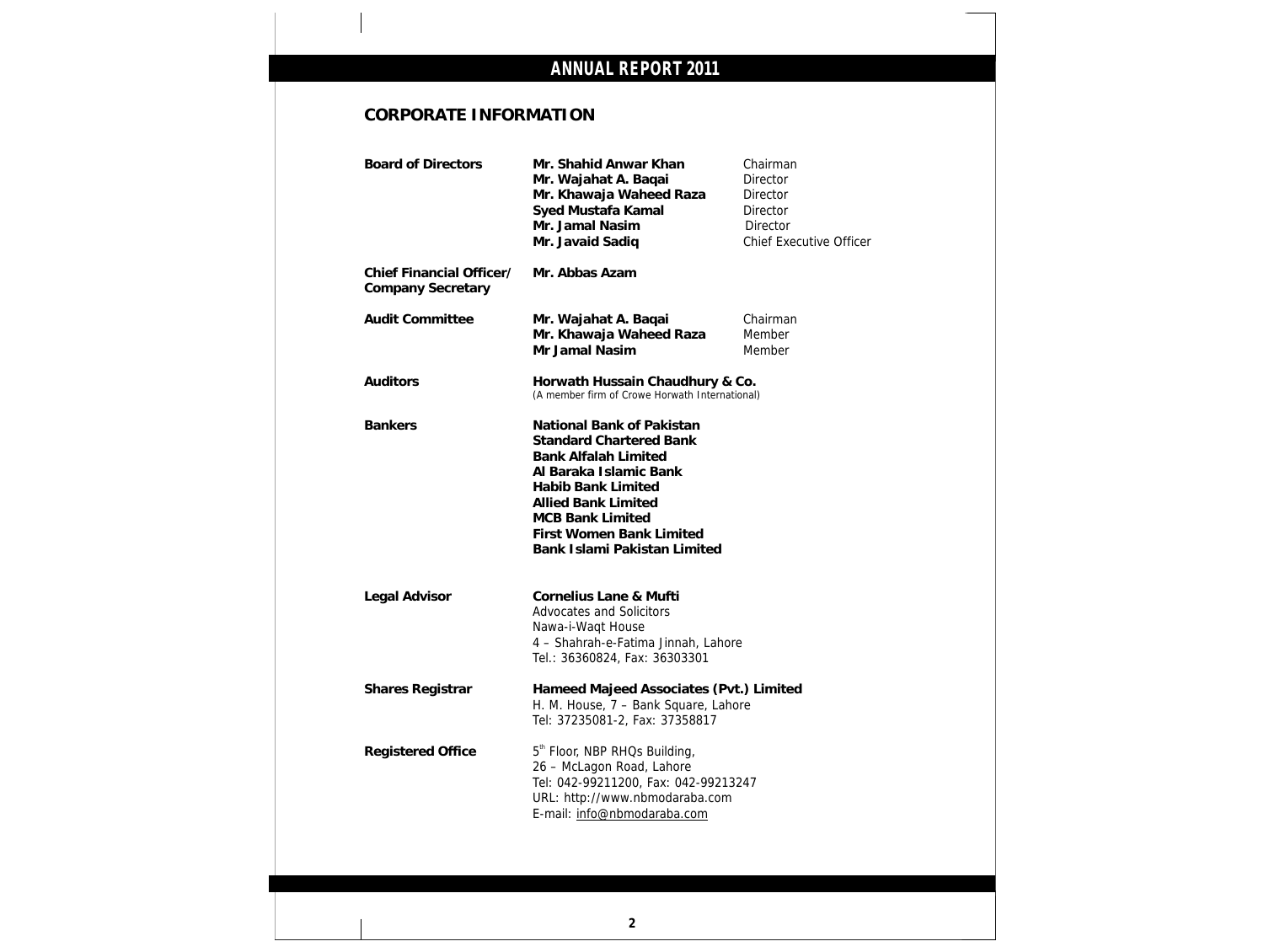## **CORPORATE INFORMATION**

|                                                      | Mr. Shahid Anwar Khan<br>Mr. Wajahat A. Baqai<br>Mr. Khawaja Waheed Raza<br>Syed Mustafa Kamal<br>Mr. Jamal Nasim<br>Mr. Javaid Sadiq                                                                                                                                  | Chairman<br><b>Director</b><br>Director<br>Director<br>Director<br><b>Chief Executive Officer</b> |
|------------------------------------------------------|------------------------------------------------------------------------------------------------------------------------------------------------------------------------------------------------------------------------------------------------------------------------|---------------------------------------------------------------------------------------------------|
| Chief Financial Officer/<br><b>Company Secretary</b> | Mr. Abbas Azam                                                                                                                                                                                                                                                         |                                                                                                   |
| <b>Audit Committee</b>                               | Mr. Wajahat A. Baqai<br>Mr. Khawaja Waheed Raza<br>Mr Jamal Nasim                                                                                                                                                                                                      | Chairman<br>Member<br>Member                                                                      |
| Auditors                                             | Horwath Hussain Chaudhury & Co.<br>(A member firm of Crowe Horwath International)                                                                                                                                                                                      |                                                                                                   |
| <b>Bankers</b>                                       | National Bank of Pakistan<br><b>Standard Chartered Bank</b><br><b>Bank Alfalah Limited</b><br>Al Baraka Islamic Bank<br><b>Habib Bank Limited</b><br><b>Allied Bank Limited</b><br><b>MCB Bank Limited</b><br>First Women Bank Limited<br>Bank Islami Pakistan Limited |                                                                                                   |
| Legal Advisor                                        | Cornelius Lane & Mufti<br>Advocates and Solicitors<br>Nawa-i-Waqt House<br>4 - Shahrah-e-Fatima Jinnah, Lahore<br>Tel.: 36360824, Fax: 36303301                                                                                                                        |                                                                                                   |
| Shares Registrar                                     | Hameed Majeed Associates (Pvt.) Limited<br>H. M. House, 7 - Bank Square, Lahore<br>Tel: 37235081-2, Fax: 37358817                                                                                                                                                      |                                                                                                   |
| <b>Registered Office</b>                             | 5 <sup>th</sup> Floor, NBP RHQs Building,<br>26 - McLagon Road, Lahore<br>Tel: 042-99211200, Fax: 042-99213247<br>URL: http://www.nbmodaraba.com                                                                                                                       |                                                                                                   |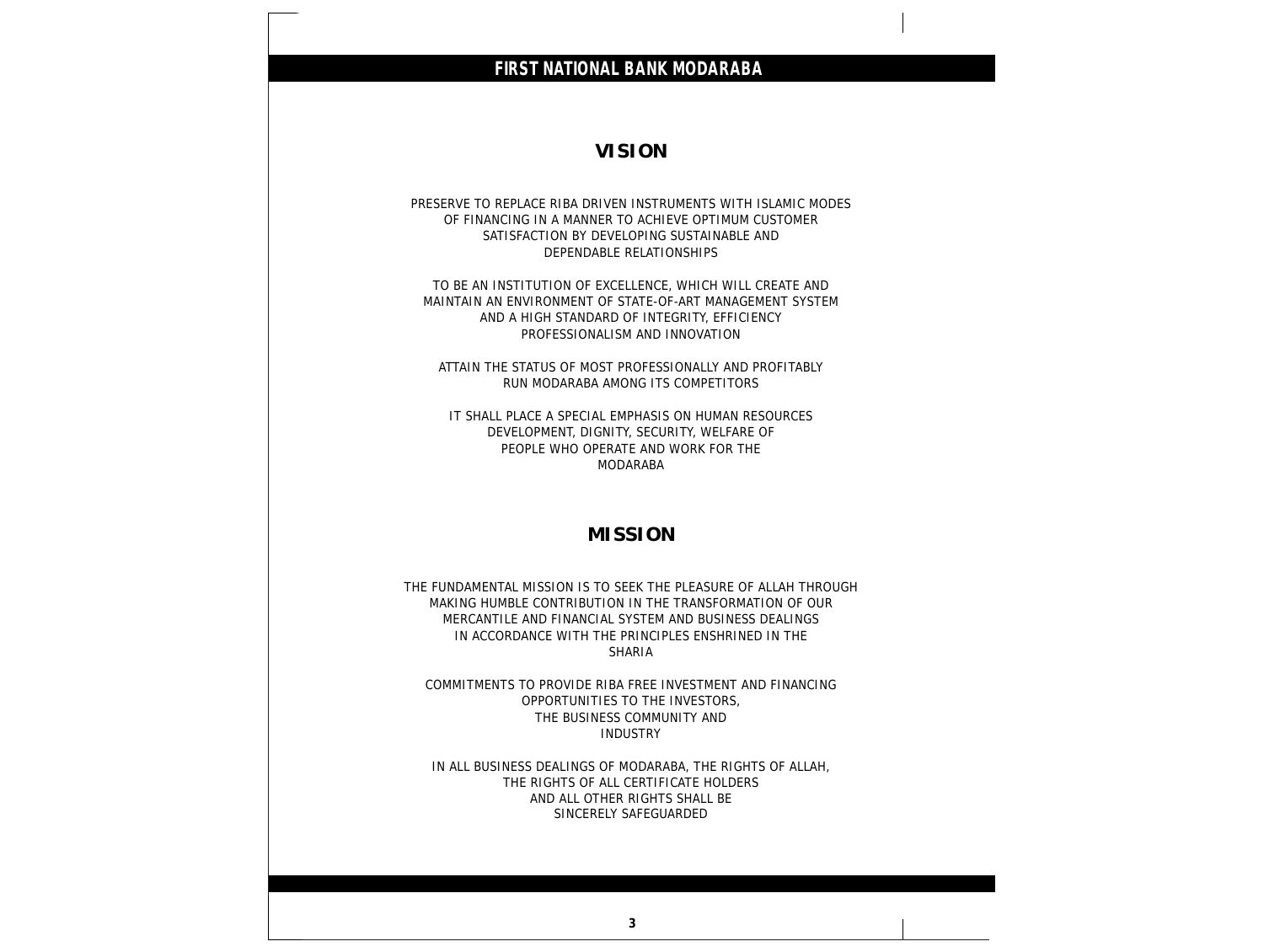## **FIRST NATIONAL BANK MODARABA VISION** PRESERVE TO REPLACE RIBA DRIVEN INSTRUMENTS WITH ISLAMIC MODES OF FINANCING IN A MANNER TO ACHIEVE OPTIMUM CUSTOMER SATISFACTION BY DEVELOPING SUSTAINABLE AND DEPENDABLE RELATIONSHIPS TO BE AN INSTITUTION OF EXCELLENCE, WHICH WILL CREATE AND MAINTAIN AN ENVIRONMENT OF STATE-OF-ART MANAGEMENT SYSTEM AND A HIGH STANDARD OF INTEGRITY, EFFICIENCY PROFESSIONALISM AND INNOVATION ATTAIN THE STATUS OF MOST PROFESSIONALLY AND PROFITABLY RUN MODARABA AMONG ITS COMPETITORS IT SHALL PLACE A SPECIAL EMPHASIS ON HUMAN RESOURCES DEVELOPMENT, DIGNITY, SECURITY, WELFARE OF PEOPLE WHO OPERATE AND WORK FOR THE MODARABA **MISSION** THE FUNDAMENTAL MISSION IS TO SEEK THE PLEASURE OF ALLAH THROUGH MAKING HUMBLE CONTRIBUTION IN THE TRANSFORMATION OF OUR MERCANTILE AND FINANCIAL SYSTEM AND BUSINESS DEALINGS IN ACCORDANCE WITH THE PRINCIPLES ENSHRINED IN THE SHARIA COMMITMENTS TO PROVIDE RIBA FREE INVESTMENT AND FINANCING OPPORTUNITIES TO THE INVESTORS, THE BUSINESS COMMUNITY AND INDUSTRY IN ALL BUSINESS DEALINGS OF MODARABA, THE RIGHTS OF ALLAH, THE RIGHTS OF ALL CERTIFICATE HOLDERS AND ALL OTHER RIGHTS SHALL BE SINCERELY SAFEGUARDED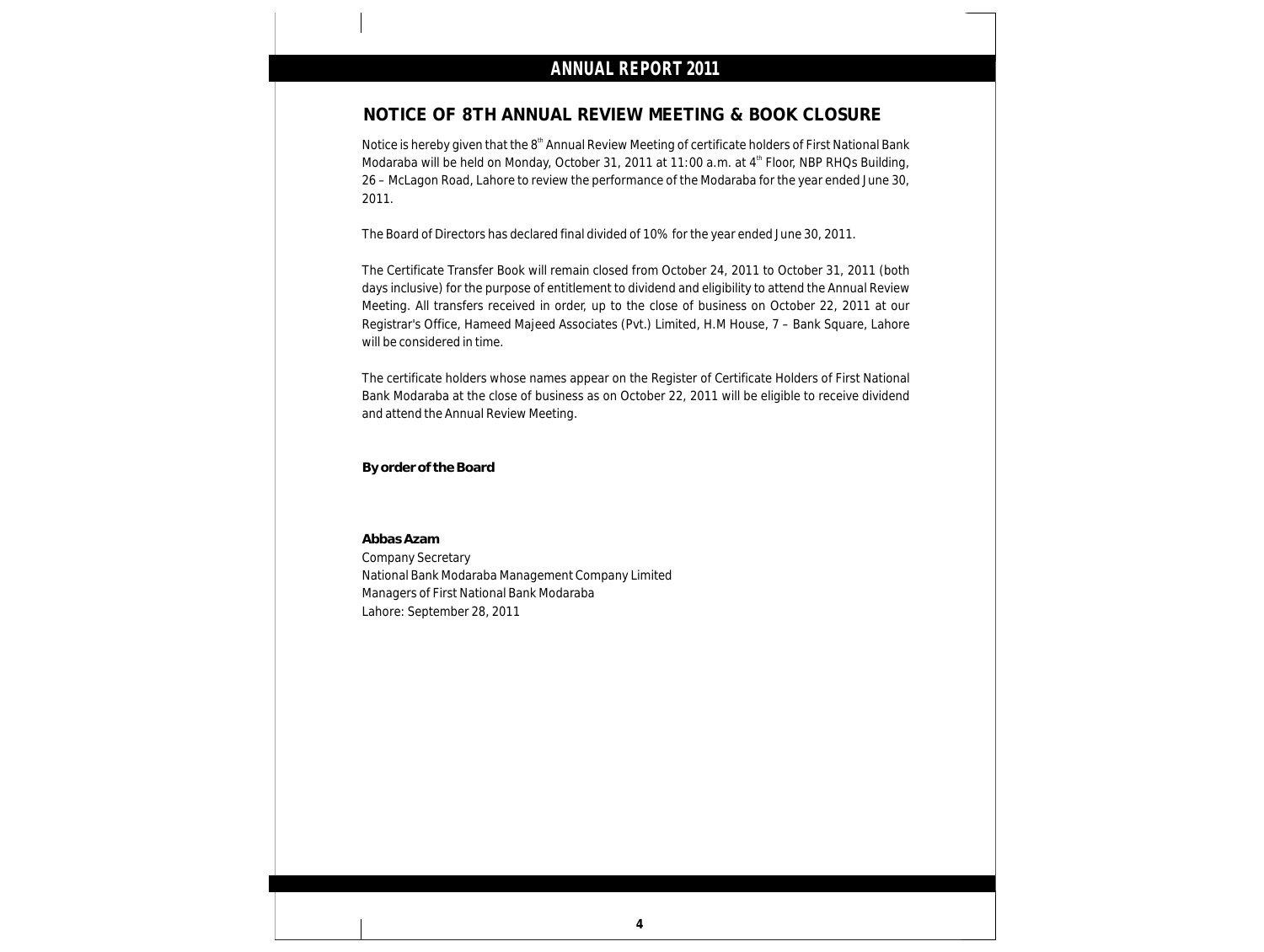### **NOTICE OF 8TH ANNUAL REVIEW MEETING & BOOK CLOSURE**

Notice is hereby given that the 8<sup>th</sup> Annual Review Meeting of certificate holders of First National Bank Modaraba will be held on Monday, October 31, 2011 at 11:00 a.m. at 4<sup>th</sup> Floor, NBP RHQs Building, 26 – McLagon Road, Lahore to review the performance of the Modaraba for the year ended June 30, 2011.

The Board of Directors has declared final divided of 10% for the year ended June 30, 2011.

The Certificate Transfer Book will remain closed from October 24, 2011 to October 31, 2011 (both days inclusive) for the purpose of entitlement to dividend and eligibility to attend the Annual Review Meeting. All transfers received in order, up to the close of business on October 22, 2011 at our Registrar's Office, Hameed Majeed Associates (Pvt.) Limited, H.M House, 7 – Bank Square, Lahore will be considered in time.

The certificate holders whose names appear on the Register of Certificate Holders of First National Bank Modaraba at the close of business as on October 22, 2011 will be eligible to receive dividend and attend the Annual Review Meeting.

**By order of the Board**

**Abbas Azam** Company Secretary National Bank Modaraba Management Company Limited Managers of First National Bank Modaraba Lahore: September 28, 2011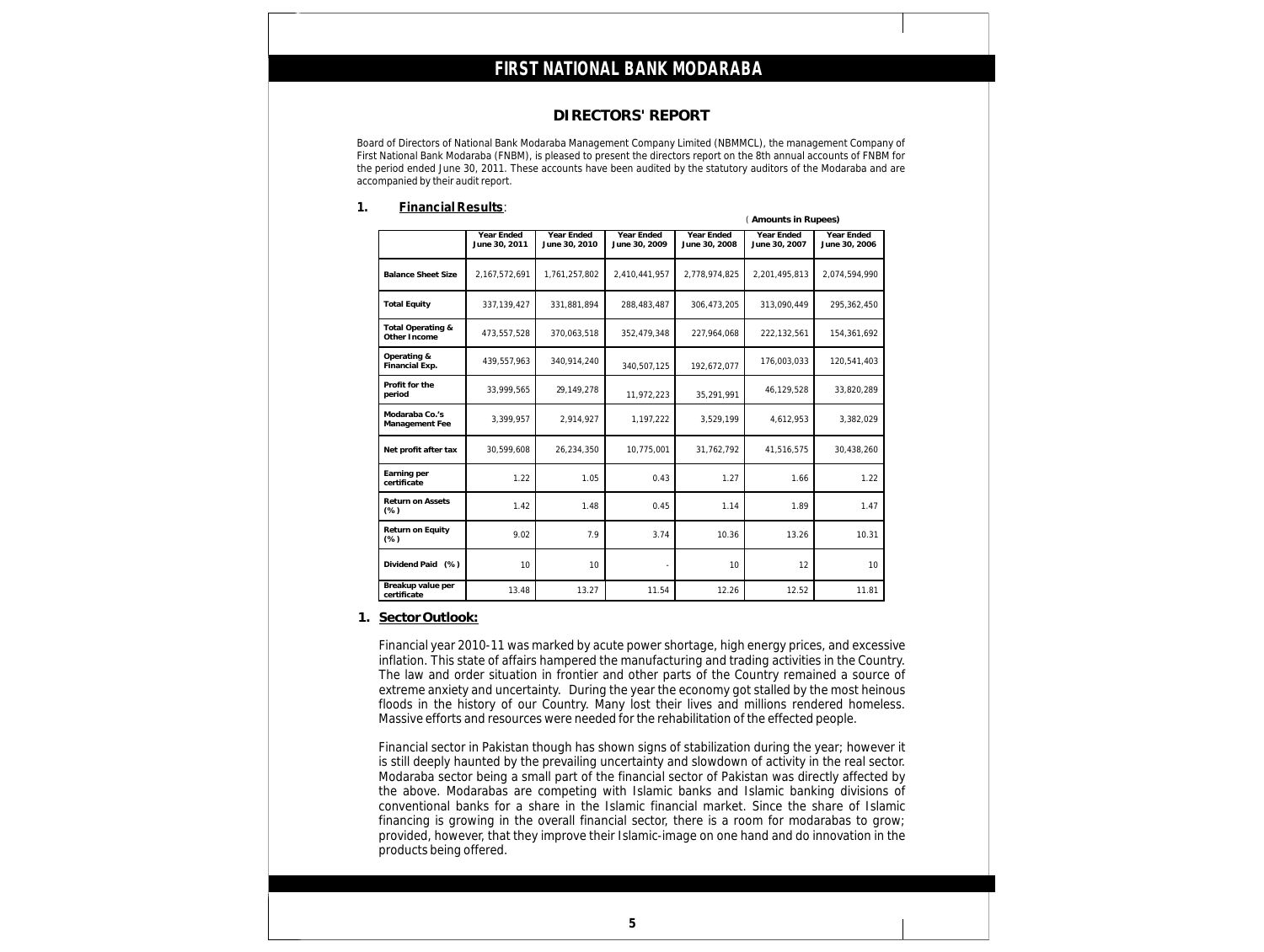### **DIRECTORS' REPORT**

Board of Directors of National Bank Modaraba Management Company Limited (NBMMCL), the management Company of First National Bank Modaraba (FNBM), is pleased to present the directors report on the 8th annual accounts of FNBM for the period ended June 30, 2011. These accounts have been audited by the statutory auditors of the Modaraba and are accompanied by their audit report.

### **1. Financial Results**:

|                                   |                             |                             |                             |                             | (Amounts in Rupees)         |                             |
|-----------------------------------|-----------------------------|-----------------------------|-----------------------------|-----------------------------|-----------------------------|-----------------------------|
|                                   | Year Ended<br>June 30, 2011 | Year Ended<br>June 30, 2010 | Year Ended<br>June 30, 2009 | Year Ended<br>June 30, 2008 | Year Ended<br>June 30, 2007 | Year Ended<br>June 30, 2006 |
| <b>Balance Sheet Size</b>         | 2,167,572,691               | 1,761,257,802               | 2,410,441,957               | 2,778,974,825               | 2,201,495,813               | 2,074,594,990               |
| <b>Total Equity</b>               | 337,139,427                 | 331.881.894                 | 288,483,487                 | 306,473,205                 | 313.090.449                 | 295,362,450                 |
| Total Operating &<br>Other Income | 473,557,528                 | 370,063,518                 | 352,479,348                 | 227,964,068                 | 222,132,561                 | 154,361,692                 |
| Operating &<br>Financial Exp.     | 439,557,963                 | 340,914,240                 | 340,507,125                 | 192,672,077                 | 176,003,033                 | 120,541,403                 |
| Profit for the<br>period          | 33,999,565                  | 29,149,278                  | 11,972,223                  | 35,291,991                  | 46,129,528                  | 33,820,289                  |
| Modaraba Co.'s<br>Management Fee  | 3,399,957                   | 2,914,927                   | 1,197,222                   | 3,529,199                   | 4,612,953                   | 3,382,029                   |
| Net profit after tax              | 30,599,608                  | 26,234,350                  | 10,775,001                  | 31,762,792                  | 41,516,575                  | 30,438,260                  |
| Earning per<br>certificate        | 1.22                        | 1.05                        | 0.43                        | 1.27                        | 1.66                        | 1.22                        |
| Return on Assets<br>(% )          | 1.42                        | 1.48                        | 0.45                        | 1.14                        | 1.89                        | 1.47                        |
| Return on Equity<br>(% )          | 9.02                        | 7.9                         | 3.74                        | 10.36                       | 13.26                       | 10.31                       |
| Dividend Paid (%)                 | 10                          | 10                          |                             | 10                          | 12                          | 10                          |
| Breakup value per<br>certificate  | 13.48                       | 13.27                       | 11.54                       | 12.26                       | 12.52                       | 11.81                       |

### **1. Sector Outlook:**

Financial year 2010-11 was marked by acute power shortage, high energy prices, and excessive inflation. This state of affairs hampered the manufacturing and trading activities in the Country. The law and order situation in frontier and other parts of the Country remained a source of extreme anxiety and uncertainty. During the year the economy got stalled by the most heinous floods in the history of our Country. Many lost their lives and millions rendered homeless. Massive efforts and resources were needed for the rehabilitation of the effected people.

Financial sector in Pakistan though has shown signs of stabilization during the year; however it is still deeply haunted by the prevailing uncertainty and slowdown of activity in the real sector. Modaraba sector being a small part of the financial sector of Pakistan was directly affected by the above. Modarabas are competing with Islamic banks and Islamic banking divisions of conventional banks for a share in the Islamic financial market. Since the share of Islamic financing is growing in the overall financial sector, there is a room for modarabas to grow; provided, however, that they improve their Islamic-image on one hand and do innovation in the products being offered.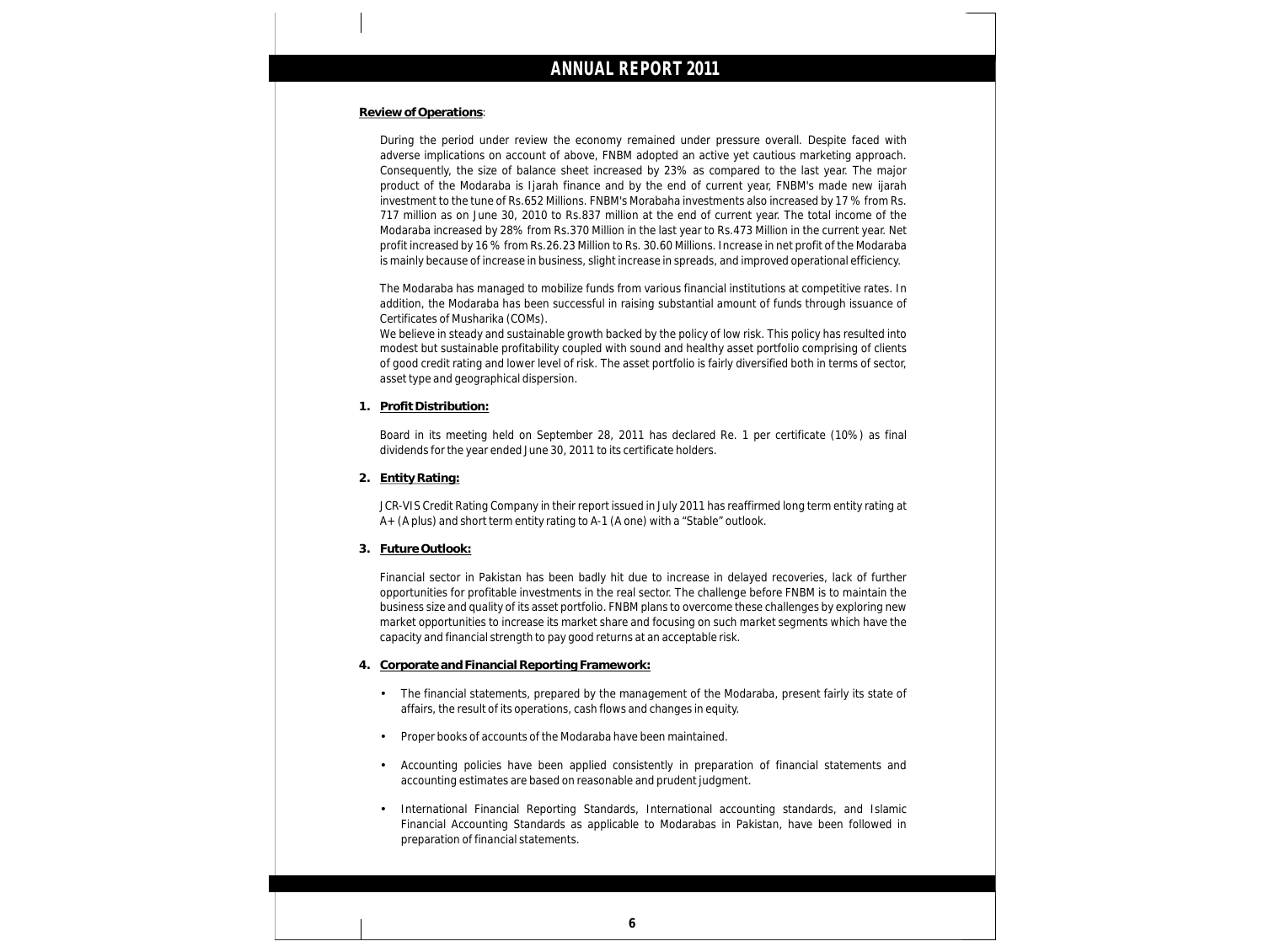### **Review of Operations**:

During the period under review the economy remained under pressure overall. Despite faced with adverse implications on account of above, FNBM adopted an active yet cautious marketing approach. Consequently, the size of balance sheet increased by 23% as compared to the last year. The major product of the Modaraba is Ijarah finance and by the end of current year, FNBM's made new ijarah investment to the tune of Rs.652 Millions. FNBM's Morabaha investments also increased by 17 % from Rs. 717 million as on June 30, 2010 to Rs.837 million at the end of current year. The total income of the Modaraba increased by 28% from Rs.370 Million in the last year to Rs.473 Million in the current year. Net profit increased by 16 % from Rs.26.23 Million to Rs. 30.60 Millions. Increase in net profit of the Modaraba is mainly because of increase in business, slight increase in spreads, and improved operational efficiency.

The Modaraba has managed to mobilize funds from various financial institutions at competitive rates. In addition, the Modaraba has been successful in raising substantial amount of funds through issuance of Certificates of Musharika (COMs).

We believe in steady and sustainable growth backed by the policy of low risk. This policy has resulted into modest but sustainable profitability coupled with sound and healthy asset portfolio comprising of clients of good credit rating and lower level of risk. The asset portfolio is fairly diversified both in terms of sector, asset type and geographical dispersion.

**1. Profit Distribution:**

Board in its meeting held on September 28, 2011 has declared Re. 1 per certificate (10%) as final dividends for the year ended June 30, 2011 to its certificate holders.

**2. Entity Rating:**

JCR-VIS Credit Rating Company in their report issued in July 2011 has reaffirmed long term entity rating at A+ (A plus) and short term entity rating to A-1 (A one) with a "Stable" outlook.

**3. Future Outlook:**

Financial sector in Pakistan has been badly hit due to increase in delayed recoveries, lack of further opportunities for profitable investments in the real sector. The challenge before FNBM is to maintain the business size and quality of its asset portfolio. FNBM plans to overcome these challenges by exploring new market opportunities to increase its market share and focusing on such market segments which have the capacity and financial strength to pay good returns at an acceptable risk.

- **4. Corporate and Financial Reporting Framework:**
	- •The financial statements, prepared by the management of the Modaraba, present fairly its state of affairs, the result of its operations, cash flows and changes in equity.
	- •Proper books of accounts of the Modaraba have been maintained.
	- •Accounting policies have been applied consistently in preparation of financial statements and accounting estimates are based on reasonable and prudent judgment.
	- •International Financial Reporting Standards, International accounting standards, and Islamic Financial Accounting Standards as applicable to Modarabas in Pakistan, have been followed in preparation of financial statements.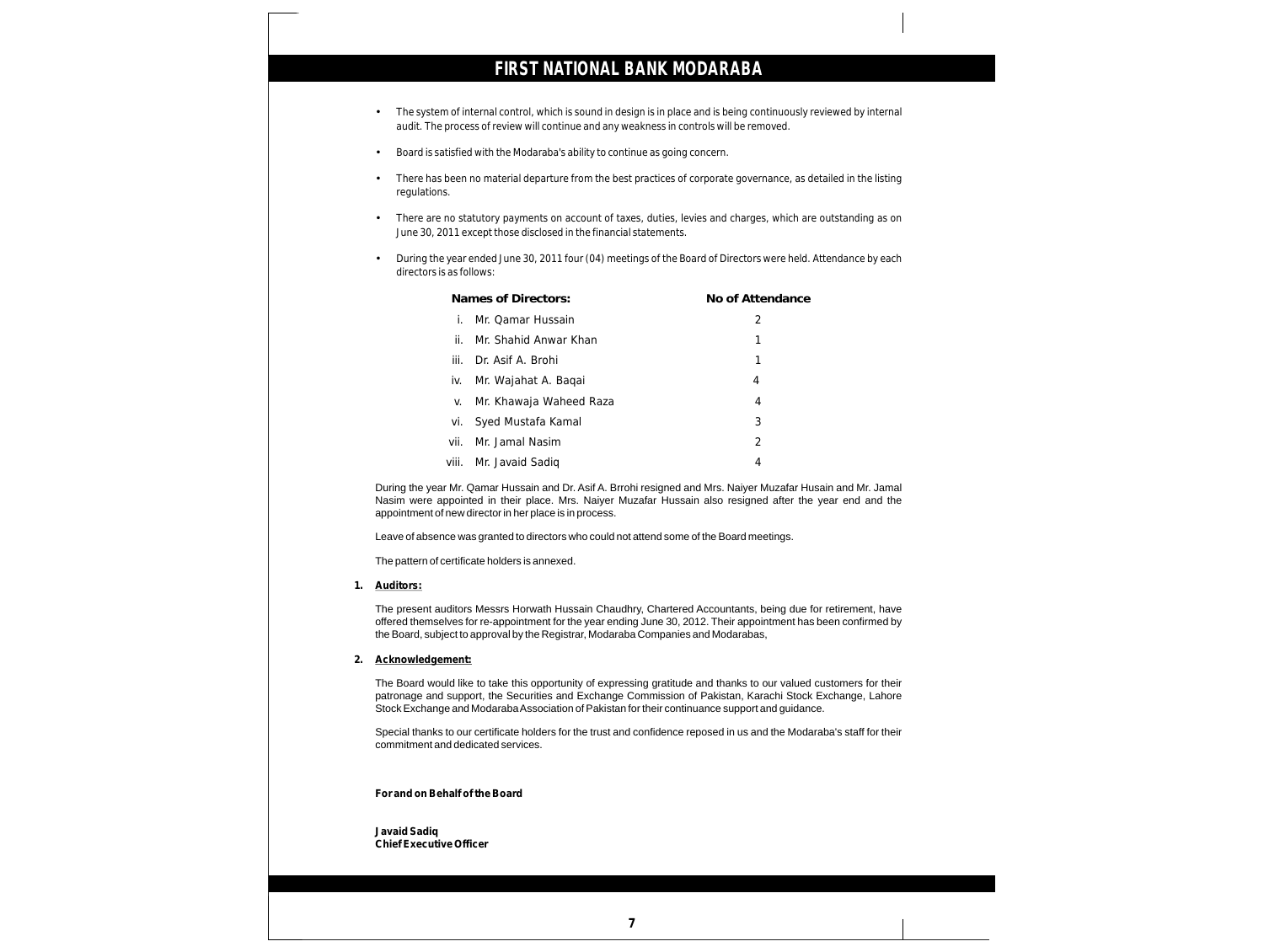- •The system of internal control, which is sound in design is in place and is being continuously reviewed by internal audit. The process of review will continue and any weakness in controls will be removed.
- •Board is satisfied with the Modaraba's ability to continue as going concern.
- •There has been no material departure from the best practices of corporate governance, as detailed in the listing regulations.
- •There are no statutory payments on account of taxes, duties, levies and charges, which are outstanding as on June 30, 2011 except those disclosed in the financial statements.
- •During the year ended June 30, 2011 four (04) meetings of the Board of Directors were held. Attendance by each directors is as follows:

|       | Names of Directors:     | No of Attendance |
|-------|-------------------------|------------------|
|       | Mr. Oamar Hussain       | 2                |
| ii.   | Mr. Shahid Anwar Khan   | 1                |
| iii.  | Dr. Asif A. Brohi       | 1                |
| İV.   | Mr. Wajahat A. Baqai    | 4                |
| V.    | Mr. Khawaja Waheed Raza | 4                |
| vi.   | Syed Mustafa Kamal      | 3                |
| vii.  | Mr. Jamal Nasim         | $\mathcal{P}$    |
| viii. | Mr. Javaid Sadiq        | 4                |

During the year Mr. Qamar Hussain and Dr. Asif A. Brrohi resigned and Mrs. Naiyer Muzafar Husain and Mr. Jamal Nasim were appointed in their place. Mrs. Naiyer Muzafar Hussain also resigned after the year end and the appointment of new director in her place is in process.

Leave of absence was granted to directors who could not attend some of the Board meetings.

The pattern of certificate holders is annexed.

#### **1. Auditors:**

The present auditors Messrs Horwath Hussain Chaudhry, Chartered Accountants, being due for retirement, have offered themselves for re-appointment for the year ending June 30, 2012. Their appointment has been confirmed by the Board, subject to approval by the Registrar, Modaraba Companies and Modarabas,

#### **2. Acknowledgement:**

The Board would like to take this opportunity of expressing gratitude and thanks to our valued customers for their patronage and support, the Securities and Exchange Commission of Pakistan, Karachi Stock Exchange, Lahore Stock Exchange and Modaraba Association of Pakistan for their continuance support and guidance.

Special thanks to our certificate holders for the trust and confidence reposed in us and the Modaraba's staff for their commitment and dedicated services.

**For and on Behalf of the Board**

**Javaid Sadiq Chief Executive Officer**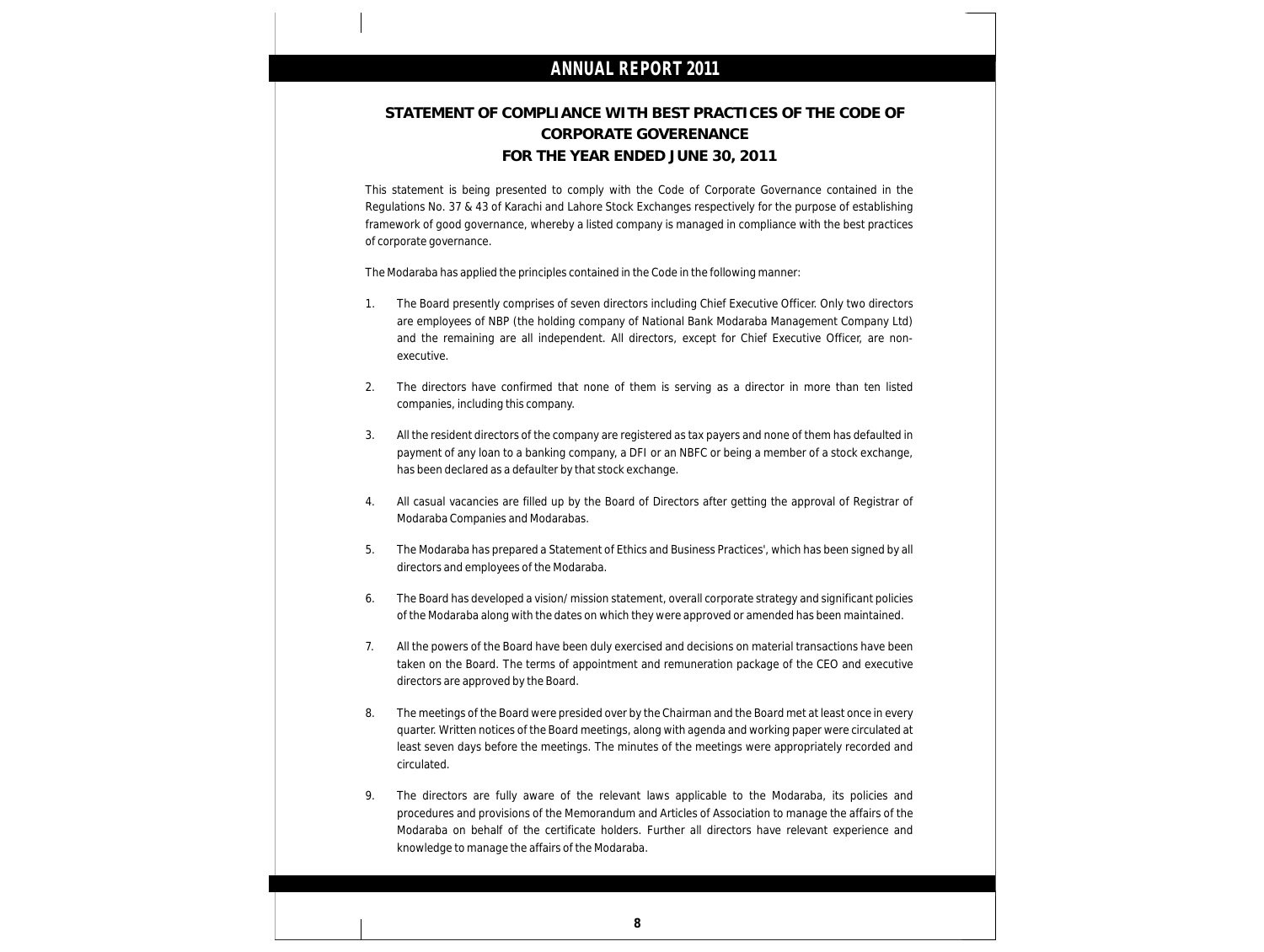### **STATEMENT OF COMPLIANCE WITH BEST PRACTICES OF THE CODE OF CORPORATE GOVERENANCE FOR THE YEAR ENDED JUNE 30, 2011**

This statement is being presented to comply with the Code of Corporate Governance contained in the Regulations No. 37 & 43 of Karachi and Lahore Stock Exchanges respectively for the purpose of establishing framework of good governance, whereby a listed company is managed in compliance with the best practices of corporate governance.

The Modaraba has applied the principles contained in the Code in the following manner:

- 1. The Board presently comprises of seven directors including Chief Executive Officer. Only two directors are employees of NBP (the holding company of National Bank Modaraba Management Company Ltd) and the remaining are all independent. All directors, except for Chief Executive Officer, are nonexecutive.
- 2. The directors have confirmed that none of them is serving as a director in more than ten listed companies, including this company.
- 3. All the resident directors of the company are registered as tax payers and none of them has defaulted in payment of any loan to a banking company, a DFI or an NBFC or being a member of a stock exchange, has been declared as a defaulter by that stock exchange.
- 4. All casual vacancies are filled up by the Board of Directors after getting the approval of Registrar of Modaraba Companies and Modarabas.
- 5. The Modaraba has prepared a Statement of Ethics and Business Practices', which has been signed by all directors and employees of the Modaraba.
- 6. The Board has developed a vision/ mission statement, overall corporate strategy and significant policies of the Modaraba along with the dates on which they were approved or amended has been maintained.
- 7. All the powers of the Board have been duly exercised and decisions on material transactions have been taken on the Board. The terms of appointment and remuneration package of the CEO and executive directors are approved by the Board.
- 8. The meetings of the Board were presided over by the Chairman and the Board met at least once in every quarter. Written notices of the Board meetings, along with agenda and working paper were circulated at least seven days before the meetings. The minutes of the meetings were appropriately recorded and circulated.
- 9. The directors are fully aware of the relevant laws applicable to the Modaraba, its policies and procedures and provisions of the Memorandum and Articles of Association to manage the affairs of the Modaraba on behalf of the certificate holders. Further all directors have relevant experience and knowledge to manage the affairs of the Modaraba.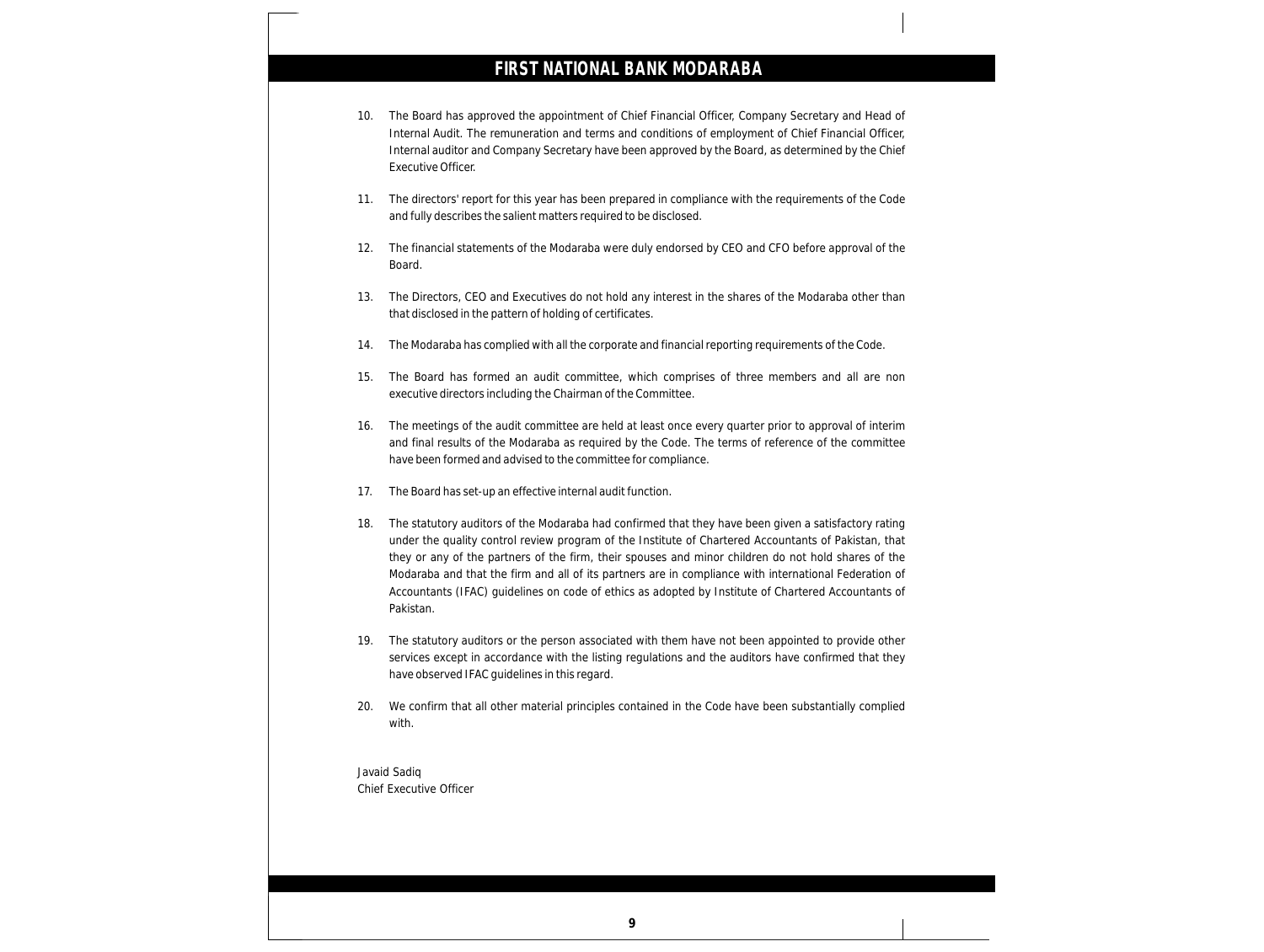- 10. The Board has approved the appointment of Chief Financial Officer, Company Secretary and Head of Internal Audit. The remuneration and terms and conditions of employment of Chief Financial Officer, Internal auditor and Company Secretary have been approved by the Board, as determined by the Chief Executive Officer.
- 11. The directors' report for this year has been prepared in compliance with the requirements of the Code and fully describes the salient matters required to be disclosed.
- 12. The financial statements of the Modaraba were duly endorsed by CEO and CFO before approval of the Board.
- 13. The Directors, CEO and Executives do not hold any interest in the shares of the Modaraba other than that disclosed in the pattern of holding of certificates.
- 14. The Modaraba has complied with all the corporate and financial reporting requirements of the Code.
- 15. The Board has formed an audit committee, which comprises of three members and all are non executive directors including the Chairman of the Committee.
- 16. The meetings of the audit committee are held at least once every quarter prior to approval of interim and final results of the Modaraba as required by the Code. The terms of reference of the committee have been formed and advised to the committee for compliance.
- 17. The Board has set-up an effective internal audit function.
- 18. The statutory auditors of the Modaraba had confirmed that they have been given a satisfactory rating under the quality control review program of the Institute of Chartered Accountants of Pakistan, that they or any of the partners of the firm, their spouses and minor children do not hold shares of the Modaraba and that the firm and all of its partners are in compliance with international Federation of Accountants (IFAC) guidelines on code of ethics as adopted by Institute of Chartered Accountants of Pakistan.
- 19. The statutory auditors or the person associated with them have not been appointed to provide other services except in accordance with the listing regulations and the auditors have confirmed that they have observed IFAC guidelines in this regard.
- 20. We confirm that all other material principles contained in the Code have been substantially complied with.
- Javaid Sadiq Chief Executive Officer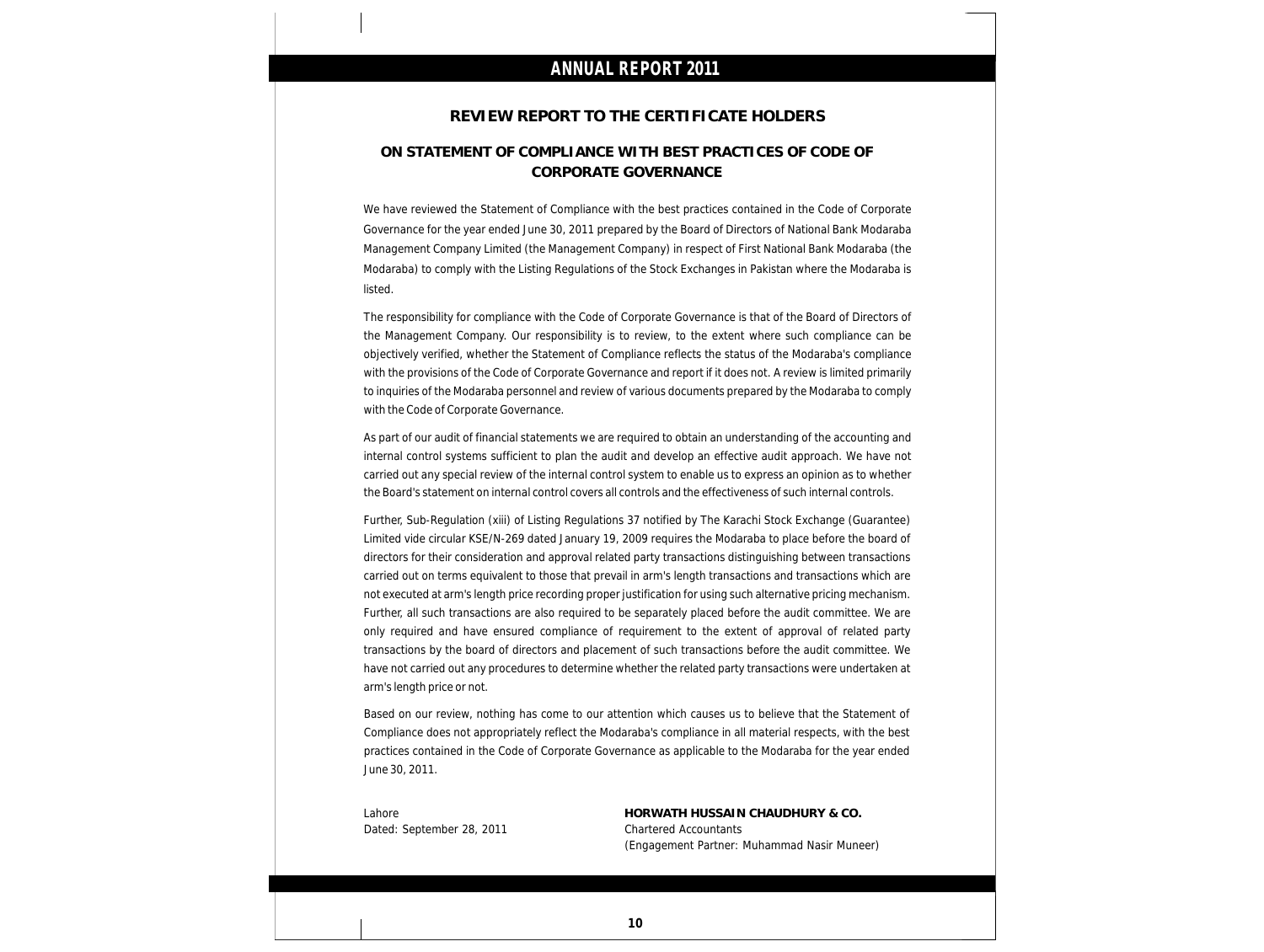### **REVIEW REPORT TO THE CERTIFICATE HOLDERS**

### **ON STATEMENT OF COMPLIANCE WITH BEST PRACTICES OF CODE OF CORPORATE GOVERNANCE**

We have reviewed the Statement of Compliance with the best practices contained in the Code of Corporate Governance for the year ended June 30, 2011 prepared by the Board of Directors of National Bank Modaraba Management Company Limited (the Management Company) in respect of First National Bank Modaraba (the Modaraba) to comply with the Listing Regulations of the Stock Exchanges in Pakistan where the Modaraba is listed.

The responsibility for compliance with the Code of Corporate Governance is that of the Board of Directors of the Management Company. Our responsibility is to review, to the extent where such compliance can be objectively verified, whether the Statement of Compliance reflects the status of the Modaraba's compliance with the provisions of the Code of Corporate Governance and report if it does not. A review is limited primarily to inquiries of the Modaraba personnel and review of various documents prepared by the Modaraba to comply with the Code of Corporate Governance.

As part of our audit of financial statements we are required to obtain an understanding of the accounting and internal control systems sufficient to plan the audit and develop an effective audit approach. We have not carried out any special review of the internal control system to enable us to express an opinion as to whether the Board's statement on internal control covers all controls and the effectiveness of such internal controls.

Further, Sub-Regulation (xiii) of Listing Regulations 37 notified by The Karachi Stock Exchange (Guarantee) Limited vide circular KSE/N-269 dated January 19, 2009 requires the Modaraba to place before the board of directors for their consideration and approval related party transactions distinguishing between transactions carried out on terms equivalent to those that prevail in arm's length transactions and transactions which are not executed at arm's length price recording proper justification for using such alternative pricing mechanism. Further, all such transactions are also required to be separately placed before the audit committee. We are only required and have ensured compliance of requirement to the extent of approval of related party transactions by the board of directors and placement of such transactions before the audit committee. We have not carried out any procedures to determine whether the related party transactions were undertaken at arm's length price or not.

Based on our review, nothing has come to our attention which causes us to believe that the Statement of Compliance does not appropriately reflect the Modaraba's compliance in all material respects, with the best practices contained in the Code of Corporate Governance as applicable to the Modaraba for the year ended June 30, 2011.

Dated: September 28, 2011 Chartered Accountants

Lahore **HORWATH HUSSAIN CHAUDHURY & CO.** (Engagement Partner: Muhammad Nasir Muneer)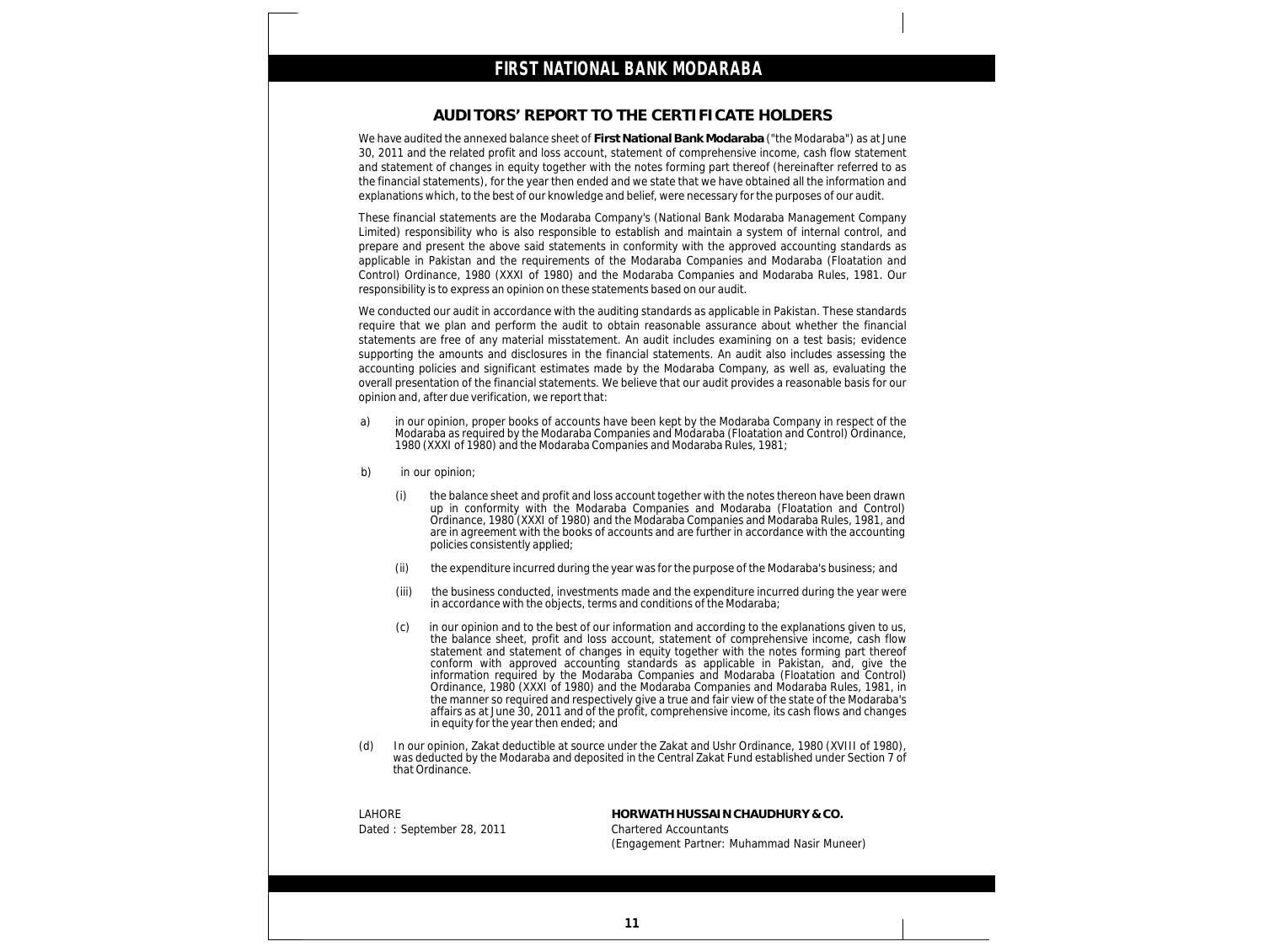### **AUDITORS' REPORT TO THE CERTIFICATE HOLDERS**

We have audited the annexed balance sheet of **First National Bank Modaraba** ("the Modaraba") as at June 30, 2011 and the related profit and loss account, statement of comprehensive income, cash flow statement and statement of changes in equity together with the notes forming part thereof (hereinafter referred to as the financial statements), for the year then ended and we state that we have obtained all the information and explanations which, to the best of our knowledge and belief, were necessary for the purposes of our audit.

These financial statements are the Modaraba Company's (National Bank Modaraba Management Company Limited) responsibility who is also responsible to establish and maintain a system of internal control, and prepare and present the above said statements in conformity with the approved accounting standards as applicable in Pakistan and the requirements of the Modaraba Companies and Modaraba (Floatation and Control) Ordinance, 1980 (XXXI of 1980) and the Modaraba Companies and Modaraba Rules, 1981. Our responsibility is to express an opinion on these statements based on our audit.

We conducted our audit in accordance with the auditing standards as applicable in Pakistan. These standards require that we plan and perform the audit to obtain reasonable assurance about whether the financial statements are free of any material misstatement. An audit includes examining on a test basis; evidence supporting the amounts and disclosures in the financial statements. An audit also includes assessing the accounting policies and significant estimates made by the Modaraba Company, as well as, evaluating the overall presentation of the financial statements. We believe that our audit provides a reasonable basis for our opinion and, after due verification, we report that:

- a) in our opinion, proper books of accounts have been kept by the Modaraba Company in respect of the Modaraba as required by the Modaraba Companies and Modaraba (Floatation and Control) Ordinance, 1980 (XXXI of 1980) and the Modaraba Companies and Modaraba Rules, 1981;
- b) in our opinion;
	- (i) the balance sheet and profit and loss account together with the notes thereon have been drawn up in conformity with the Modaraba Companies and Modaraba (Floatation and Control) Ordinance, 1980 (XXXI of 1980) and the Modaraba Companies and Modaraba Rules, 1981, and are in agreement with the books of accounts and are further in accordance with the accounting policies consistently applied;
	- (ii) the expenditure incurred during the year was for the purpose of the Modaraba's business; and
	- (iii) the business conducted, investments made and the expenditure incurred during the year were in accordance with the objects, terms and conditions of the Modaraba;
	- (c) in our opinion and to the best of our information and according to the explanations given to us, the balance sheet, profit and loss account, statement of comprehensive income, cash flow statement and statement of changes in equity together with the notes forming part thereof conform with approved accounting standards as applicable in Pakistan, and, give the information required by the Modaraba Companies and Modaraba (Floatation and Control) Ordinance, 1980 (XXXI of 1980) and the Modaraba Companies and Modaraba Rules, 1981, in the manner so required and respectively give a true and fair view of the state of the Modaraba's affairs as at June 30, 2011 and of the profit, comprehensive income, its cash flows and changes in equity for the year then ended; and
- (d) In our opinion, Zakat deductible at source under the Zakat and Ushr Ordinance, 1980 (XVIII of 1980), was deducted by the Modaraba and deposited in the Central Zakat Fund established under Section 7 of that Ordinance.

Dated : September 28, 2011 Chartered Accountants

LAHORE **HORWATH HUSSAIN CHAUDHURY & CO.** (Engagement Partner: Muhammad Nasir Muneer)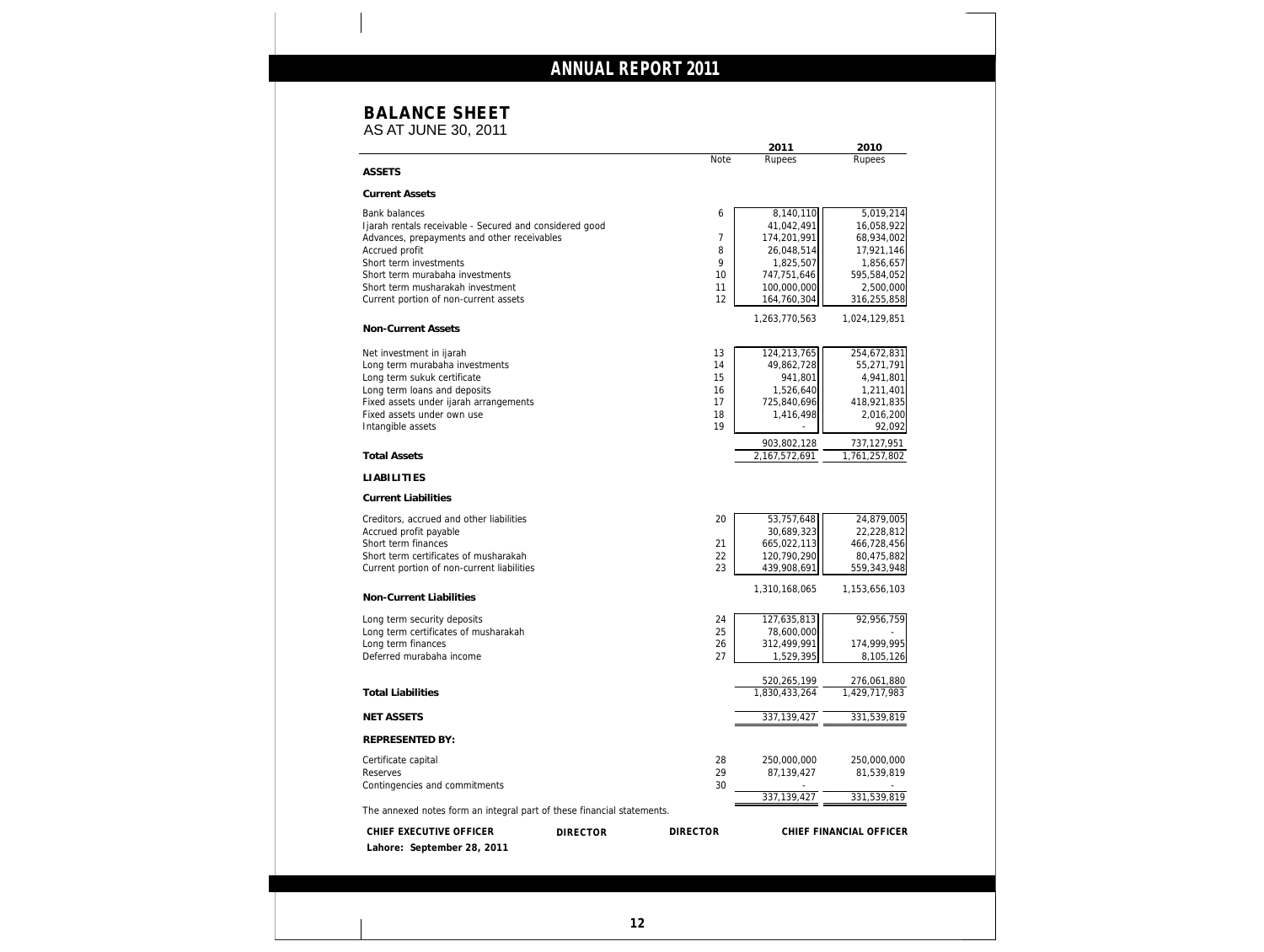### **BALANCE SHEET**

AS AT JUNE 30, 2011

|                                                                        |                 |                 | 2011          | 2010                    |
|------------------------------------------------------------------------|-----------------|-----------------|---------------|-------------------------|
| <b>ASSETS</b>                                                          |                 | <b>Note</b>     | Rupees        | Rupees                  |
| <b>Current Assets</b>                                                  |                 |                 |               |                         |
| <b>Bank balances</b>                                                   |                 | 6               | 8,140,110     | 5,019,214               |
| Ijarah rentals receivable - Secured and considered good                |                 |                 | 41,042,491    | 16,058,922              |
| Advances, prepayments and other receivables                            |                 | 7               | 174,201,991   | 68,934,002              |
| Accrued profit                                                         |                 | 8               | 26,048,514    | 17,921,146              |
| Short term investments                                                 |                 | 9               | 1,825,507     | 1,856,657               |
| Short term murabaha investments                                        |                 | 10              | 747,751,646   | 595,584,052             |
| Short term musharakah investment                                       |                 | 11              | 100,000,000   | 2,500,000               |
| Current portion of non-current assets                                  |                 | 12              | 164,760,304   | 316,255,858             |
|                                                                        |                 |                 | 1,263,770,563 | 1,024,129,851           |
| Non-Current Assets                                                     |                 |                 |               |                         |
| Net investment in ijarah                                               |                 | 13              | 124,213,765   | 254,672,831             |
| Long term murabaha investments                                         |                 | 14              | 49,862,728    | 55,271,791              |
| Long term sukuk certificate                                            |                 | 15              | 941,801       | 4,941,801               |
| Long term loans and deposits                                           |                 | 16              | 1,526,640     | 1,211,401               |
| Fixed assets under ijarah arrangements                                 |                 | 17              | 725,840,696   | 418,921,835             |
| Fixed assets under own use                                             |                 | 18              | 1,416,498     | 2,016,200               |
| Intangible assets                                                      |                 | 19              |               | 92,092                  |
|                                                                        |                 |                 | 903,802,128   | 737,127,951             |
| <b>Total Assets</b>                                                    |                 |                 | 2,167,572,691 | 1,761,257,802           |
| <b>LIABILITIES</b>                                                     |                 |                 |               |                         |
| <b>Current Liabilities</b>                                             |                 |                 |               |                         |
| Creditors, accrued and other liabilities                               |                 | 20              | 53,757,648    | 24,879,005              |
| Accrued profit payable                                                 |                 |                 | 30,689,323    | 22,228,812              |
| Short term finances                                                    |                 | 21              | 665,022,113   | 466,728,456             |
| Short term certificates of musharakah                                  |                 | 22              | 120,790,290   | 80,475,882              |
| Current portion of non-current liabilities                             |                 | 23              | 439,908,691   | 559,343,948             |
| Non-Current Liabilities                                                |                 |                 | 1,310,168,065 | 1,153,656,103           |
| Long term security deposits                                            |                 | 24              | 127,635,813   | 92,956,759              |
| Long term certificates of musharakah                                   |                 | 25              | 78,600,000    |                         |
| Long term finances                                                     |                 | 26              | 312,499,991   | 174,999,995             |
| Deferred murabaha income                                               |                 | 27              | 1,529,395     | 8,105,126               |
|                                                                        |                 |                 |               |                         |
|                                                                        |                 |                 | 520,265,199   | 276,061,880             |
| <b>Total Liabilities</b>                                               |                 |                 | 1,830,433,264 | 1,429,717,983           |
| <b>NET ASSETS</b>                                                      |                 |                 | 337, 139, 427 | 331,539,819             |
| <b>REPRESENTED BY:</b>                                                 |                 |                 |               |                         |
| Certificate capital                                                    |                 | 28              | 250,000,000   | 250,000,000             |
| Reserves                                                               |                 | 29              | 87,139,427    | 81,539,819              |
| Contingencies and commitments                                          |                 | 30              |               |                         |
| The annexed notes form an integral part of these financial statements. |                 |                 | 337,139,427   | 331,539,819             |
|                                                                        |                 |                 |               |                         |
| CHIEF EXECUTIVE OFFICER<br>Lahore: September 28, 2011                  | <b>DIRECTOR</b> | <b>DIRECTOR</b> |               | CHIEF FINANCIAL OFFICER |
|                                                                        |                 |                 |               |                         |
|                                                                        |                 |                 |               |                         |
|                                                                        |                 |                 |               |                         |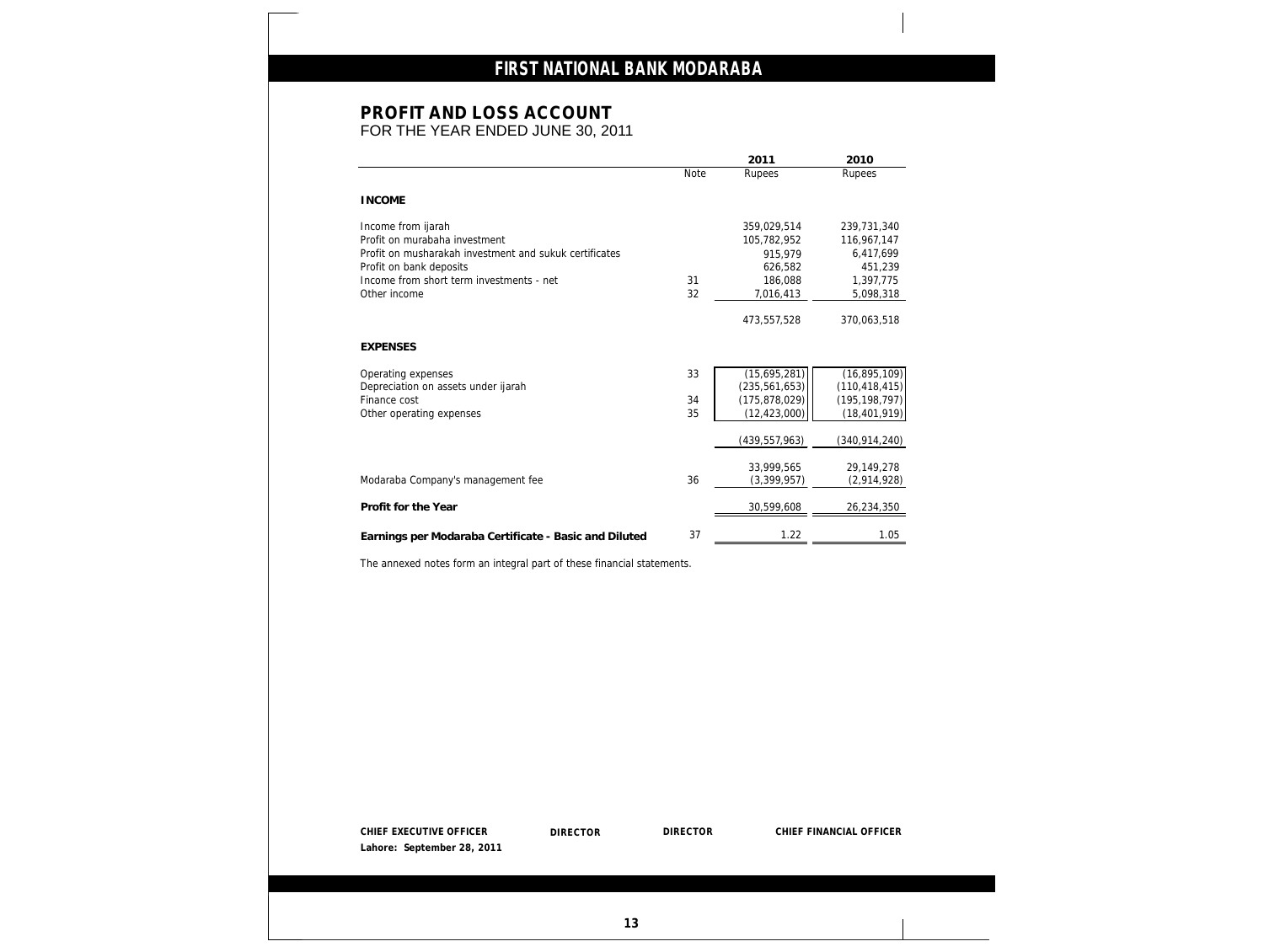## **PROFIT AND LOSS ACCOUNT**

FOR THE YEAR ENDED JUNE 30, 2011

|                                                                                                                                 |      | 2011            | 2010            |
|---------------------------------------------------------------------------------------------------------------------------------|------|-----------------|-----------------|
|                                                                                                                                 | Note | Rupees          | Rupees          |
| <b>INCOME</b>                                                                                                                   |      |                 |                 |
| Income from ijarah                                                                                                              |      | 359,029,514     | 239,731,340     |
| Profit on murabaha investment                                                                                                   |      | 105,782,952     | 116,967,147     |
| Profit on musharakah investment and sukuk certificates                                                                          |      | 915,979         | 6,417,699       |
| Profit on bank deposits                                                                                                         |      | 626,582         | 451,239         |
| Income from short term investments - net                                                                                        | 31   | 186,088         | 1,397,775       |
| Other income                                                                                                                    | 32   | 7,016,413       | 5,098,318       |
|                                                                                                                                 |      | 473,557,528     | 370,063,518     |
| <b>EXPENSES</b>                                                                                                                 |      |                 |                 |
| Operating expenses                                                                                                              | 33   | (15,695,281)    | (16,895,109)    |
| Depreciation on assets under ijarah                                                                                             |      | (235, 561, 653) | (110, 418, 415) |
| Finance cost                                                                                                                    | 34   | (175, 878, 029) | (195, 198, 797) |
| Other operating expenses                                                                                                        | 35   | (12, 423, 000)  | (18, 401, 919)  |
|                                                                                                                                 |      | (439, 557, 963) | (340, 914, 240) |
|                                                                                                                                 |      | 33,999,565      | 29,149,278      |
| Modaraba Company's management fee                                                                                               | 36   | (3, 399, 957)   | (2,914,928)     |
| Profit for the Year                                                                                                             |      | 30,599,608      | 26,234,350      |
|                                                                                                                                 |      |                 |                 |
|                                                                                                                                 | 37   | 1.22            |                 |
| Earnings per Modaraba Certificate - Basic and Diluted<br>The annexed notes form an integral part of these financial statements. |      |                 | 1.05            |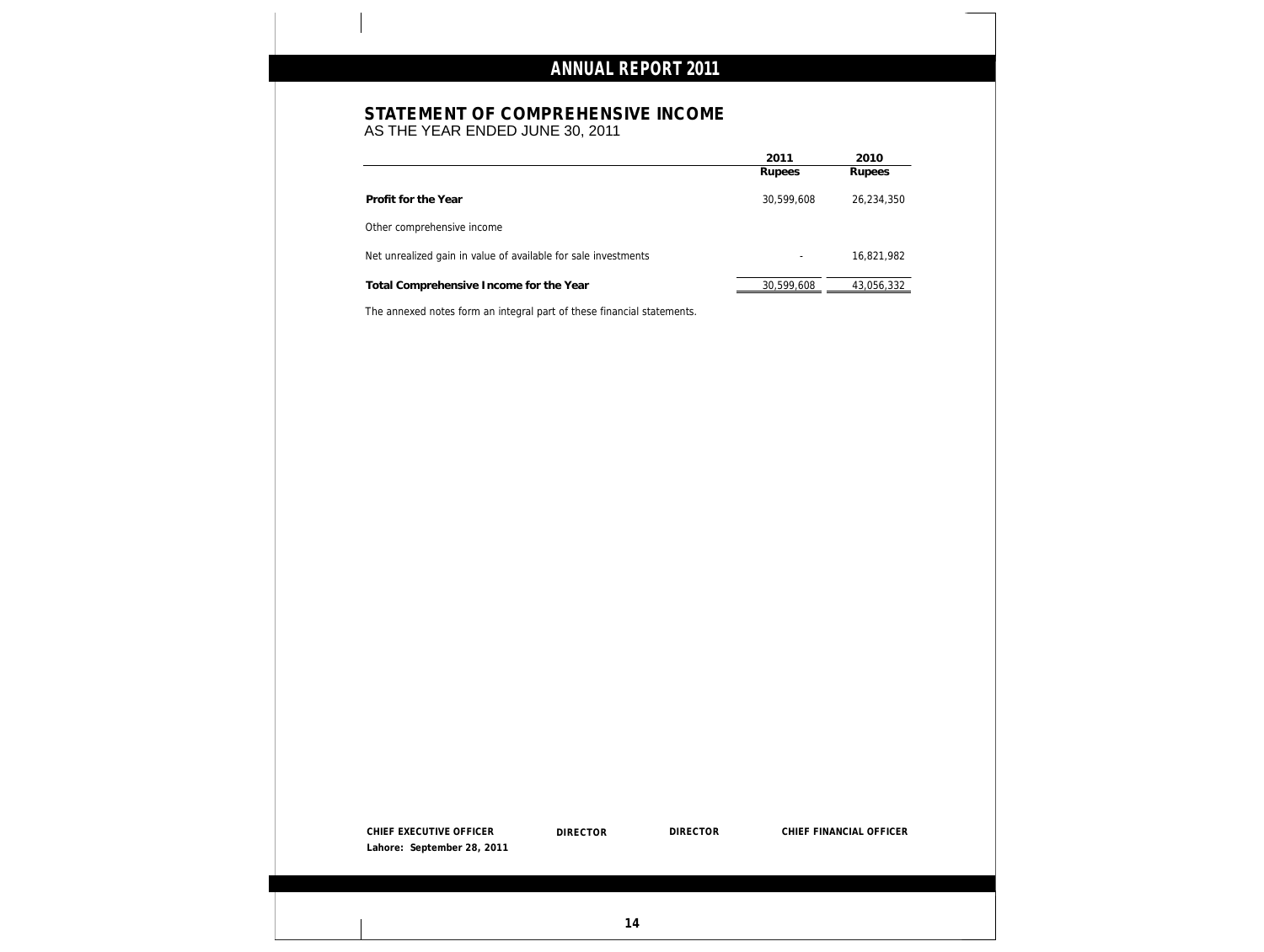### **STATEMENT OF COMPREHENSIVE INCOME**

AS THE YEAR ENDED JUNE 30, 2011

|                                                                | 2011                     | 2010       |
|----------------------------------------------------------------|--------------------------|------------|
|                                                                | Rupees                   | Rupees     |
| Profit for the Year                                            | 30,599,608               | 26,234,350 |
| Other comprehensive income                                     |                          |            |
| Net unrealized gain in value of available for sale investments | $\overline{\phantom{0}}$ | 16,821,982 |
| Total Comprehensive Income for the Year                        | 30,599,608               | 43,056,332 |

The annexed notes form an integral part of these financial statements.

| CHIEF EXECUTIVE OFFICER    | <b>DIRECTOR</b> | <b>DIRECTOR</b> | CHIEF FINANCIAL OFFICER |
|----------------------------|-----------------|-----------------|-------------------------|
| Lahore: September 28, 2011 |                 |                 |                         |
|                            |                 |                 |                         |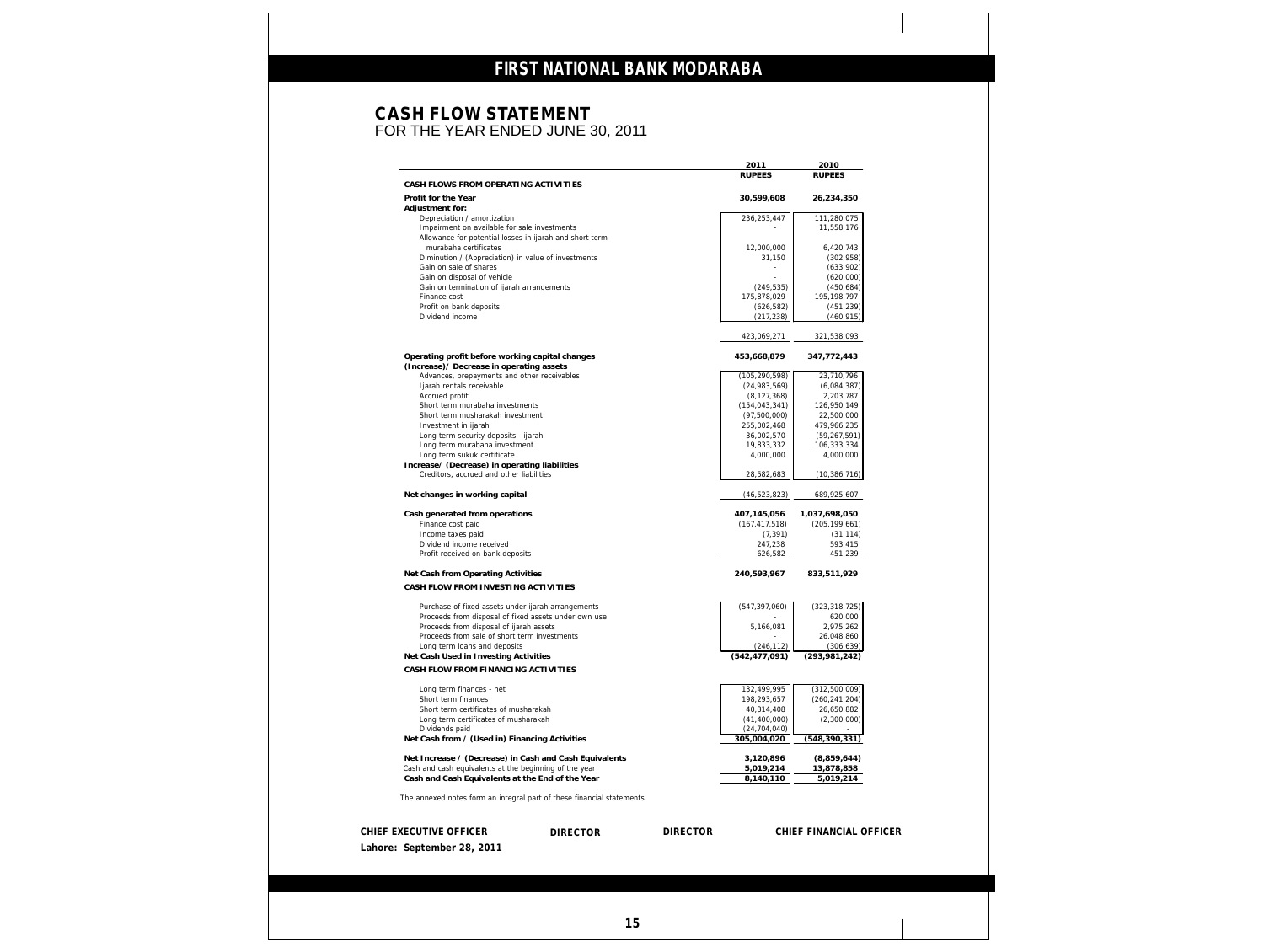### **CASH FLOW STATEMENT** FOR THE YEAR ENDED JUNE 30, 2011

|                                                                                                            |                 | 2011                    | 2010                       |
|------------------------------------------------------------------------------------------------------------|-----------------|-------------------------|----------------------------|
|                                                                                                            |                 | <b>RUPEES</b>           | <b>RUPEES</b>              |
| CASH FLOWS FROM OPERATING ACTIVITIES                                                                       |                 |                         |                            |
| Profit for the Year                                                                                        |                 | 30,599,608              | 26,234,350                 |
| Adjustment for:                                                                                            |                 |                         |                            |
| Depreciation / amortization<br>Impairment on available for sale investments                                |                 | 236,253,447             | 111,280,075<br>11,558,176  |
| Allowance for potential losses in ijarah and short term                                                    |                 |                         |                            |
| murabaha certificates                                                                                      |                 | 12,000,000              | 6,420,743                  |
| Diminution / (Appreciation) in value of investments                                                        |                 | 31,150                  | (302, 958)                 |
| Gain on sale of shares                                                                                     |                 |                         | (633,902)                  |
| Gain on disposal of vehicle                                                                                |                 |                         | (620,000)                  |
| Gain on termination of ijarah arrangements                                                                 |                 | (249, 535)              | (450, 684)                 |
| Finance cost                                                                                               |                 | 175,878,029             | 195, 198, 797              |
| Profit on bank deposits<br>Dividend income                                                                 |                 | (626, 582)              | (451, 239)                 |
|                                                                                                            |                 | (217, 238)              | (460, 915)                 |
|                                                                                                            |                 | 423,069,271             | 321,538,093                |
|                                                                                                            |                 |                         |                            |
| Operating profit before working capital changes<br>(Increase) / Decrease in operating assets               |                 | 453,668,879             | 347,772,443                |
| Advances, prepayments and other receivables                                                                |                 | (105, 290, 598)         | 23,710,796                 |
| Ijarah rentals receivable                                                                                  |                 | (24,983,569)            | (6,084,387)                |
| Accrued profit                                                                                             |                 | (8, 127, 368)           | 2,203,787                  |
| Short term murabaha investments                                                                            |                 | (154, 043, 341)         | 126,950,149                |
| Short term musharakah investment                                                                           |                 | (97,500,000)            | 22,500,000                 |
| Investment in ijarah                                                                                       |                 | 255,002,468             | 479,966,235                |
| Long term security deposits - ijarah<br>Long term murabaha investment                                      |                 | 36,002,570              | (59, 267, 591)             |
| Long term sukuk certificate                                                                                |                 | 19,833,332<br>4,000,000 | 106,333,334<br>4,000,000   |
| Increase/ (Decrease) in operating liabilities                                                              |                 |                         |                            |
| Creditors, accrued and other liabilities                                                                   |                 | 28,582,683              | (10, 386, 716)             |
| Net changes in working capital                                                                             |                 | (46, 523, 823)          | 689,925,607                |
| Cash generated from operations                                                                             |                 | 407,145,056             | 1,037,698,050              |
| Finance cost paid                                                                                          |                 | (167, 417, 518)         | (205, 199, 661)            |
| Income taxes paid                                                                                          |                 | (7, 391)                | (31, 114)                  |
| Dividend income received                                                                                   |                 | 247,238                 | 593,415                    |
| Profit received on bank deposits                                                                           |                 | 626,582                 | 451,239                    |
| Net Cash from Operating Activities                                                                         |                 | 240,593,967             | 833,511,929                |
| CASH FLOW FROM INVESTING ACTIVITIES                                                                        |                 |                         |                            |
|                                                                                                            |                 |                         |                            |
| Purchase of fixed assets under ijarah arrangements<br>Proceeds from disposal of fixed assets under own use |                 | (547, 397, 060)         | (323, 318, 725)<br>620,000 |
| Proceeds from disposal of ijarah assets                                                                    |                 | 5,166,081               | 2,975,262                  |
| Proceeds from sale of short term investments                                                               |                 |                         | 26,048,860                 |
| Long term loans and deposits                                                                               |                 | (246, 112)              | (306, 639)                 |
| Net Cash Used in Investing Activities                                                                      |                 | (542, 477, 091)         | (293,981,242)              |
| CASH FLOW FROM FINANCING ACTIVITIES                                                                        |                 |                         |                            |
| Long term finances - net                                                                                   |                 | 132,499,995             | (312,500,009)              |
| Short term finances                                                                                        |                 | 198,293,657             | (260, 241, 204)            |
| Short term certificates of musharakah                                                                      |                 | 40,314,408              | 26,650,882                 |
| Long term certificates of musharakah                                                                       |                 | (41, 400, 000)          | (2,300,000)                |
| Dividends paid                                                                                             |                 | (24, 704, 040)          |                            |
| Net Cash from / (Used in) Financing Activities                                                             |                 | 305,004,020             | (548, 390, 331)            |
| Net Increase / (Decrease) in Cash and Cash Equivalents                                                     |                 | 3,120,896               | (8,859,644)                |
| Cash and cash equivalents at the beginning of the year                                                     |                 | 5,019,214               | 13,878,858                 |
| Cash and Cash Equivalents at the End of the Year                                                           |                 | 8,140,110               | 5,019,214                  |
| The annexed notes form an integral part of these financial statements.                                     |                 |                         |                            |
|                                                                                                            |                 |                         |                            |
| CHIEF EXECUTIVE OFFICER<br>DIRECTOR                                                                        | <b>DIRECTOR</b> |                         | CHIEF FINANCIAL OFFICER    |
| Lahore: September 28, 2011                                                                                 |                 |                         |                            |
|                                                                                                            |                 |                         |                            |
|                                                                                                            |                 |                         |                            |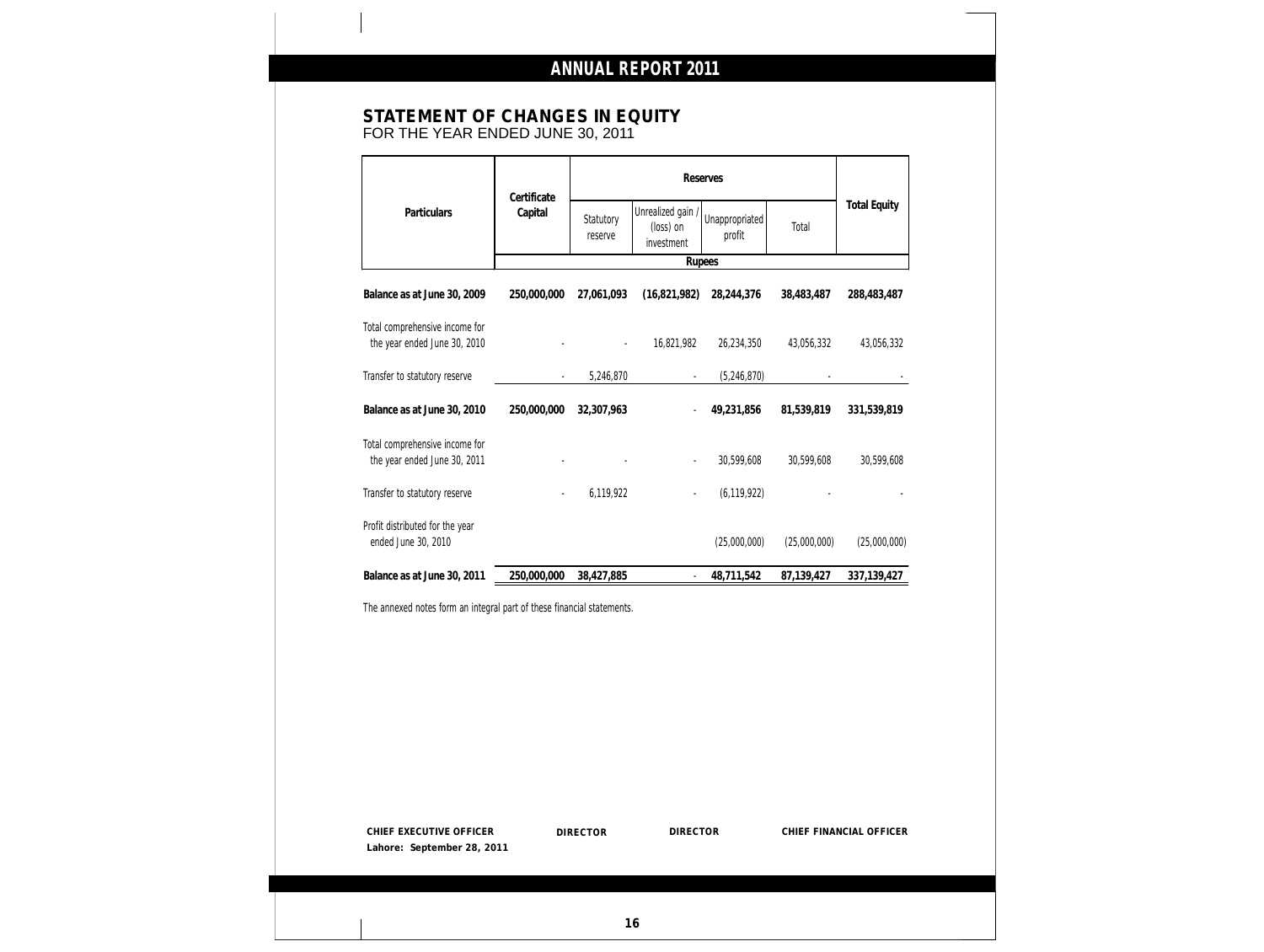### **STATEMENT OF CHANGES IN EQUITY** FOR THE YEAR ENDED JUNE 30, 2011

| Certificate<br>Capital<br>250,000,000<br>250,000,000 | Statutory<br>reserve<br>27,061,093<br>$\overline{\phantom{a}}$<br>5,246,870<br>32,307,963 | Unrealized gain /<br>(loss) on<br>investment<br>Rupees<br>(16, 821, 982)<br>16,821,982 | Unappropriated<br>profit<br>28,244,376<br>26,234,350<br>(5, 246, 870)  | Total<br>38,483,487<br>43,056,332 | <b>Total Equity</b><br>288,483,487<br>43,056,332 |
|------------------------------------------------------|-------------------------------------------------------------------------------------------|----------------------------------------------------------------------------------------|------------------------------------------------------------------------|-----------------------------------|--------------------------------------------------|
|                                                      |                                                                                           |                                                                                        |                                                                        |                                   |                                                  |
|                                                      |                                                                                           |                                                                                        |                                                                        |                                   |                                                  |
|                                                      |                                                                                           |                                                                                        |                                                                        |                                   |                                                  |
|                                                      |                                                                                           |                                                                                        |                                                                        |                                   |                                                  |
|                                                      |                                                                                           |                                                                                        |                                                                        |                                   |                                                  |
|                                                      |                                                                                           |                                                                                        | 49,231,856                                                             | 81,539,819                        | 331,539,819                                      |
|                                                      |                                                                                           |                                                                                        | 30,599,608                                                             | 30,599,608                        | 30,599,608                                       |
|                                                      | 6,119,922                                                                                 |                                                                                        | (6, 119, 922)                                                          |                                   |                                                  |
|                                                      |                                                                                           |                                                                                        | (25,000,000)                                                           | (25,000,000)                      | (25,000,000)                                     |
| 250,000,000                                          | 38,427,885                                                                                | $\blacksquare$                                                                         | 48,711,542                                                             | 87,139,427                        | 337, 139, 427                                    |
|                                                      |                                                                                           |                                                                                        |                                                                        |                                   |                                                  |
|                                                      |                                                                                           |                                                                                        |                                                                        |                                   |                                                  |
|                                                      |                                                                                           |                                                                                        | The annexed notes form an integral part of these financial statements. |                                   |                                                  |

**16**

**Lahore: September 28, 2011**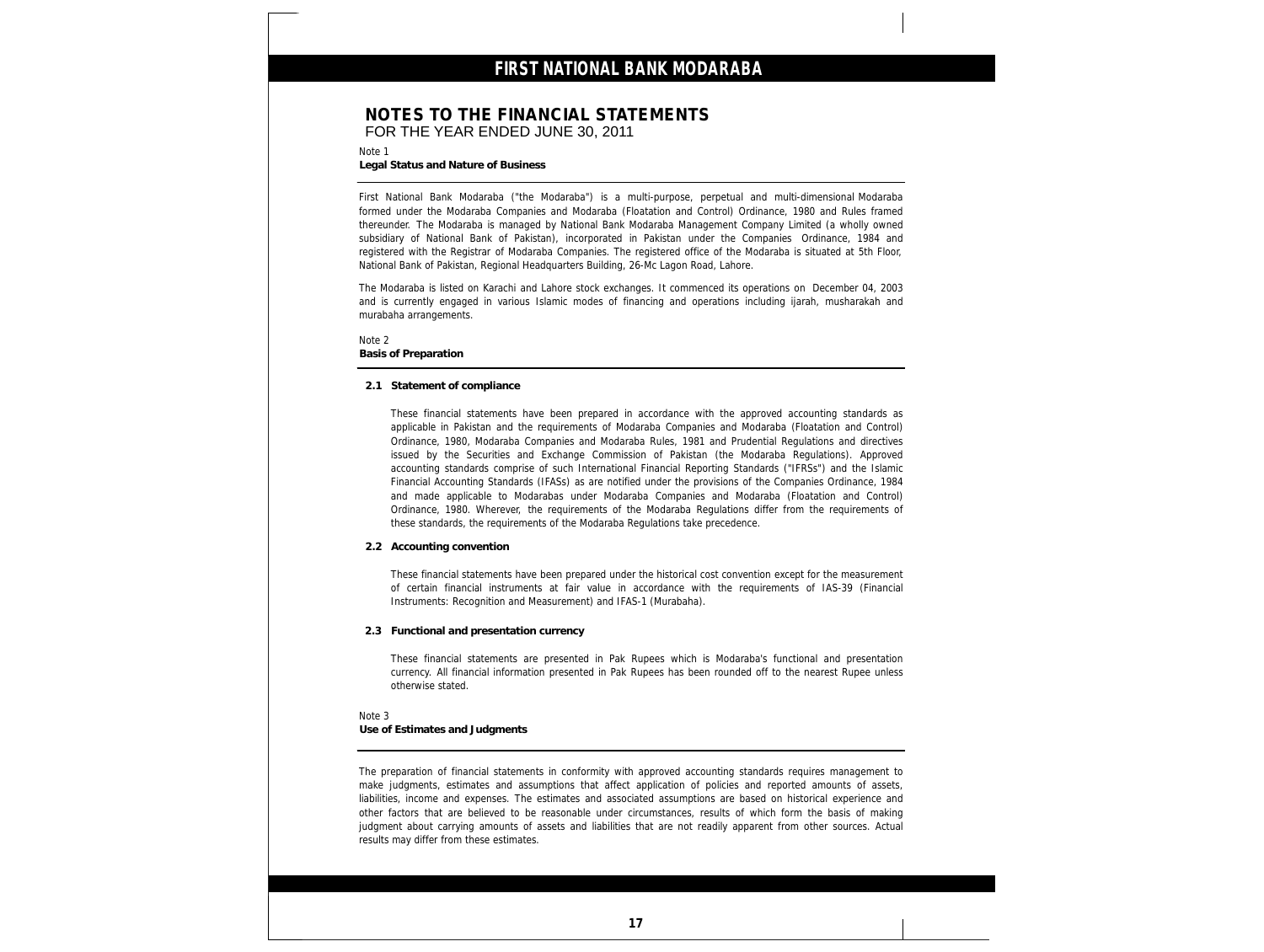### **NOTES TO THE FINANCIAL STATEMENTS** FOR THE YEAR ENDED JUNE 30, 2011

Note 1

**Legal Status and Nature of Business**

First National Bank Modaraba ("the Modaraba") is a multi-purpose, perpetual and multi-dimensional Modaraba formed under the Modaraba Companies and Modaraba (Floatation and Control) Ordinance, 1980 and Rules framed thereunder. The Modaraba is managed by National Bank Modaraba Management Company Limited (a wholly owned subsidiary of National Bank of Pakistan), incorporated in Pakistan under the Companies Ordinance, 1984 and registered with the Registrar of Modaraba Companies. The registered office of the Modaraba is situated at 5th Floor, National Bank of Pakistan, Regional Headquarters Building, 26-Mc Lagon Road, Lahore.

The Modaraba is listed on Karachi and Lahore stock exchanges. It commenced its operations on December 04, 2003 and is currently engaged in various Islamic modes of financing and operations including ijarah, musharakah and murabaha arrangements.

Note 2 **Basis of Preparation**

#### **2.1 Statement of compliance**

These financial statements have been prepared in accordance with the approved accounting standards as applicable in Pakistan and the requirements of Modaraba Companies and Modaraba (Floatation and Control) Ordinance, 1980, Modaraba Companies and Modaraba Rules, 1981 and Prudential Regulations and directives issued by the Securities and Exchange Commission of Pakistan (the Modaraba Regulations). Approved accounting standards comprise of such International Financial Reporting Standards ("IFRSs") and the Islamic Financial Accounting Standards (IFASs) as are notified under the provisions of the Companies Ordinance, 1984 and made applicable to Modarabas under Modaraba Companies and Modaraba (Floatation and Control) Ordinance, 1980. Wherever, the requirements of the Modaraba Regulations differ from the requirements of these standards, the requirements of the Modaraba Regulations take precedence.

**2.2 Accounting convention**

These financial statements have been prepared under the historical cost convention except for the measurement of certain financial instruments at fair value in accordance with the requirements of IAS-39 (Financial Instruments: Recognition and Measurement) and IFAS-1 (Murabaha).

**2.3 Functional and presentation currency**

These financial statements are presented in Pak Rupees which is Modaraba's functional and presentation currency. All financial information presented in Pak Rupees has been rounded off to the nearest Rupee unless otherwise stated.

Note 3 **Use of Estimates and Judgments**

The preparation of financial statements in conformity with approved accounting standards requires management to make judgments, estimates and assumptions that affect application of policies and reported amounts of assets, liabilities, income and expenses. The estimates and associated assumptions are based on historical experience and other factors that are believed to be reasonable under circumstances, results of which form the basis of making judgment about carrying amounts of assets and liabilities that are not readily apparent from other sources. Actual results may differ from these estimates.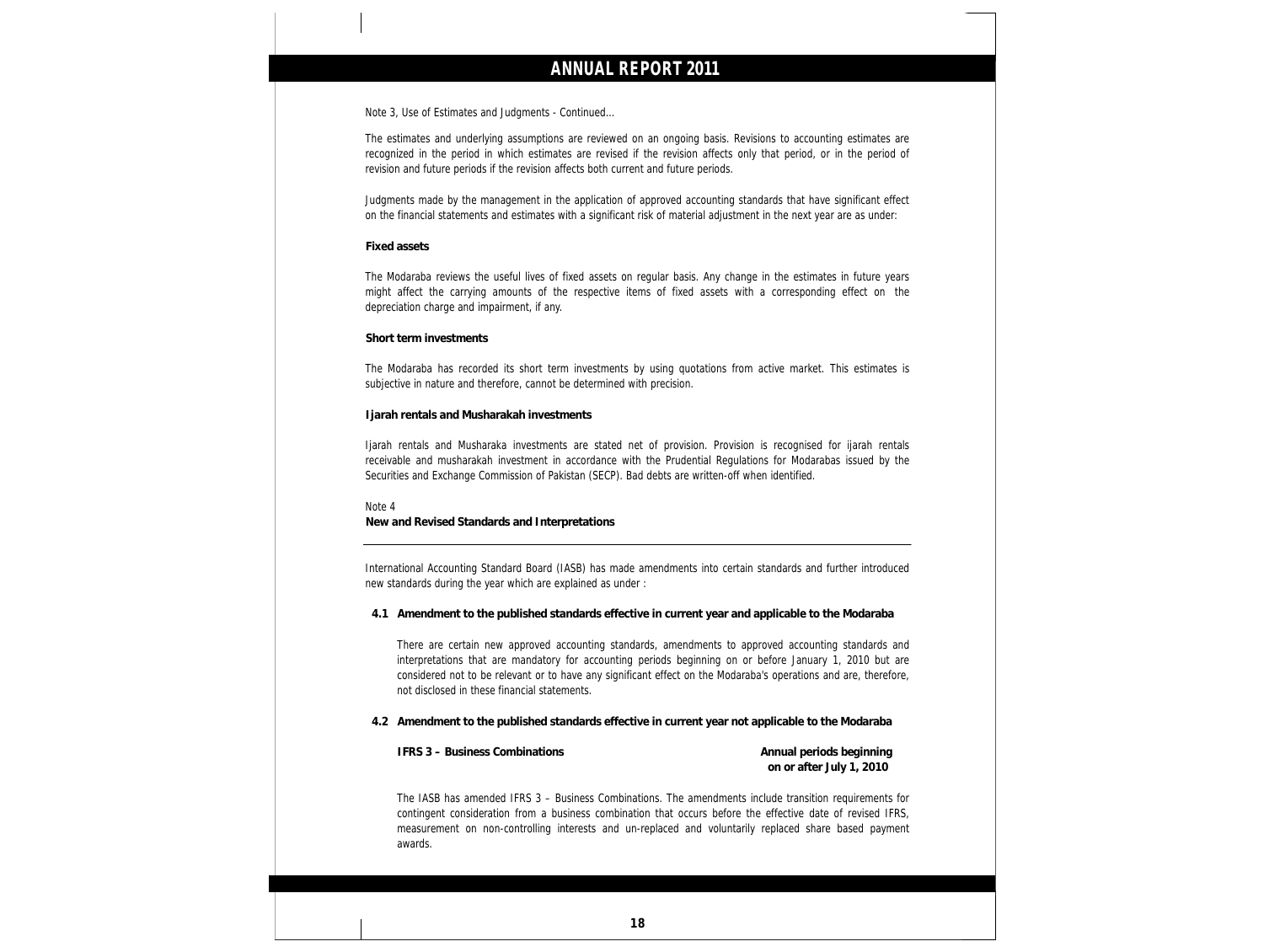Note 3, Use of Estimates and Judgments - Continued…

The estimates and underlying assumptions are reviewed on an ongoing basis. Revisions to accounting estimates are recognized in the period in which estimates are revised if the revision affects only that period, or in the period of revision and future periods if the revision affects both current and future periods.

Judgments made by the management in the application of approved accounting standards that have significant effect on the financial statements and estimates with a significant risk of material adjustment in the next year are as under:

### **Fixed assets**

The Modaraba reviews the useful lives of fixed assets on regular basis. Any change in the estimates in future years might affect the carrying amounts of the respective items of fixed assets with a corresponding effect on the depreciation charge and impairment, if any.

#### **Short term investments**

The Modaraba has recorded its short term investments by using quotations from active market. This estimates is subjective in nature and therefore, cannot be determined with precision.

**Ijarah rentals and Musharakah investments**

Ijarah rentals and Musharaka investments are stated net of provision. Provision is recognised for ijarah rentals receivable and musharakah investment in accordance with the Prudential Regulations for Modarabas issued by the Securities and Exchange Commission of Pakistan (SECP). Bad debts are written-off when identified.

Note 4 **New and Revised Standards and Interpretations**

International Accounting Standard Board (IASB) has made amendments into certain standards and further introduced new standards during the year which are explained as under :

**4.1 Amendment to the published standards effective in current year and applicable to the Modaraba**

There are certain new approved accounting standards, amendments to approved accounting standards and interpretations that are mandatory for accounting periods beginning on or before January 1, 2010 but are considered not to be relevant or to have any significant effect on the Modaraba's operations and are, therefore, not disclosed in these financial statements.

**4.2 Amendment to the published standards effective in current year not applicable to the Modaraba**

**IFRS 3 – Business Combinations Annual periods beginning**

**on or after July 1, 2010**

The IASB has amended IFRS 3 – Business Combinations. The amendments include transition requirements for contingent consideration from a business combination that occurs before the effective date of revised IFRS, measurement on non-controlling interests and un-replaced and voluntarily replaced share based payment awards.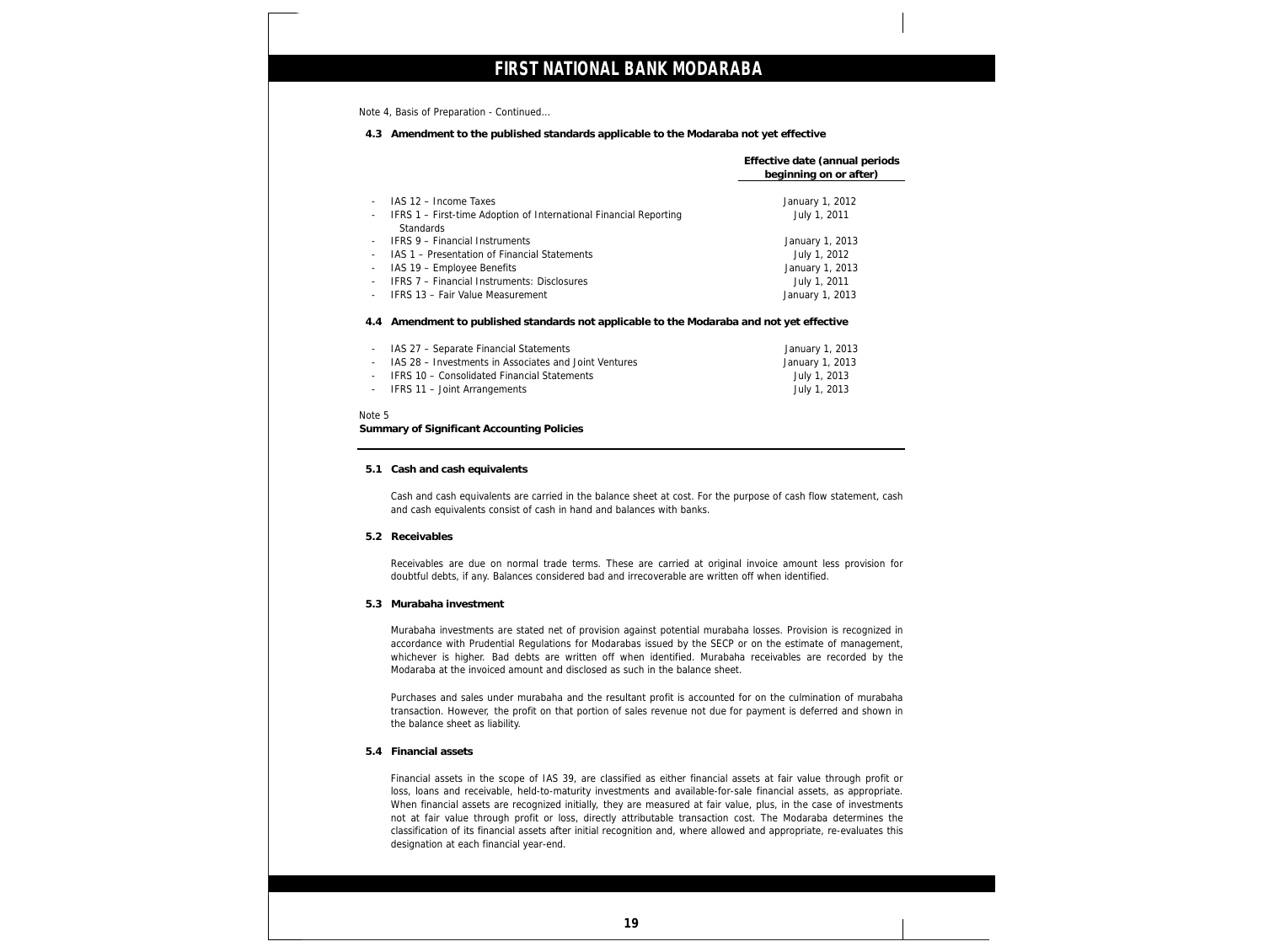Note 4, Basis of Preparation - Continued…

**4.3 Amendment to the published standards applicable to the Modaraba not yet effective**

|                          |                                                                                           | Effective date (annual periods<br>beginning on or after) |
|--------------------------|-------------------------------------------------------------------------------------------|----------------------------------------------------------|
|                          | IAS 12 - Income Taxes                                                                     | January 1, 2012                                          |
| $\sim$                   | IFRS 1 – First-time Adoption of International Financial Reporting<br><b>Standards</b>     | July 1, 2011                                             |
|                          | <b>IFRS 9 - Financial Instruments</b>                                                     | January 1, 2013                                          |
|                          | IAS 1 – Presentation of Financial Statements                                              | July 1, 2012                                             |
| $\sim$                   | IAS 19 - Employee Benefits                                                                | January 1, 2013                                          |
| $\sim$                   | IFRS 7 - Financial Instruments: Disclosures                                               | July 1, 2011                                             |
| $\sim$                   | IFRS 13 - Fair Value Measurement                                                          | January 1, 2013                                          |
|                          | 4.4 Amendment to published standards not applicable to the Modaraba and not yet effective |                                                          |
| $\overline{\phantom{a}}$ | IAS 27 - Separate Financial Statements                                                    | January 1, 2013                                          |
| $\sim$                   | IAS 28 - Investments in Associates and Joint Ventures                                     | January 1, 2013                                          |
| $\sim$                   | IFRS 10 - Consolidated Financial Statements                                               | July 1, 2013                                             |
| $\sim$                   | IFRS 11 - Joint Arrangements                                                              | July 1, 2013                                             |

Note 5

**Summary of Significant Accounting Policies**

**5.1 Cash and cash equivalents**

Cash and cash equivalents are carried in the balance sheet at cost. For the purpose of cash flow statement, cash and cash equivalents consist of cash in hand and balances with banks.

**5.2 Receivables**

Receivables are due on normal trade terms. These are carried at original invoice amount less provision for doubtful debts, if any. Balances considered bad and irrecoverable are written off when identified.

**5.3 Murabaha investment**

Murabaha investments are stated net of provision against potential murabaha losses. Provision is recognized in accordance with Prudential Regulations for Modarabas issued by the SECP or on the estimate of management, whichever is higher. Bad debts are written off when identified. Murabaha receivables are recorded by the Modaraba at the invoiced amount and disclosed as such in the balance sheet.

Purchases and sales under murabaha and the resultant profit is accounted for on the culmination of murabaha transaction. However, the profit on that portion of sales revenue not due for payment is deferred and shown in the balance sheet as liability.

**5.4 Financial assets**

Financial assets in the scope of IAS 39, are classified as either financial assets at fair value through profit or loss, loans and receivable, held-to-maturity investments and available-for-sale financial assets, as appropriate. When financial assets are recognized initially, they are measured at fair value, plus, in the case of investments not at fair value through profit or loss, directly attributable transaction cost. The Modaraba determines the classification of its financial assets after initial recognition and, where allowed and appropriate, re-evaluates this designation at each financial year-end.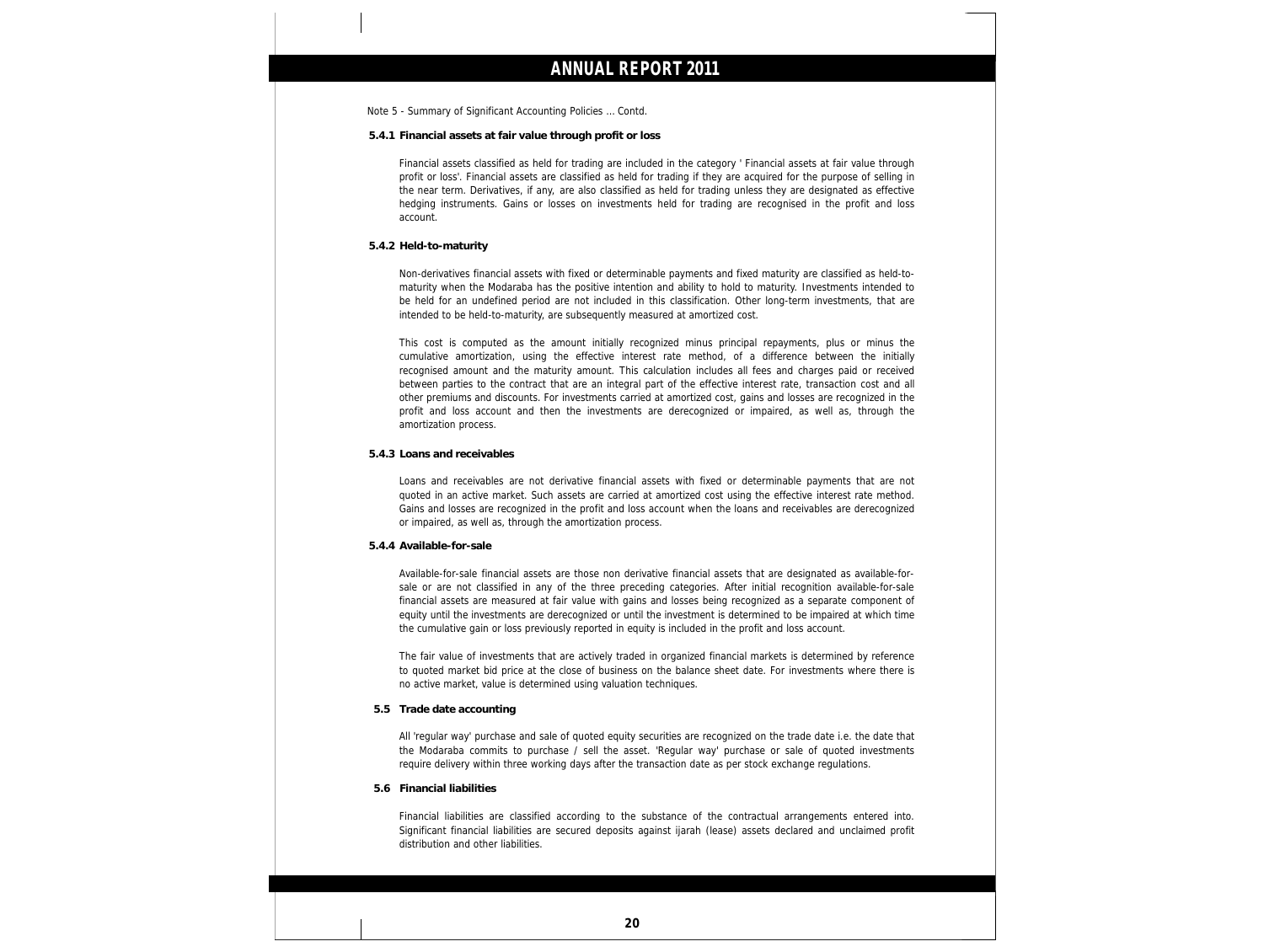- Note 5 Summary of Significant Accounting Policies … Contd.
- **5.4.1 Financial assets at fair value through profit or loss**

Financial assets classified as held for trading are included in the category ' Financial assets at fair value through profit or loss'. Financial assets are classified as held for trading if they are acquired for the purpose of selling in the near term. Derivatives, if any, are also classified as held for trading unless they are designated as effective hedging instruments. Gains or losses on investments held for trading are recognised in the profit and loss account.

#### **5.4.2 Held-to-maturity**

Non-derivatives financial assets with fixed or determinable payments and fixed maturity are classified as held-tomaturity when the Modaraba has the positive intention and ability to hold to maturity. Investments intended to be held for an undefined period are not included in this classification. Other long-term investments, that are intended to be held-to-maturity, are subsequently measured at amortized cost.

This cost is computed as the amount initially recognized minus principal repayments, plus or minus the cumulative amortization, using the effective interest rate method, of a difference between the initially recognised amount and the maturity amount. This calculation includes all fees and charges paid or received between parties to the contract that are an integral part of the effective interest rate, transaction cost and all other premiums and discounts. For investments carried at amortized cost, gains and losses are recognized in the profit and loss account and then the investments are derecognized or impaired, as well as, through the amortization process.

**5.4.3 Loans and receivables**

Loans and receivables are not derivative financial assets with fixed or determinable payments that are not quoted in an active market. Such assets are carried at amortized cost using the effective interest rate method. Gains and losses are recognized in the profit and loss account when the loans and receivables are derecognized or impaired, as well as, through the amortization process.

**5.4.4 Available-for-sale**

Available-for-sale financial assets are those non derivative financial assets that are designated as available-forsale or are not classified in any of the three preceding categories. After initial recognition available-for-sale financial assets are measured at fair value with gains and losses being recognized as a separate component of equity until the investments are derecognized or until the investment is determined to be impaired at which time the cumulative gain or loss previously reported in equity is included in the profit and loss account.

The fair value of investments that are actively traded in organized financial markets is determined by reference to quoted market bid price at the close of business on the balance sheet date. For investments where there is no active market, value is determined using valuation techniques.

**5.5 Trade date accounting** 

All 'regular way' purchase and sale of quoted equity securities are recognized on the trade date i.e. the date that the Modaraba commits to purchase / sell the asset. 'Regular way' purchase or sale of quoted investments require delivery within three working days after the transaction date as per stock exchange regulations.

**5.6 Financial liabilities**

Financial liabilities are classified according to the substance of the contractual arrangements entered into. Significant financial liabilities are secured deposits against ijarah (lease) assets declared and unclaimed profit distribution and other liabilities.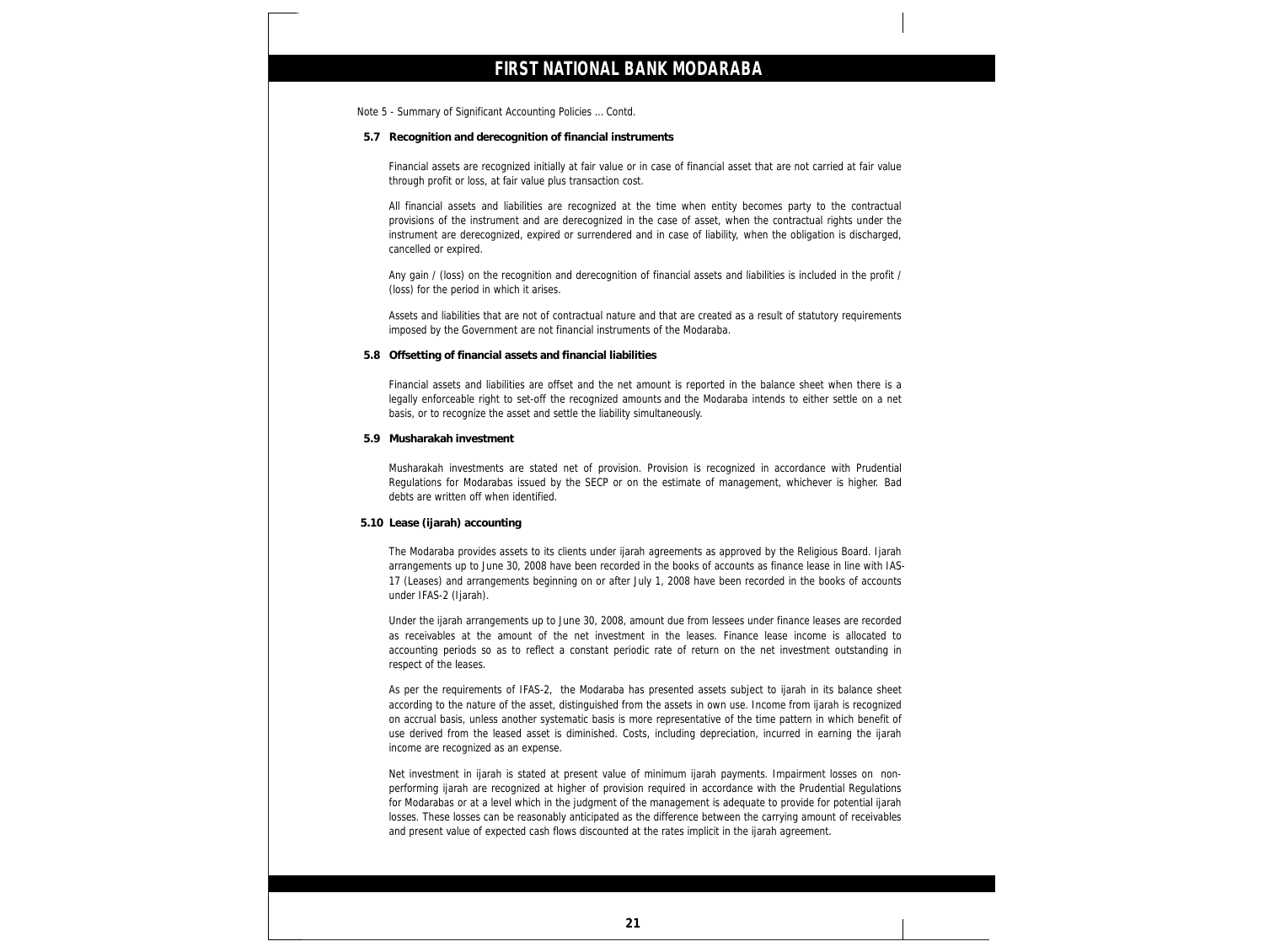Note 5 - Summary of Significant Accounting Policies … Contd.

**5.7 Recognition and derecognition of financial instruments**

Financial assets are recognized initially at fair value or in case of financial asset that are not carried at fair value through profit or loss, at fair value plus transaction cost.

All financial assets and liabilities are recognized at the time when entity becomes party to the contractual provisions of the instrument and are derecognized in the case of asset, when the contractual rights under the instrument are derecognized, expired or surrendered and in case of liability, when the obligation is discharged, cancelled or expired.

Any gain / (loss) on the recognition and derecognition of financial assets and liabilities is included in the profit / (loss) for the period in which it arises.

Assets and liabilities that are not of contractual nature and that are created as a result of statutory requirements imposed by the Government are not financial instruments of the Modaraba.

**5.8 Offsetting of financial assets and financial liabilities**

Financial assets and liabilities are offset and the net amount is reported in the balance sheet when there is a legally enforceable right to set-off the recognized amounts and the Modaraba intends to either settle on a net basis, or to recognize the asset and settle the liability simultaneously.

**5.9 Musharakah investment**

Musharakah investments are stated net of provision. Provision is recognized in accordance with Prudential Regulations for Modarabas issued by the SECP or on the estimate of management, whichever is higher. Bad debts are written off when identified.

**5.10 Lease (ijarah) accounting**

The Modaraba provides assets to its clients under ijarah agreements as approved by the Religious Board. Ijarah arrangements up to June 30, 2008 have been recorded in the books of accounts as finance lease in line with IAS-17 (Leases) and arrangements beginning on or after July 1, 2008 have been recorded in the books of accounts under IFAS-2 (Ijarah).

Under the ijarah arrangements up to June 30, 2008, amount due from lessees under finance leases are recorded as receivables at the amount of the net investment in the leases. Finance lease income is allocated to accounting periods so as to reflect a constant periodic rate of return on the net investment outstanding in respect of the leases.

As per the requirements of IFAS-2, the Modaraba has presented assets subject to ijarah in its balance sheet according to the nature of the asset, distinguished from the assets in own use. Income from ijarah is recognized on accrual basis, unless another systematic basis is more representative of the time pattern in which benefit of use derived from the leased asset is diminished. Costs, including depreciation, incurred in earning the ijarah income are recognized as an expense.

Net investment in ijarah is stated at present value of minimum ijarah payments. Impairment losses on nonperforming ijarah are recognized at higher of provision required in accordance with the Prudential Regulations for Modarabas or at a level which in the judgment of the management is adequate to provide for potential ijarah losses. These losses can be reasonably anticipated as the difference between the carrying amount of receivables and present value of expected cash flows discounted at the rates implicit in the ijarah agreement.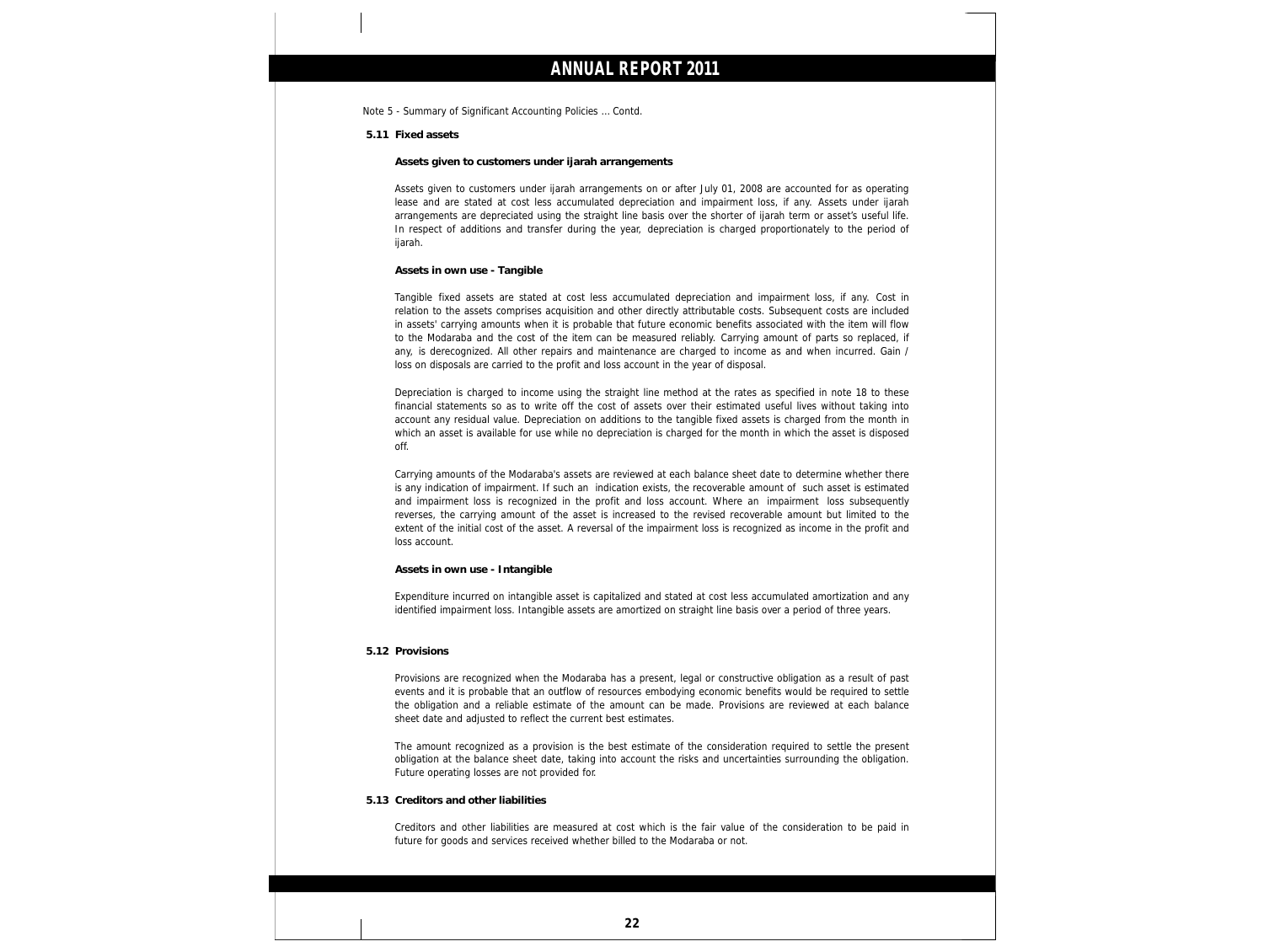Note 5 - Summary of Significant Accounting Policies … Contd.

**5.11 Fixed assets**

**Assets given to customers under ijarah arrangements**

Assets given to customers under ijarah arrangements on or after July 01, 2008 are accounted for as operating lease and are stated at cost less accumulated depreciation and impairment loss, if any. Assets under ijarah arrangements are depreciated using the straight line basis over the shorter of ijarah term or asset's useful life. In respect of additions and transfer during the year, depreciation is charged proportionately to the period of ijarah.

**Assets in own use - Tangible**

Tangible fixed assets are stated at cost less accumulated depreciation and impairment loss, if any. Cost in relation to the assets comprises acquisition and other directly attributable costs. Subsequent costs are included in assets' carrying amounts when it is probable that future economic benefits associated with the item will flow to the Modaraba and the cost of the item can be measured reliably. Carrying amount of parts so replaced, if any, is derecognized. All other repairs and maintenance are charged to income as and when incurred. Gain / loss on disposals are carried to the profit and loss account in the year of disposal.

Depreciation is charged to income using the straight line method at the rates as specified in note 18 to these financial statements so as to write off the cost of assets over their estimated useful lives without taking into account any residual value. Depreciation on additions to the tangible fixed assets is charged from the month in which an asset is available for use while no depreciation is charged for the month in which the asset is disposed off.

Carrying amounts of the Modaraba's assets are reviewed at each balance sheet date to determine whether there is any indication of impairment. If such an indication exists, the recoverable amount of such asset is estimated and impairment loss is recognized in the profit and loss account. Where an impairment loss subsequently reverses, the carrying amount of the asset is increased to the revised recoverable amount but limited to the extent of the initial cost of the asset. A reversal of the impairment loss is recognized as income in the profit and loss account.

#### **Assets in own use - Intangible**

Expenditure incurred on intangible asset is capitalized and stated at cost less accumulated amortization and any identified impairment loss. Intangible assets are amortized on straight line basis over a period of three years.

### **5.12 Provisions**

Provisions are recognized when the Modaraba has a present, legal or constructive obligation as a result of past events and it is probable that an outflow of resources embodying economic benefits would be required to settle the obligation and a reliable estimate of the amount can be made. Provisions are reviewed at each balance sheet date and adjusted to reflect the current best estimates.

The amount recognized as a provision is the best estimate of the consideration required to settle the present obligation at the balance sheet date, taking into account the risks and uncertainties surrounding the obligation. Future operating losses are not provided for.

**5.13 Creditors and other liabilities**

Creditors and other liabilities are measured at cost which is the fair value of the consideration to be paid in future for goods and services received whether billed to the Modaraba or not.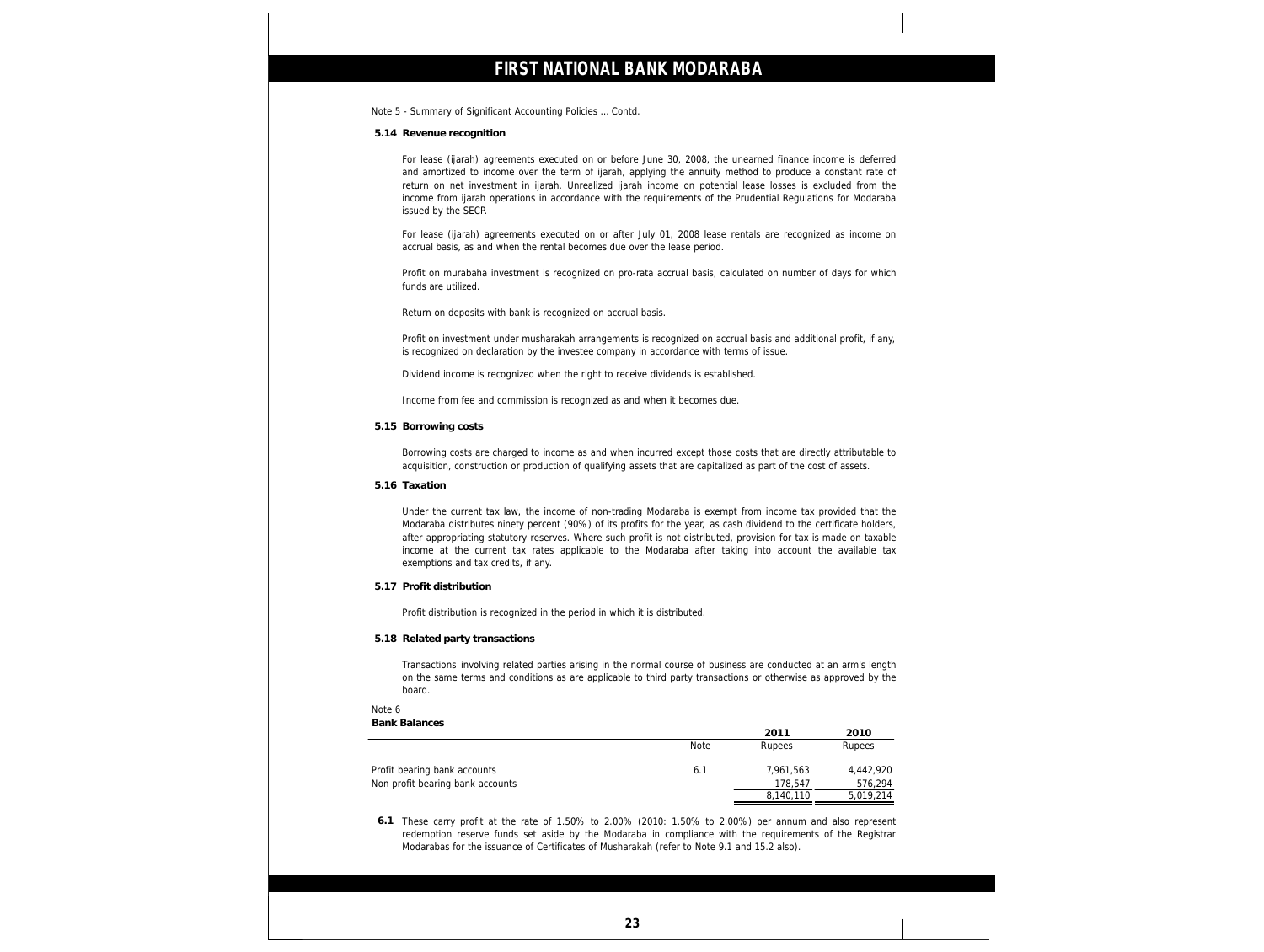Note 5 - Summary of Significant Accounting Policies … Contd.

**5.14 Revenue recognition**

For lease (ijarah) agreements executed on or before June 30, 2008, the unearned finance income is deferred and amortized to income over the term of ijarah, applying the annuity method to produce a constant rate of return on net investment in ijarah. Unrealized ijarah income on potential lease losses is excluded from the income from ijarah operations in accordance with the requirements of the Prudential Regulations for Modaraba issued by the SECP.

For lease (ijarah) agreements executed on or after July 01, 2008 lease rentals are recognized as income on accrual basis, as and when the rental becomes due over the lease period.

Profit on murabaha investment is recognized on pro-rata accrual basis, calculated on number of days for which funds are utilized.

Return on deposits with bank is recognized on accrual basis.

Profit on investment under musharakah arrangements is recognized on accrual basis and additional profit, if any, is recognized on declaration by the investee company in accordance with terms of issue.

Dividend income is recognized when the right to receive dividends is established.

Income from fee and commission is recognized as and when it becomes due.

**5.15 Borrowing costs**

Borrowing costs are charged to income as and when incurred except those costs that are directly attributable to acquisition, construction or production of qualifying assets that are capitalized as part of the cost of assets.

**5.16 Taxation**

Under the current tax law, the income of non-trading Modaraba is exempt from income tax provided that the Modaraba distributes ninety percent (90%) of its profits for the year, as cash dividend to the certificate holders, after appropriating statutory reserves. Where such profit is not distributed, provision for tax is made on taxable income at the current tax rates applicable to the Modaraba after taking into account the available tax exemptions and tax credits, if any.

**5.17 Profit distribution**

Profit distribution is recognized in the period in which it is distributed.

**5.18 Related party transactions**

Transactions involving related parties arising in the normal course of business are conducted at an arm's length on the same terms and conditions as are applicable to third party transactions or otherwise as approved by the board.

### Note 6

| <b>Bank Balances</b>             |      |           |           |
|----------------------------------|------|-----------|-----------|
|                                  |      | 2011      | 2010      |
|                                  | Note | Rupees    | Rupees    |
| Profit bearing bank accounts     | 6.1  | 7.961.563 | 4,442,920 |
| Non profit bearing bank accounts |      | 178.547   | 576.294   |
|                                  |      | 8,140,110 | 5,019,214 |

 Modarabas for the issuance of Certificates of Musharakah (refer to Note 9.1 and 15.2 also). redemption reserve funds set aside by the Modaraba in compliance with the requirements of the Registrar<br>Modarabas for the issuance of Certificates of Musharakah (refer to Note 9.1 and 15.2 also) **6.1** These carry profit at the rate of 1.50% to 2.00% (2010: 1.50% to 2.00%) per annum and also represent

j

j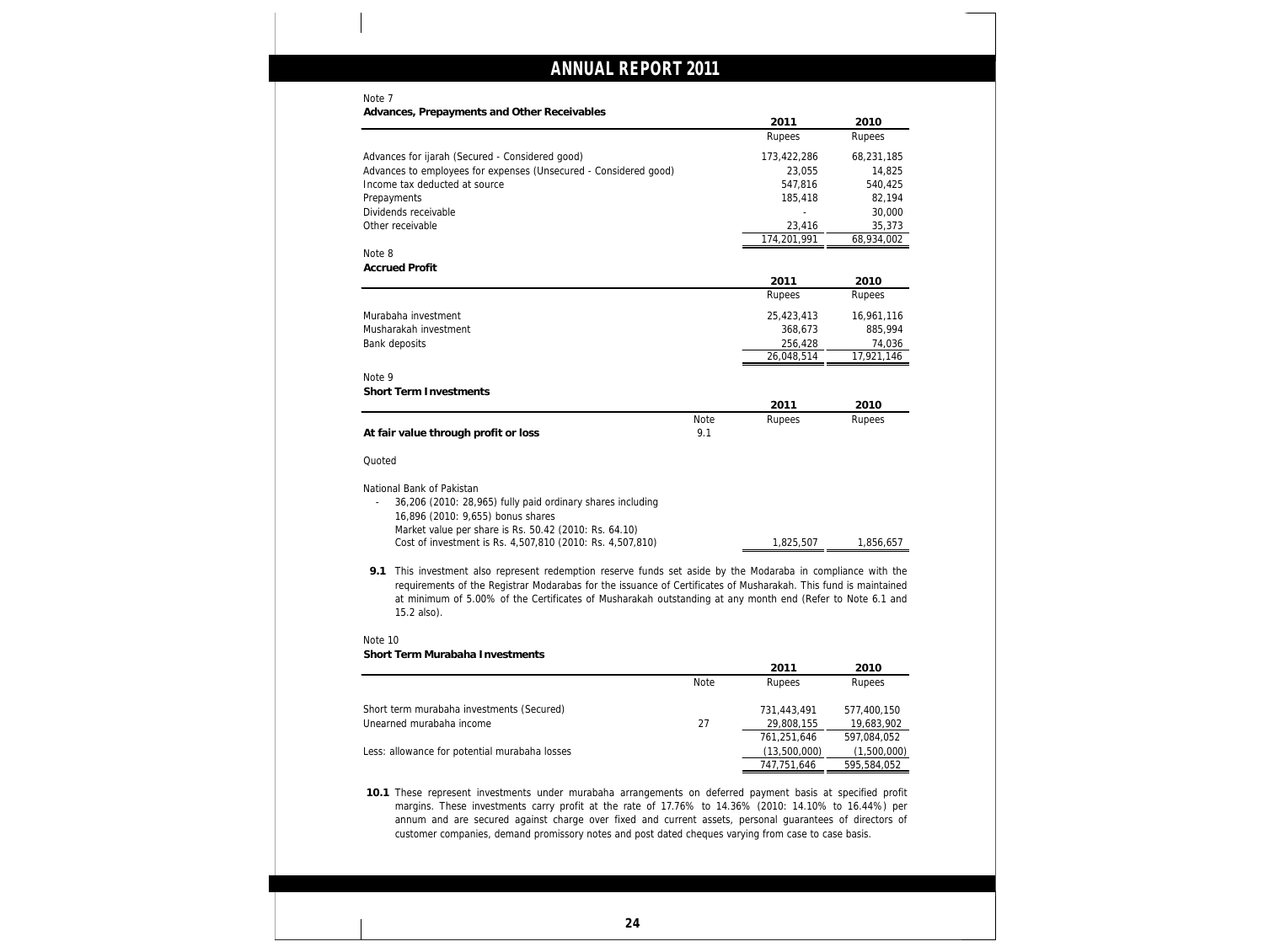### Note 7

**Advances, Prepayments and Other Receivables**

| navances, il cipavinents and Other necenvables                                                                               |             | 2011        | 2010       |
|------------------------------------------------------------------------------------------------------------------------------|-------------|-------------|------------|
|                                                                                                                              |             | Rupees      | Rupees     |
| Advances for ijarah (Secured - Considered good)                                                                              |             | 173,422,286 | 68,231,185 |
| Advances to employees for expenses (Unsecured - Considered good)                                                             |             | 23,055      | 14,825     |
| Income tax deducted at source                                                                                                |             | 547,816     | 540,425    |
| Prepayments                                                                                                                  |             | 185,418     | 82,194     |
| Dividends receivable                                                                                                         |             |             | 30,000     |
| Other receivable                                                                                                             |             | 23,416      | 35,373     |
|                                                                                                                              |             | 174,201,991 | 68,934,002 |
| Note 8                                                                                                                       |             |             |            |
| <b>Accrued Profit</b>                                                                                                        |             |             |            |
|                                                                                                                              |             | 2011        | 2010       |
|                                                                                                                              |             | Rupees      | Rupees     |
| Murabaha investment                                                                                                          |             | 25,423,413  | 16,961,116 |
| Musharakah investment                                                                                                        |             | 368,673     | 885,994    |
| Bank deposits                                                                                                                |             | 256,428     | 74,036     |
|                                                                                                                              |             | 26,048,514  | 17,921,146 |
| Note 9                                                                                                                       |             |             |            |
| Short Term Investments                                                                                                       |             |             |            |
|                                                                                                                              |             | 2011        | 2010       |
|                                                                                                                              | <b>Note</b> | Rupees      | Rupees     |
| At fair value through profit or loss                                                                                         | 9.1         |             |            |
| Quoted                                                                                                                       |             |             |            |
|                                                                                                                              |             |             |            |
| National Bank of Pakistan<br>36,206 (2010: 28,965) fully paid ordinary shares including<br>16,896 (2010: 9,655) bonus shares |             |             |            |
| Market value per share is Rs. 50.42 (2010: Rs. 64.10)                                                                        |             |             |            |
| Cost of investment is Rs. 4,507,810 (2010: Rs. 4,507,810)                                                                    |             | 1,825,507   | 1,856,657  |

**9.1** This investment also represent redemption reserve funds set aside by the Modaraba in compliance with the requirements of the Registrar Modarabas for the issuance of Certificates of Musharakah. This fund is maintained at minimum of 5.00% of the Certificates of Musharakah outstanding at any month end (Refer to Note 6.1 and 15.2 also).

### Note 10 **Short Term Murabaha Investments**

|                                               |             | 2011         | 2010        |
|-----------------------------------------------|-------------|--------------|-------------|
|                                               | <b>Note</b> | Rupees       | Rupees      |
| Short term murabaha investments (Secured)     |             | 731,443,491  | 577,400,150 |
| Unearned murabaha income                      | 27          | 29,808,155   | 19,683,902  |
|                                               |             | 761,251,646  | 597,084,052 |
| Less: allowance for potential murabaha losses |             | (13,500,000) | (1,500,000) |
|                                               |             | 747,751,646  | 595,584,052 |

**10.1** These represent investments under murabaha arrangements on deferred payment basis at specified profit margins. These investments carry profit at the rate of 17.76% to 14.36% (2010: 14.10% to 16.44%) per annum and are secured against charge over fixed and current assets, personal guarantees of directors of customer companies, demand promissory notes and post dated cheques varying from case to case basis.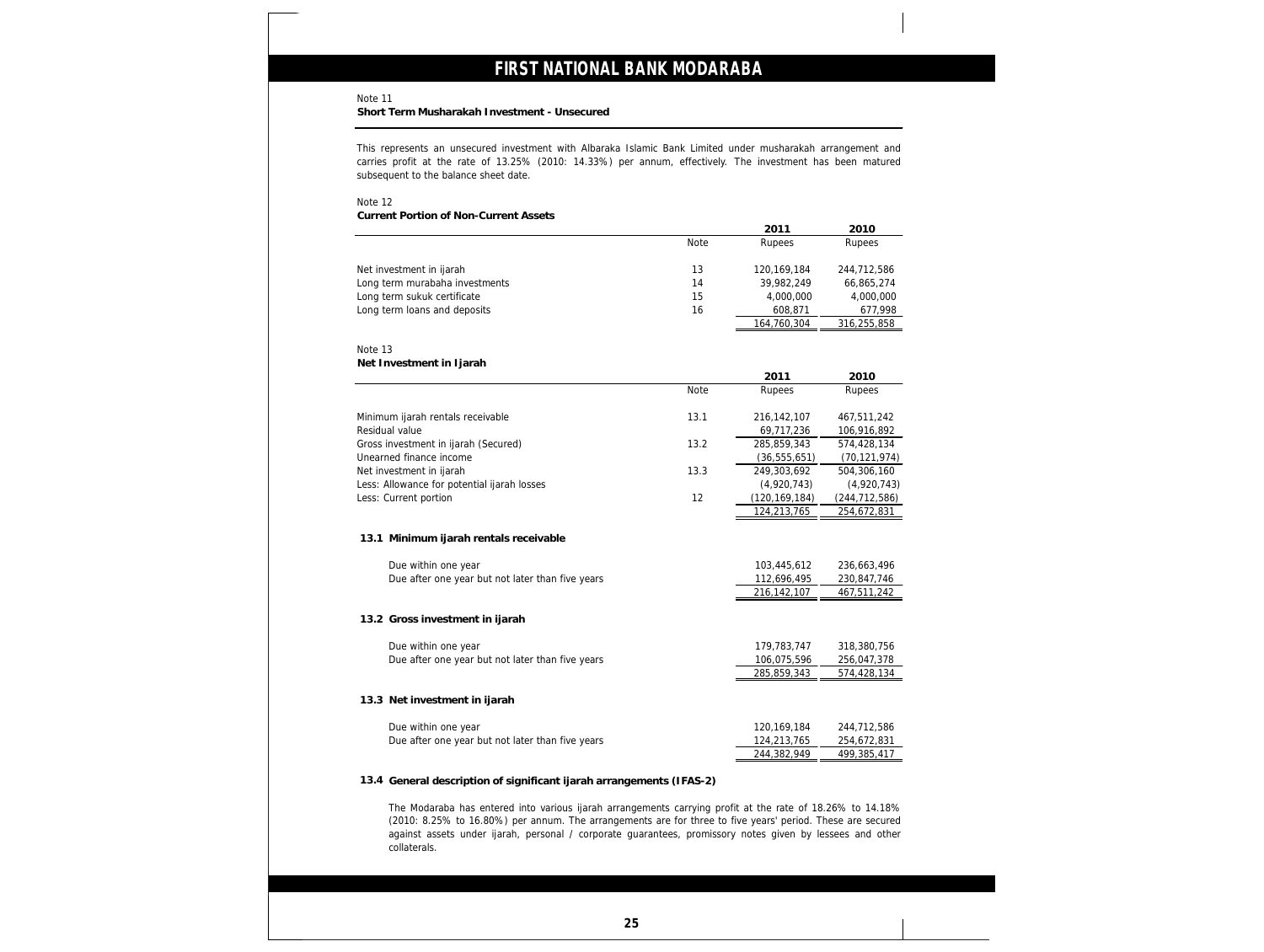Note 11

**Short Term Musharakah Investment - Unsecured**

This represents an unsecured investment with Albaraka Islamic Bank Limited under musharakah arrangement and carries profit at the rate of 13.25% (2010: 14.33%) per annum, effectively. The investment has been matured subsequent to the balance sheet date.

Note 12

**Current Portion of Non-Current Assets**

|                                                                                                                                                                                                                                         |      | 2011                       | 2010                       |
|-----------------------------------------------------------------------------------------------------------------------------------------------------------------------------------------------------------------------------------------|------|----------------------------|----------------------------|
|                                                                                                                                                                                                                                         | Note | Rupees                     | Rupees                     |
| Net investment in ijarah                                                                                                                                                                                                                | 13   | 120, 169, 184              | 244,712,586                |
| Long term murabaha investments                                                                                                                                                                                                          | 14   | 39,982,249                 |                            |
|                                                                                                                                                                                                                                         | 15   |                            | 66,865,274                 |
| Long term sukuk certificate                                                                                                                                                                                                             |      | 4,000,000                  | 4,000,000                  |
| Long term loans and deposits                                                                                                                                                                                                            | 16   | 608,871                    | 677,998                    |
|                                                                                                                                                                                                                                         |      | 164,760,304                | 316,255,858                |
| Note 13                                                                                                                                                                                                                                 |      |                            |                            |
| Net Investment in Ijarah                                                                                                                                                                                                                |      |                            |                            |
|                                                                                                                                                                                                                                         |      | 2011                       | 2010                       |
|                                                                                                                                                                                                                                         | Note | Rupees                     | Rupees                     |
|                                                                                                                                                                                                                                         |      |                            |                            |
| Minimum ijarah rentals receivable                                                                                                                                                                                                       | 13.1 | 216, 142, 107              | 467,511,242                |
| Residual value                                                                                                                                                                                                                          |      | 69,717,236                 | 106,916,892                |
| Gross investment in ijarah (Secured)                                                                                                                                                                                                    | 13.2 | 285,859,343                | 574,428,134                |
| Unearned finance income                                                                                                                                                                                                                 |      | (36, 555, 651)             | (70, 121, 974)             |
| Net investment in ijarah                                                                                                                                                                                                                | 13.3 | 249,303,692                | 504,306,160                |
| Less: Allowance for potential ijarah losses                                                                                                                                                                                             |      | (4,920,743)                | (4,920,743)                |
| Less: Current portion                                                                                                                                                                                                                   | 12   | (120, 169, 184)            | (244, 712, 586)            |
|                                                                                                                                                                                                                                         |      | 124,213,765                | 254,672,831                |
| 13.1 Minimum ijarah rentals receivable<br>Due within one year<br>Due after one year but not later than five years                                                                                                                       |      | 103,445,612<br>112,696,495 | 236,663,496<br>230,847,746 |
|                                                                                                                                                                                                                                         |      | 216, 142, 107              | 467,511,242                |
| 13.2 Gross investment in ijarah                                                                                                                                                                                                         |      |                            |                            |
| Due within one year                                                                                                                                                                                                                     |      | 179,783,747                | 318,380,756                |
| Due after one year but not later than five years                                                                                                                                                                                        |      | 106,075,596                | 256,047,378                |
|                                                                                                                                                                                                                                         |      | 285,859,343                | 574,428,134                |
| 13.3 Net investment in ijarah                                                                                                                                                                                                           |      |                            |                            |
| Due within one year                                                                                                                                                                                                                     |      | 120, 169, 184              | 244,712,586                |
| Due after one year but not later than five years                                                                                                                                                                                        |      | 124,213,765                | 254,672,831                |
|                                                                                                                                                                                                                                         |      | 244,382,949                | 499,385,417                |
| 13.4 General description of significant ijarah arrangements (IFAS-2)<br>The Modaraba has entered into various ijarah arrangements carrying profit at the rate of 18.26% to 14.18%                                                       |      |                            |                            |
| (2010: 8.25% to 16.80%) per annum. The arrangements are for three to five years' period. These are secured<br>against assets under ijarah, personal / corporate guarantees, promissory notes given by lessees and other<br>collaterals. |      |                            |                            |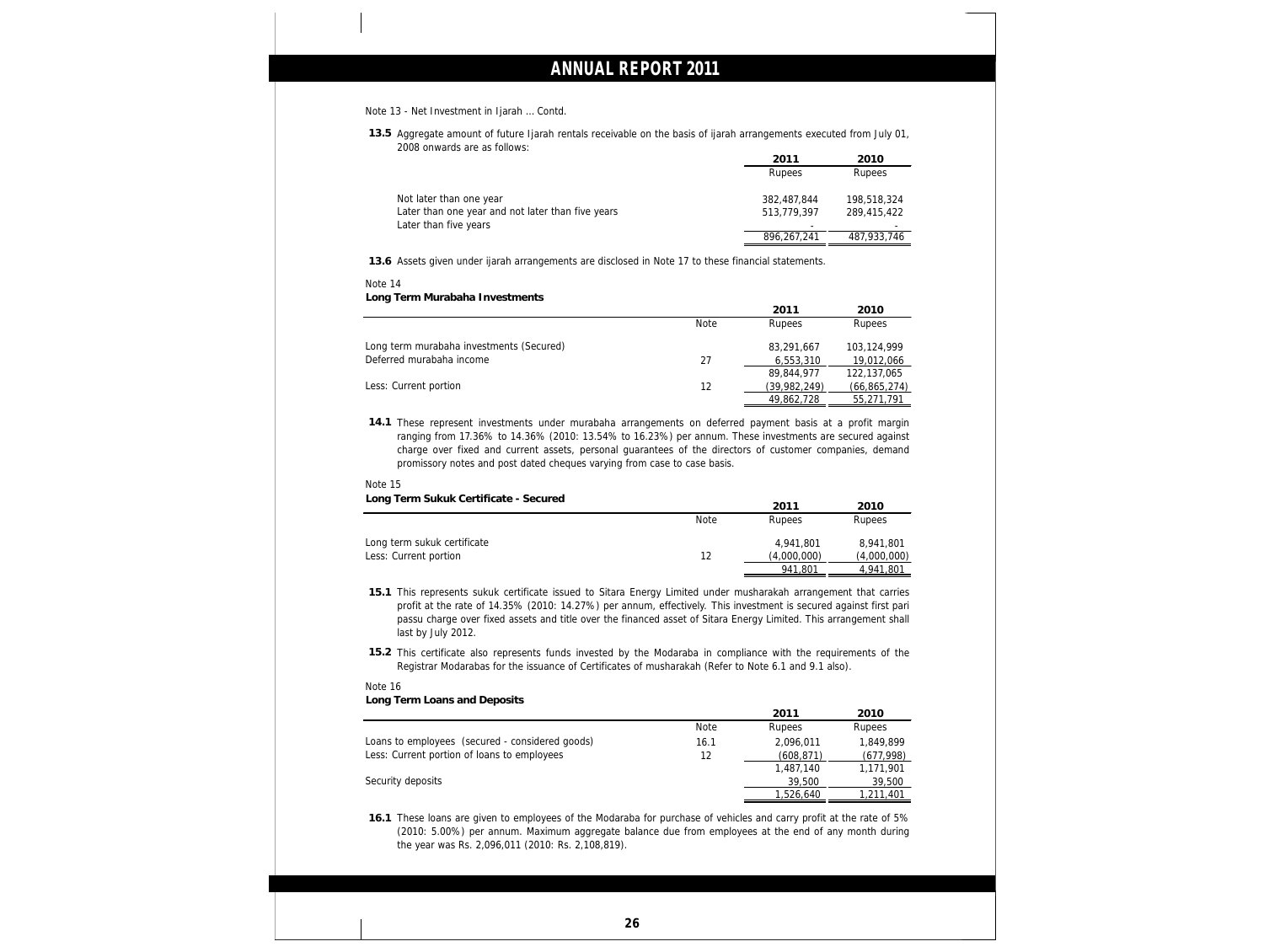#### Note 13 - Net Investment in Ijarah … Contd.

**13.5** Aggregate amount of future Ijarah rentals receivable on the basis of ijarah arrangements executed from July 01, 2008 onwards are as follows:

|                                                   | 2011        | 2010        |
|---------------------------------------------------|-------------|-------------|
|                                                   | Rupees      | Rupees      |
| Not later than one year                           | 382,487,844 | 198,518,324 |
| Later than one year and not later than five years | 513,779,397 | 289,415,422 |
| Later than five years                             |             |             |
|                                                   | 896,267,241 | 487,933,746 |

**13.6** Assets given under ijarah arrangements are disclosed in Note 17 to these financial statements.

### Note 14

**Long Term Murabaha Investments**

|                                          |             | 2011         | 2010           |
|------------------------------------------|-------------|--------------|----------------|
|                                          | <b>Note</b> | Rupees       | Rupees         |
| Long term murabaha investments (Secured) |             | 83,291,667   | 103,124,999    |
| Deferred murabaha income                 | 27          | 6,553,310    | 19,012,066     |
|                                          |             | 89,844,977   | 122,137,065    |
| Less: Current portion                    | 12          | (39,982,249) | (66, 865, 274) |
|                                          |             | 49,862,728   | 55,271,791     |

**14.1** These represent investments under murabaha arrangements on deferred payment basis at a profit margin ranging from 17.36% to 14.36% (2010: 13.54% to 16.23%) per annum. These investments are secured against charge over fixed and current assets, personal guarantees of the directors of customer companies, demand promissory notes and post dated cheques varying from case to case basis.

#### Note 15

**Long Term Sukuk Certificate - Secured**

|                             |             | 2011        | 2010        |
|-----------------------------|-------------|-------------|-------------|
|                             | <b>Note</b> | Rupees      | Rupees      |
| Long term sukuk certificate |             | 4,941,801   | 8,941,801   |
| Less: Current portion       |             | (4,000,000) | (4,000,000) |
|                             |             | 941,801     | 4.941.801   |

**15.1** This represents sukuk certificate issued to Sitara Energy Limited under musharakah arrangement that carries profit at the rate of 14.35% (2010: 14.27%) per annum, effectively. This investment is secured against first pari passu charge over fixed assets and title over the financed asset of Sitara Energy Limited. This arrangement shall last by July 2012.

**15.2** This certificate also represents funds invested by the Modaraba in compliance with the requirements of the Registrar Modarabas for the issuance of Certificates of musharakah (Refer to Note 6.1 and 9.1 also).

**Long Term Loans and Deposits**

|                                                 |             | 2011      | 2010       |
|-------------------------------------------------|-------------|-----------|------------|
|                                                 | <b>Note</b> | Rupees    | Rupees     |
| Loans to employees (secured - considered goods) | 16.1        | 2,096,011 | 1,849,899  |
| Less: Current portion of loans to employees     | 12          | (608,871) | (677,998)  |
|                                                 |             | 1,487,140 | 1,171,901  |
| Security deposits                               |             | 39,500    | 39,500     |
|                                                 |             | 1,526,640 | 211,401, ا |

**16.1** These loans are given to employees of the Modaraba for purchase of vehicles and carry profit at the rate of 5% (2010: 5.00%) per annum. Maximum aggregate balance due from employees at the end of any month during the year was Rs. 2,096,011 (2010: Rs. 2,108,819).

Note 16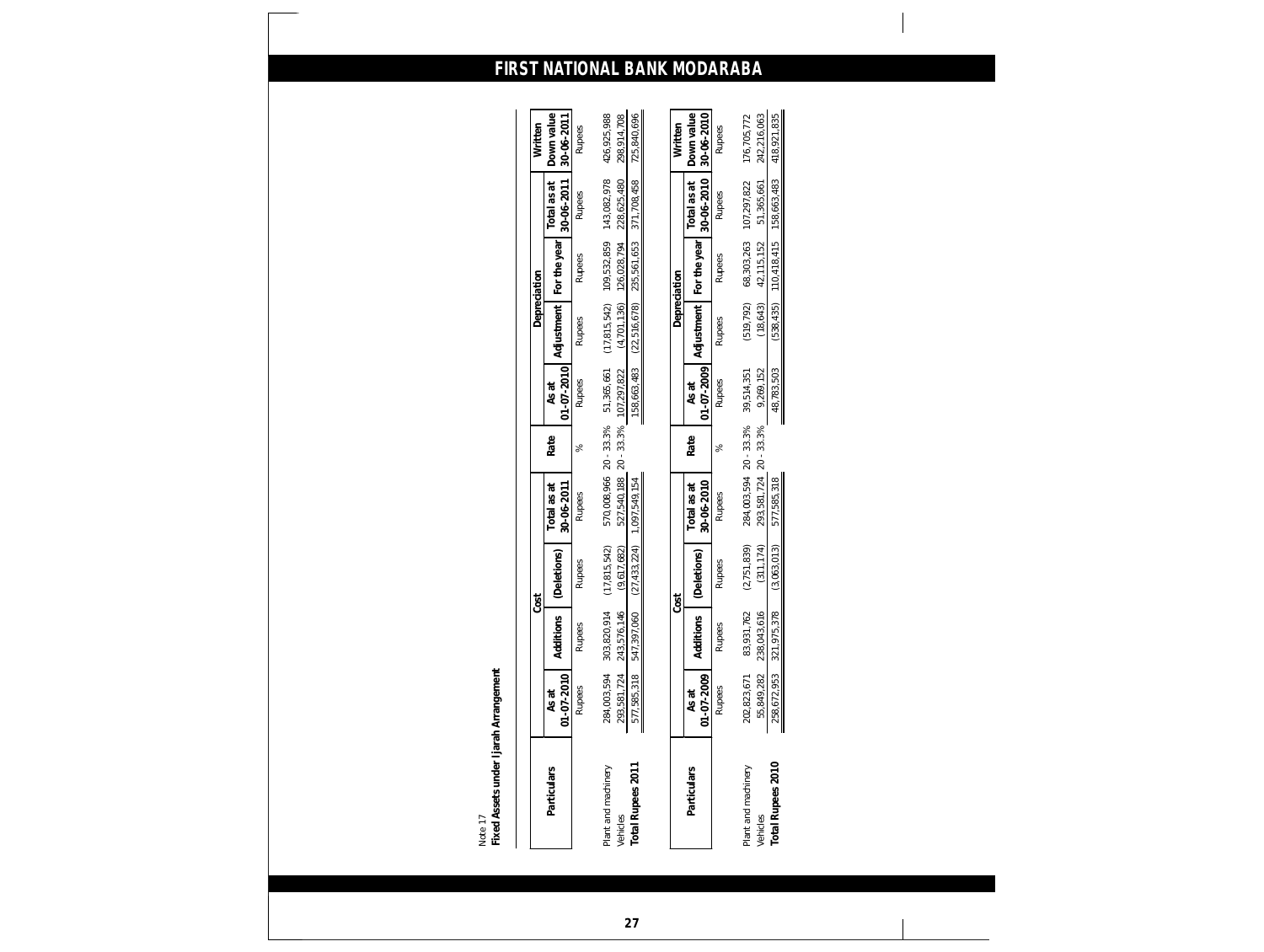|                                 |                            | Cost                       |                               |                                                                         |               |                           | Depreciation                  |                            |                            | Written                    |
|---------------------------------|----------------------------|----------------------------|-------------------------------|-------------------------------------------------------------------------|---------------|---------------------------|-------------------------------|----------------------------|----------------------------|----------------------------|
| Particulars                     | 01-07-2010<br>As at        | Additions                  | (Deletions)                   | 30-06-2011<br>Total as at                                               | Rate          | $01 - 07 - 2010$<br>As at | Adjustment                    | For the year               | 30-06-2011<br>Total as at  | Down value<br>30-06-2011   |
|                                 | <b>Rupees</b>              | <b>Rupees</b>              | <b>Rupees</b>                 | <b>Rupees</b>                                                           | $\approx$     | <b>Rupees</b>             | <b>Rupees</b>                 | <b>Rupees</b>              | Rupees                     | <b>Rupees</b>              |
| Plant and machinery<br>Vehicles | 284,003,594<br>293,581,724 | 303,820,914<br>243,576,146 | (17, 815, 542)<br>(9,617,682) | 570,008,966 20 - 33.3% 51,365,661<br>527,540,188 20 - 33.3% 107,297,822 |               |                           | (17,815,542)<br>(4, 701, 136) | 109,532,859<br>126,028,794 | 143,082,978<br>228,625,480 | 426,925,988<br>298,914,708 |
| Total Rupees 2011               | 577,585,318                | 547,397,060                | (27, 433, 224)                | 1,097,549,154                                                           |               | 158,663,483               | (22,516,678)                  | 235,561,653                | 371,708,458                | 725,840,696                |
|                                 |                            |                            |                               |                                                                         |               |                           |                               |                            |                            |                            |
|                                 |                            |                            | Cost                          |                                                                         |               |                           | Depreciation                  |                            |                            | Written                    |
| Particulars                     | 01-07-2009<br>As at        | Additions                  | (Deletions)                   | 30-06-2010<br>Total as at                                               | Rate          | $01 - 07 - 2009$<br>As at | Adjustment                    | For the year               | 30-06-2010<br>Total as at  | Down value<br>30-06-2010   |
|                                 | <b>Rupees</b>              | <b>Rupees</b>              | Rupees                        | <b>Rupees</b>                                                           | <sub>S6</sub> | <b>Rupees</b>             | <b>Rupees</b>                 | <b>Rupees</b>              | <b>Rupees</b>              | <b>Rupees</b>              |
| Plant and machinery             | 202,823,671                | 83,931,762                 | (2,751,839)                   | 284,003,594 20 - 33.3%                                                  |               | 39,514,351                | (519, 792)                    | 68,303,263                 | 107,297,822                | 176,705,772                |
| Vehicles                        | 55,849,282                 | 238,043,616                | (311, 174)                    | 293, 581, 724 20 - 33.3%                                                |               | 9,269,152                 | (18, 643)                     | 42,115,152                 | 51,365,661                 | 242,216,063                |
| Total Rupees 2010               | 258,672,953                | 75,378<br>321,97!          | (3,063,013)                   | 577,585,318                                                             |               | 48,783,503                | (538, 435)                    | 110,418,415                | 158,663,483                | 418,921,835                |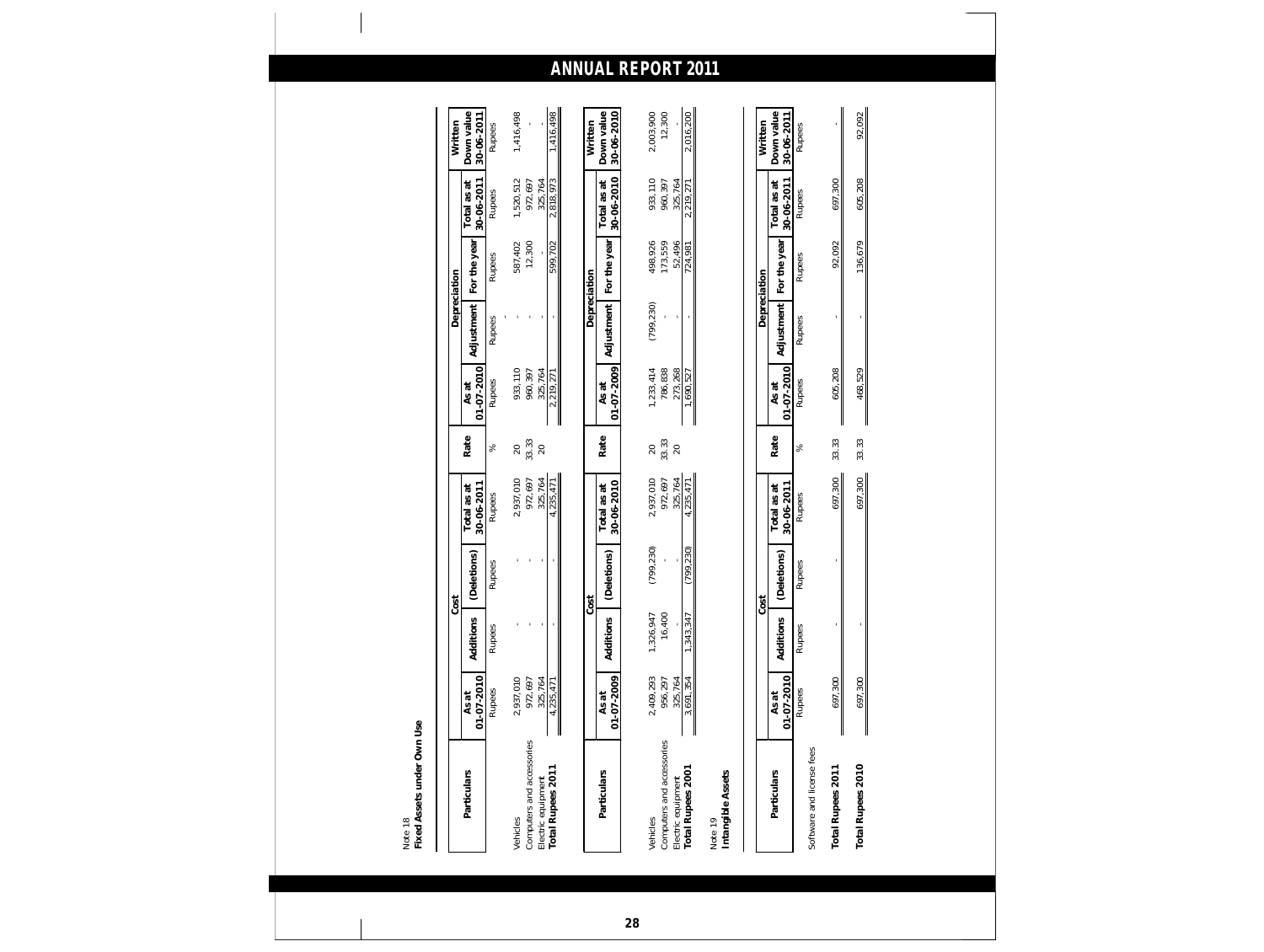| Particulars                                                          | As at                           |                            | Cost                  | Total as at                         | Rate                | As at                           | Depreciation               |                              | Total as at                     | Down value<br>Written               |
|----------------------------------------------------------------------|---------------------------------|----------------------------|-----------------------|-------------------------------------|---------------------|---------------------------------|----------------------------|------------------------------|---------------------------------|-------------------------------------|
|                                                                      | $01 - 07 - 2010$<br>Rupees      | Additions<br><b>Rupees</b> | (Deletions)<br>Rupees | 30-06-2011<br><b>Rupees</b>         | %                   | 01-07-2010<br>Rupees            | Adjustment<br>Rupees       | For the year<br>Rupees       | 30-06-2011<br>Rupees            | 30-06-2011<br>Rupees                |
|                                                                      |                                 |                            |                       |                                     |                     |                                 |                            |                              |                                 |                                     |
| Vehicles                                                             | 2,937,010                       |                            |                       | 2,937,010                           | $\mathcal{Q}$       | 933,110                         |                            | 587,402                      | 1,520,512                       | 1,416,498                           |
| Computers and accessories<br>Total Rupees 2011<br>Electric equipment | 972,697<br>325,764<br>4,235,47  |                            |                       | 972,697<br>325,764<br>,235,471<br>4 | 33.33<br>$20$       | 960,397<br>325,764<br>2,219,271 |                            | 12,300<br>599,702            | 972,697<br>2,818,973<br>325,764 | ,416,498                            |
|                                                                      | I                               |                            |                       |                                     |                     |                                 |                            |                              |                                 |                                     |
| Particulars                                                          | 01-07-2009<br>As at             | Additions                  | (Deletions)<br>Cost   | 30-06-2010<br>Total as at           | Rate                | 01-07-2009<br>As at             | Depreciation<br>Adjustment | For the year                 | 30-06-2010<br>Total as at       | Down value<br>30-06-2010<br>Written |
|                                                                      |                                 |                            |                       |                                     |                     |                                 |                            |                              |                                 |                                     |
| Computers and accessories<br>Electric equipment<br>Vehicles          | 2,409,293<br>956,297<br>325,764 | 16,400<br>1,326,947        | (799, 230)            | 2,937,010<br>325,764<br>972,697     | 33.33<br>20<br>$20$ | 786,838<br>273,268<br>1,233,414 | (799, 230)                 | 498,926<br>173,559<br>52,496 | 933,110<br>960,397<br>325,764   | 2,003,900<br>12,300                 |
| Total Rupees 2001                                                    | 3,691,354                       | $\frac{1}{347}$<br>, 343,  | (799, 230)            | 4,235,471                           |                     | 1,690,527                       |                            | 124,981                      | 2,219,271                       | 2,016,200                           |
| Intangible Assets<br>Note 19                                         |                                 |                            |                       |                                     |                     |                                 |                            |                              |                                 |                                     |
|                                                                      |                                 |                            | Cost                  |                                     |                     |                                 | Depreciation               |                              |                                 | Written                             |
| Particulars                                                          | 01-07-2010<br>As at             | Additions                  | (Deletions)           | 30-06-2011<br>Total as at           | Rate                | 01-07-2010<br>As at             | Adjustment                 | For the year                 | 30-06-2011<br>Total as at       | Down value<br>30-06-2011            |
| Software and license fees                                            | Rupees                          | Rupees                     | Rupees                | Rupees                              | $\%$                | Rupees                          | Rupees                     | Rupees                       | Rupees                          | Rupees                              |
| Total Rupees 2011                                                    | 697,300                         |                            |                       | 697,300                             | 33.33               | 605,208                         |                            | 92,092                       | 697,300                         |                                     |
| Total Rupees 2010                                                    | 697,300                         |                            |                       | 697,300                             | 33.33               | 468,529                         |                            | 136,679                      | 605,208                         | 92,092                              |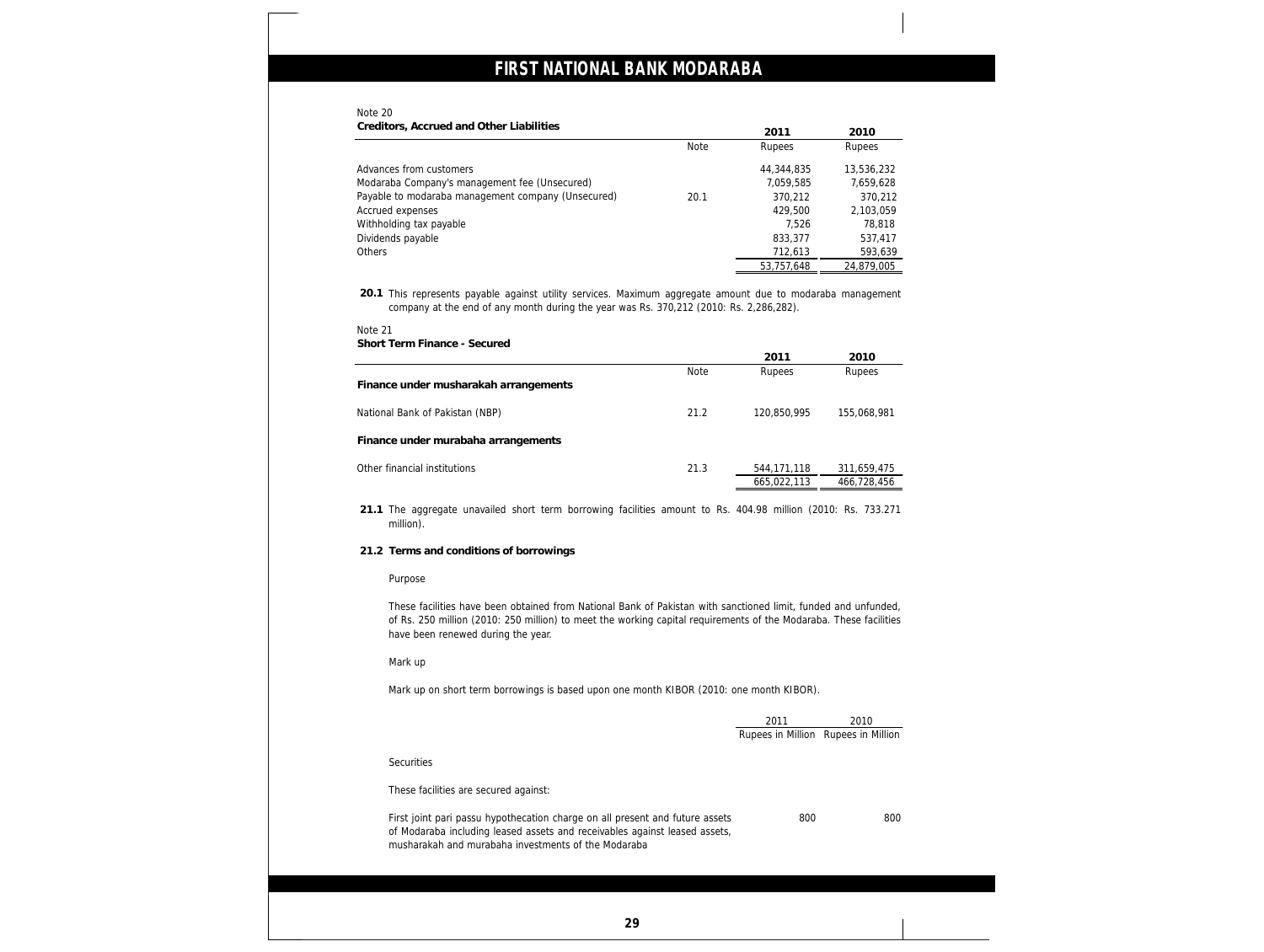### Note 20

| Creditors, Accrued and Other Liabilities           |             | 2011       | 2010       |
|----------------------------------------------------|-------------|------------|------------|
|                                                    | <b>Note</b> | Rupees     | Rupees     |
| Advances from customers                            |             | 44,344,835 | 13,536,232 |
| Modaraba Company's management fee (Unsecured)      |             | 7,059,585  | 7,659,628  |
| Payable to modaraba management company (Unsecured) | 20.1        | 370,212    | 370,212    |
| Accrued expenses                                   |             | 429,500    | 2,103,059  |
| Withholding tax payable                            |             | 7.526      | 78,818     |
| Dividends payable                                  |             | 833,377    | 537,417    |
| Others                                             |             | 712,613    | 593,639    |
|                                                    |             | 53,757,648 | 24,879,005 |

**20.1** This represents payable against utility services. Maximum aggregate amount due to modaraba management company at the end of any month during the year was Rs. 370,212 (2010: Rs. 2,286,282).

### Note 21

**Short Term Finance - Secured**

|                                       |             | 2011          | 2010        |
|---------------------------------------|-------------|---------------|-------------|
|                                       | <b>Note</b> | Rupees        | Rupees      |
| Finance under musharakah arrangements |             |               |             |
| National Bank of Pakistan (NBP)       | 21.2        | 120,850,995   | 155,068,981 |
| Finance under murabaha arrangements   |             |               |             |
| Other financial institutions          | 21.3        | 544, 171, 118 | 311,659,475 |
|                                       |             | 665,022,113   | 466,728,456 |

**21.1** The aggregate unavailed short term borrowing facilities amount to Rs. 404.98 million (2010: Rs. 733.271 million).

**21.2 Terms and conditions of borrowings**

### Purpose

These facilities have been obtained from National Bank of Pakistan with sanctioned limit, funded and unfunded, of Rs. 250 million (2010: 250 million) to meet the working capital requirements of the Modaraba. These facilities have been renewed during the year.

### Mark up

Mark up on short term borrowings is based upon one month KIBOR (2010: one month KIBOR).

|                                                                                                                                                                                                                   | 2011<br>Rupees in Million Rupees in Million | 2010 |
|-------------------------------------------------------------------------------------------------------------------------------------------------------------------------------------------------------------------|---------------------------------------------|------|
| <b>Securities</b>                                                                                                                                                                                                 |                                             |      |
| These facilities are secured against:                                                                                                                                                                             |                                             |      |
| First joint pari passu hypothecation charge on all present and future assets<br>of Modaraba including leased assets and receivables against leased assets,<br>musharakah and murabaha investments of the Modaraba | 800                                         | 800  |
|                                                                                                                                                                                                                   |                                             |      |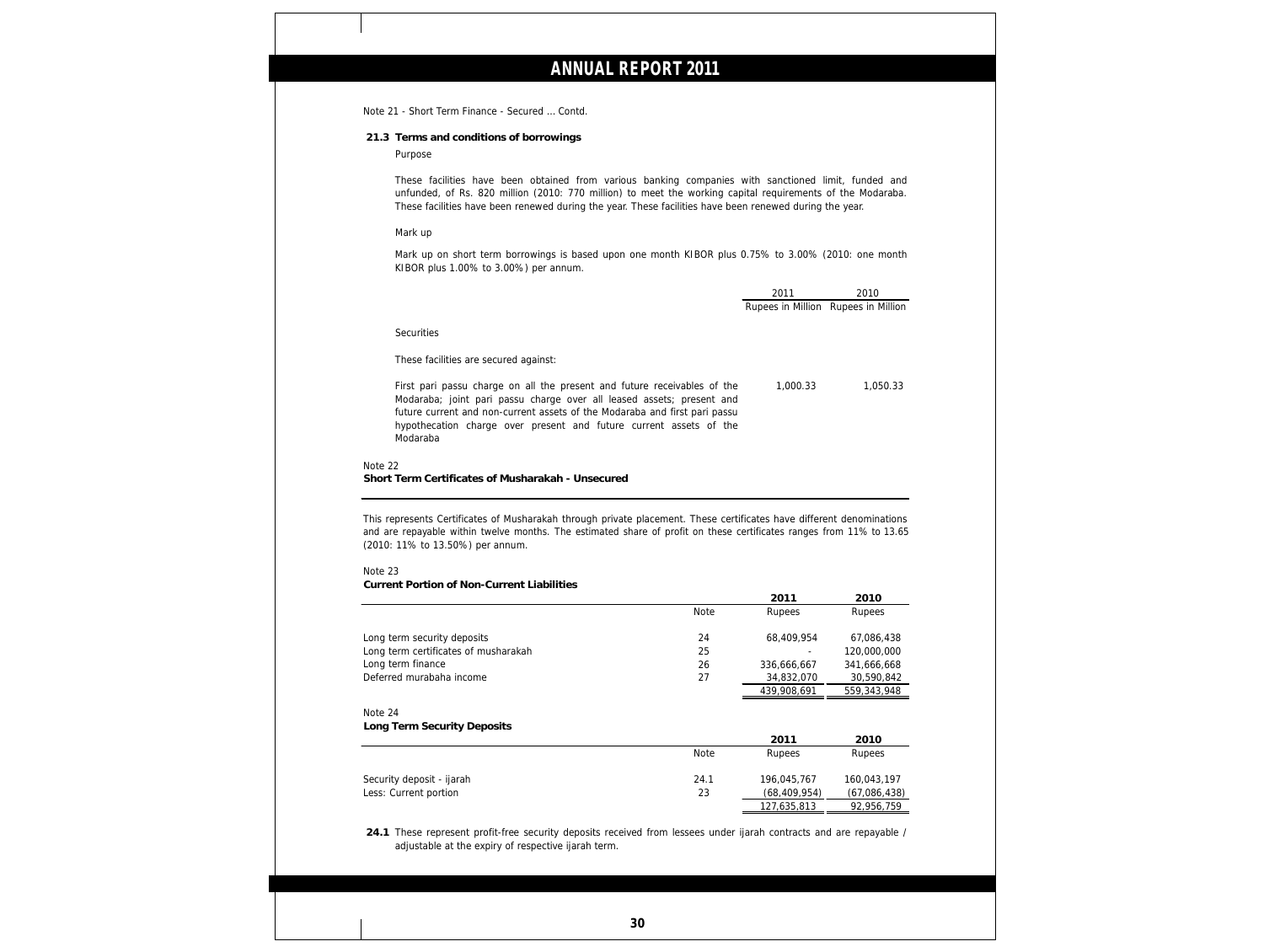Note 21 - Short Term Finance - Secured … Contd.

**21.3 Terms and conditions of borrowings**

Purpose

These facilities have been obtained from various banking companies with sanctioned limit, funded and unfunded, of Rs. 820 million (2010: 770 million) to meet the working capital requirements of the Modaraba. These facilities have been renewed during the year. These facilities have been renewed during the year.

### Mark up

Mark up on short term borrowings is based upon one month KIBOR plus 0.75% to 3.00% (2010: one month KIBOR plus 1.00% to 3.00%) per annum.

|                                                                                                                                                                                                                                                                                                                   | 2011                                | 2010     |
|-------------------------------------------------------------------------------------------------------------------------------------------------------------------------------------------------------------------------------------------------------------------------------------------------------------------|-------------------------------------|----------|
|                                                                                                                                                                                                                                                                                                                   | Rupees in Million Rupees in Million |          |
| <b>Securities</b><br>These facilities are secured against:                                                                                                                                                                                                                                                        |                                     |          |
| First pari passu charge on all the present and future receivables of the<br>Modaraba; joint pari passu charge over all leased assets; present and<br>future current and non-current assets of the Modaraba and first pari passu<br>hypothecation charge over present and future current assets of the<br>Modaraba | 1.000.33                            | 1.050.33 |
| Note 22<br>Short Term Certificates of Musharakah - Unsecured                                                                                                                                                                                                                                                      |                                     |          |

This represents Certificates of Musharakah through private placement. These certificates have different denominations and are repayable within twelve months. The estimated share of profit on these certificates ranges from 11% to 13.65 (2010: 11% to 13.50%) per annum.

### Note 23

**Current Portion of Non-Current Liabilities**

|                                                    |             | 2011                          | 2010                        |
|----------------------------------------------------|-------------|-------------------------------|-----------------------------|
|                                                    | <b>Note</b> | <b>Rupees</b>                 | Rupees                      |
| Long term security deposits                        | 24          | 68,409,954                    | 67,086,438                  |
| Long term certificates of musharakah               | 25          |                               | 120,000,000                 |
| Long term finance                                  | 26          | 336,666,667                   | 341,666,668                 |
| Deferred murabaha income                           | 27          | 34,832,070                    | 30,590,842                  |
|                                                    |             | 439,908,691                   | 559,343,948                 |
| Note 24<br>Long Term Security Deposits             |             | 2011                          | 2010                        |
|                                                    | <b>Note</b> | Rupees                        | Rupees                      |
| Security deposit - ijarah<br>Less: Current portion | 24.1<br>23  | 196,045,767<br>(68, 409, 954) | 160,043,197<br>(67,086,438) |
|                                                    |             | 127,635,813                   | 92,956,759                  |

**24.1** These represent profit-free security deposits received from lessees under ijarah contracts and are repayable / adjustable at the expiry of respective ijarah term.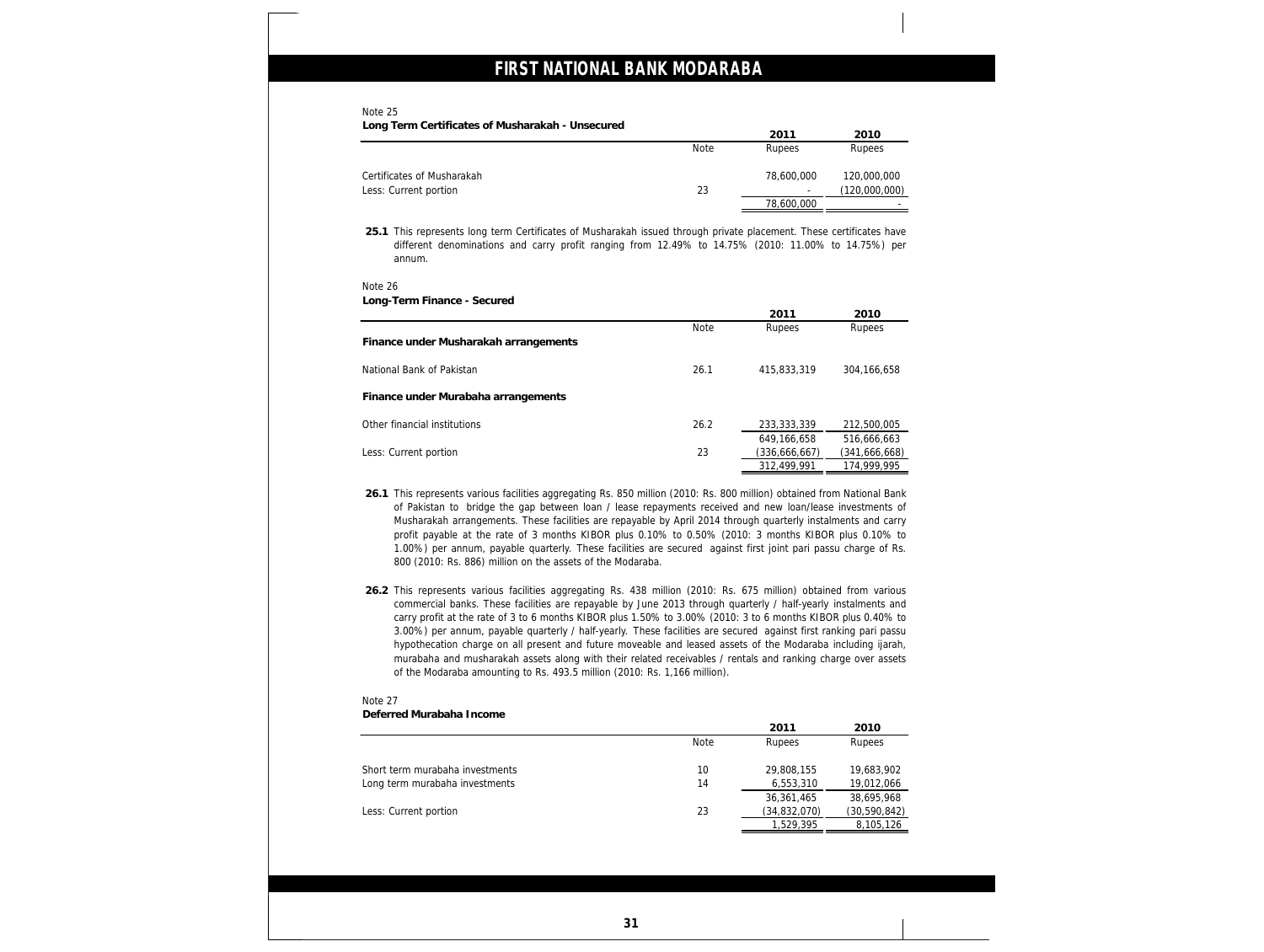### Note 25

| Long Term Certificates of Musharakah - Unsecured |             | 2011       | 2010          |
|--------------------------------------------------|-------------|------------|---------------|
|                                                  | <b>Note</b> | Rupees     | Rupees        |
| Certificates of Musharakah                       |             | 78,600,000 | 120,000,000   |
| Less: Current portion                            | 23          |            | (120,000,000) |
|                                                  |             | 78,600,000 |               |

**25.1** This represents long term Certificates of Musharakah issued through private placement. These certificates have different denominations and carry profit ranging from 12.49% to 14.75% (2010: 11.00% to 14.75%) per annum.

### Note 26

| Long-Term Finance - Secured           |             |               |               |
|---------------------------------------|-------------|---------------|---------------|
|                                       |             | 2011          | 2010          |
|                                       | <b>Note</b> | Rupees        | <b>Rupees</b> |
| Finance under Musharakah arrangements |             |               |               |
| National Bank of Pakistan             | 26.1        | 415,833,319   | 304,166,658   |
| Finance under Murabaha arrangements   |             |               |               |
| Other financial institutions          | 26.2        | 233,333,339   | 212,500,005   |
|                                       |             | 649.166.658   | 516,666,663   |
| Less: Current portion                 | 23          | (336,666,667) | (341,666,668) |
|                                       |             | 312,499,991   | 174,999,995   |

- **26.1** This represents various facilities aggregating Rs. 850 million (2010: Rs. 800 million) obtained from National Bank of Pakistan to bridge the gap between loan / lease repayments received and new loan/lease investments of Musharakah arrangements. These facilities are repayable by April 2014 through quarterly instalments and carry profit payable at the rate of 3 months KIBOR plus 0.10% to 0.50% (2010: 3 months KIBOR plus 0.10% to 1.00%) per annum, payable quarterly. These facilities are secured against first joint pari passu charge of Rs. 800 (2010: Rs. 886) million on the assets of the Modaraba.
- **26.2** This represents various facilities aggregating Rs. 438 million (2010: Rs. 675 million) obtained from various commercial banks. These facilities are repayable by June 2013 through quarterly / half-yearly instalments and carry profit at the rate of 3 to 6 months KIBOR plus 1.50% to 3.00% (2010: 3 to 6 months KIBOR plus 0.40% to 3.00%) per annum, payable quarterly / half-yearly. These facilities are secured against first ranking pari passu hypothecation charge on all present and future moveable and leased assets of the Modaraba including ijarah, murabaha and musharakah assets along with their related receivables / rentals and ranking charge over assets of the Modaraba amounting to Rs. 493.5 million (2010: Rs. 1,166 million).

### Note 27

**Deferred Murabaha Income**

|                                 |      | 2011         | 2010         |
|---------------------------------|------|--------------|--------------|
|                                 | Note | Rupees       | Rupees       |
| Short term murabaha investments | 10   | 29,808,155   | 19,683,902   |
| Long term murabaha investments  | 14   | 6,553,310    | 19,012,066   |
|                                 |      | 36,361,465   | 38,695,968   |
| Less: Current portion           | 23   | (34,832,070) | (30,590,842) |
|                                 |      | 1,529,395    | 8,105,126    |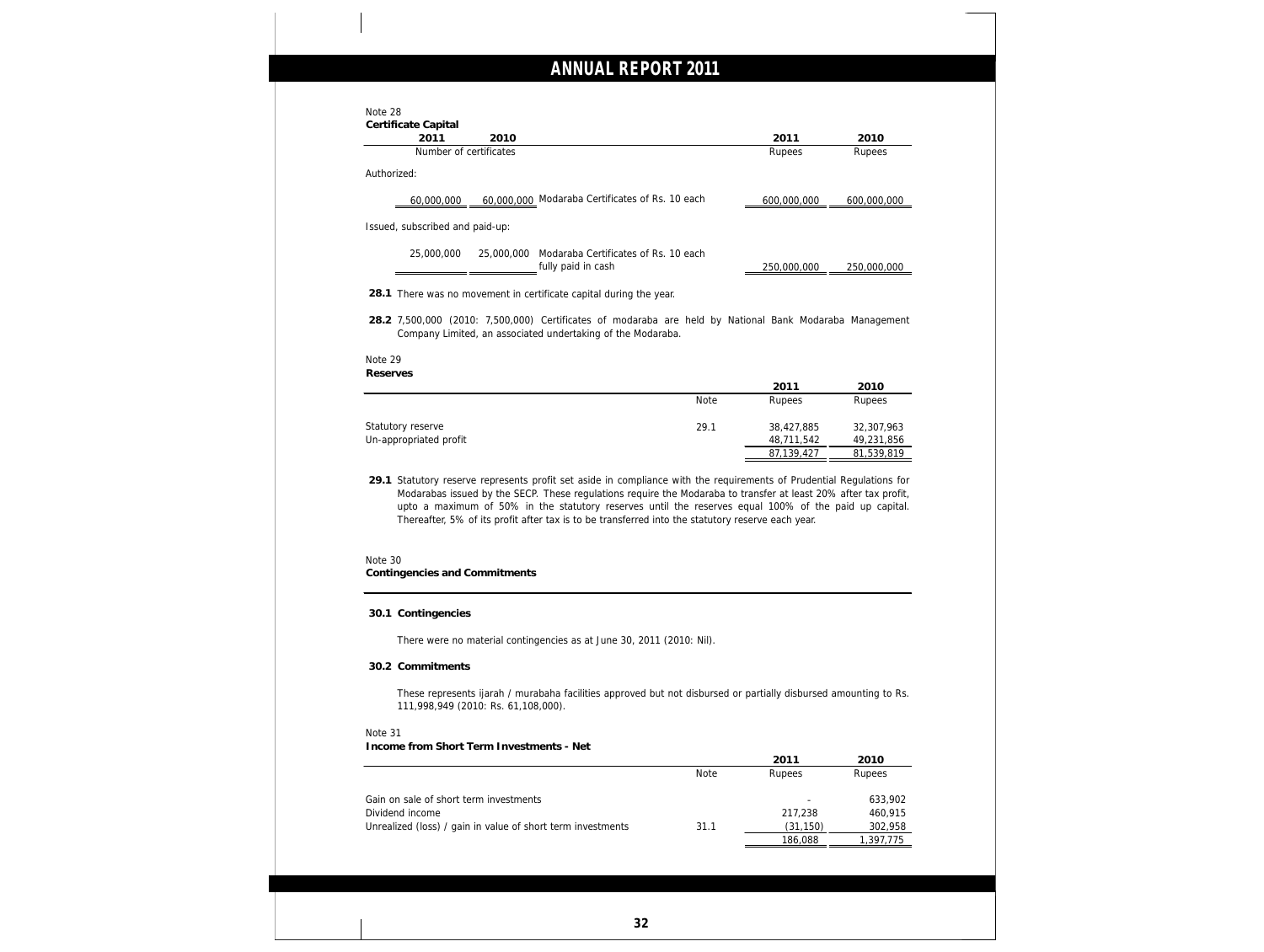| Certificate Capital                                                                                                                                                                                                                                                                                                                                                                                                                                   |             |                          |                          |
|-------------------------------------------------------------------------------------------------------------------------------------------------------------------------------------------------------------------------------------------------------------------------------------------------------------------------------------------------------------------------------------------------------------------------------------------------------|-------------|--------------------------|--------------------------|
| 2011<br>2010<br>Number of certificates                                                                                                                                                                                                                                                                                                                                                                                                                |             | 2011<br>Rupees           | 2010<br>Rupees           |
|                                                                                                                                                                                                                                                                                                                                                                                                                                                       |             |                          |                          |
| Authorized:                                                                                                                                                                                                                                                                                                                                                                                                                                           |             |                          |                          |
| 60,000,000 Modaraba Certificates of Rs. 10 each<br>60,000,000                                                                                                                                                                                                                                                                                                                                                                                         |             | 600,000,000              | 600,000,000              |
| Issued, subscribed and paid-up:                                                                                                                                                                                                                                                                                                                                                                                                                       |             |                          |                          |
| 25,000,000<br>Modaraba Certificates of Rs. 10 each<br>25,000,000<br>fully paid in cash                                                                                                                                                                                                                                                                                                                                                                |             | 250,000,000              | 250,000,000              |
| 28.1 There was no movement in certificate capital during the year.                                                                                                                                                                                                                                                                                                                                                                                    |             |                          |                          |
| 28.2 7,500,000 (2010: 7,500,000) Certificates of modaraba are held by National Bank Modaraba Management<br>Company Limited, an associated undertaking of the Modaraba.<br>Note 29                                                                                                                                                                                                                                                                     |             |                          |                          |
| Reserves                                                                                                                                                                                                                                                                                                                                                                                                                                              |             |                          |                          |
|                                                                                                                                                                                                                                                                                                                                                                                                                                                       | <b>Note</b> | 2011<br>Rupees           | 2010<br>Rupees           |
|                                                                                                                                                                                                                                                                                                                                                                                                                                                       |             |                          |                          |
|                                                                                                                                                                                                                                                                                                                                                                                                                                                       |             |                          |                          |
|                                                                                                                                                                                                                                                                                                                                                                                                                                                       | 29.1        | 38,427,885               | 32,307,963               |
| 29.1 Statutory reserve represents profit set aside in compliance with the requirements of Prudential Regulations for<br>Modarabas issued by the SECP. These regulations require the Modaraba to transfer at least 20% after tax profit,<br>upto a maximum of 50% in the statutory reserves until the reserves equal 100% of the paid up capital.<br>Thereafter, 5% of its profit after tax is to be transferred into the statutory reserve each year. |             | 48,711,542<br>87,139,427 | 49,231,856<br>81,539,819 |
|                                                                                                                                                                                                                                                                                                                                                                                                                                                       |             |                          |                          |
|                                                                                                                                                                                                                                                                                                                                                                                                                                                       |             |                          |                          |
| 30.1 Contingencies                                                                                                                                                                                                                                                                                                                                                                                                                                    |             |                          |                          |
| There were no material contingencies as at June 30, 2011 (2010: Nil).                                                                                                                                                                                                                                                                                                                                                                                 |             |                          |                          |
| 30.2 Commitments                                                                                                                                                                                                                                                                                                                                                                                                                                      |             |                          |                          |
| These represents ijarah / murabaha facilities approved but not disbursed or partially disbursed amounting to Rs.<br>111,998,949 (2010: Rs. 61,108,000).                                                                                                                                                                                                                                                                                               |             |                          |                          |
|                                                                                                                                                                                                                                                                                                                                                                                                                                                       |             |                          |                          |
|                                                                                                                                                                                                                                                                                                                                                                                                                                                       |             |                          |                          |
|                                                                                                                                                                                                                                                                                                                                                                                                                                                       |             | 2011                     | 2010                     |
|                                                                                                                                                                                                                                                                                                                                                                                                                                                       | <b>Note</b> | Rupees                   | Rupees                   |
|                                                                                                                                                                                                                                                                                                                                                                                                                                                       |             |                          | 633,902                  |
| Statutory reserve<br>Un-appropriated profit<br>Note 30<br>Contingencies and Commitments<br>Note 31<br>Income from Short Term Investments - Net<br>Gain on sale of short term investments<br>Dividend income<br>Unrealized (loss) / gain in value of short term investments                                                                                                                                                                            | 31.1        | 217,238<br>(31, 150)     | 460,915<br>302,958       |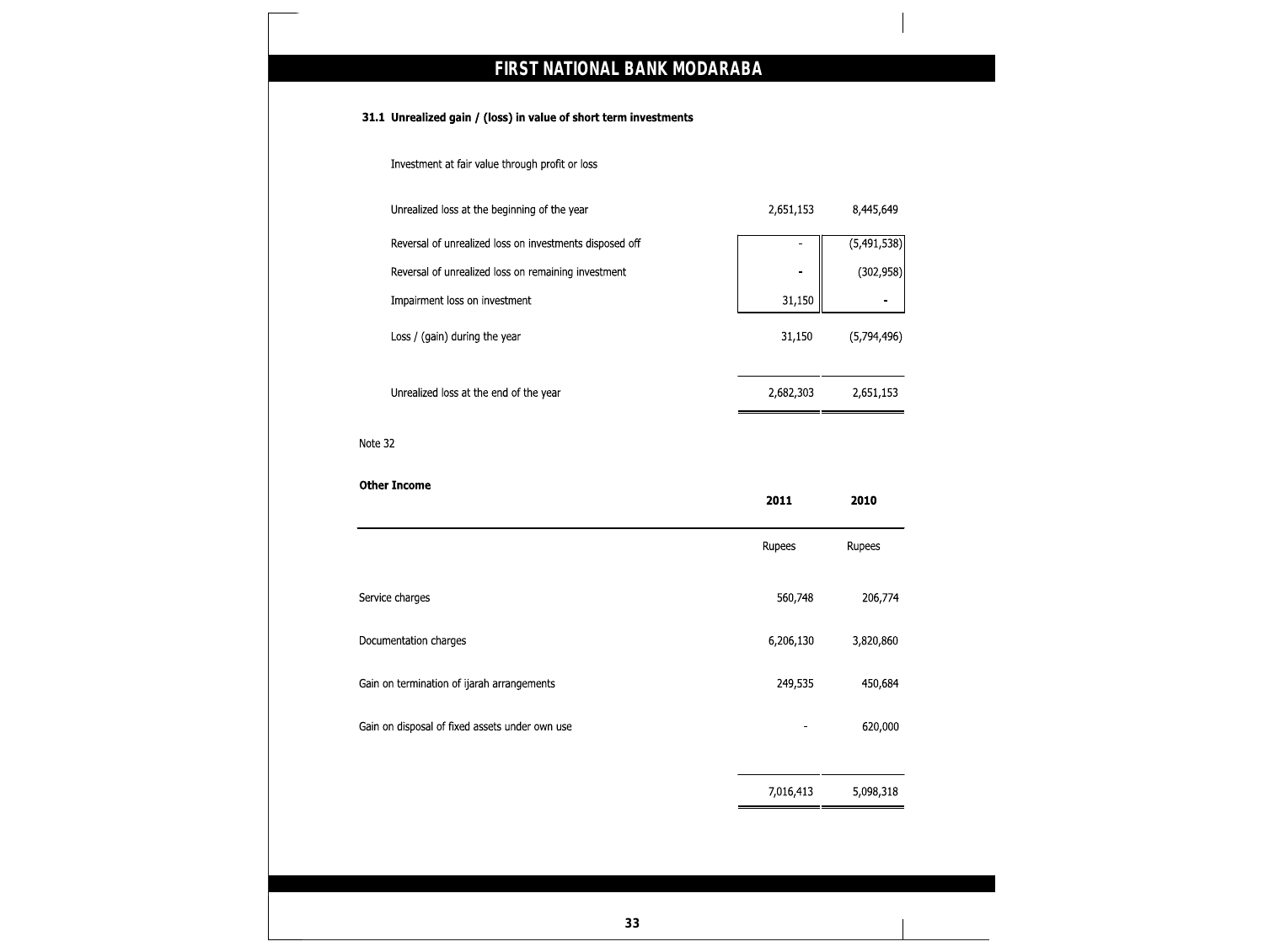|         | Investment at fair value through profit or loss         |                |             |
|---------|---------------------------------------------------------|----------------|-------------|
|         | Unrealized loss at the beginning of the year            | 2,651,153      | 8,445,649   |
|         | Reversal of unrealized loss on investments disposed off |                | (5,491,538) |
|         | Reversal of unrealized loss on remaining investment     | $\blacksquare$ | (302, 958)  |
|         | Impairment loss on investment                           | 31,150         |             |
|         | Loss / (gain) during the year                           | 31,150         | (5,794,496) |
|         | Unrealized loss at the end of the year                  | 2,682,303      | 2,651,153   |
| Note 32 |                                                         |                |             |
|         |                                                         |                |             |
|         | <b>Other Income</b>                                     | 2011           | 2010        |
|         |                                                         | Rupees         | Rupees      |
|         | Service charges                                         | 560,748        | 206,774     |
|         | Documentation charges                                   | 6,206,130      | 3,820,860   |
|         | Gain on termination of ijarah arrangements              | 249,535        | 450,684     |
|         | Gain on disposal of fixed assets under own use          |                | 620,000     |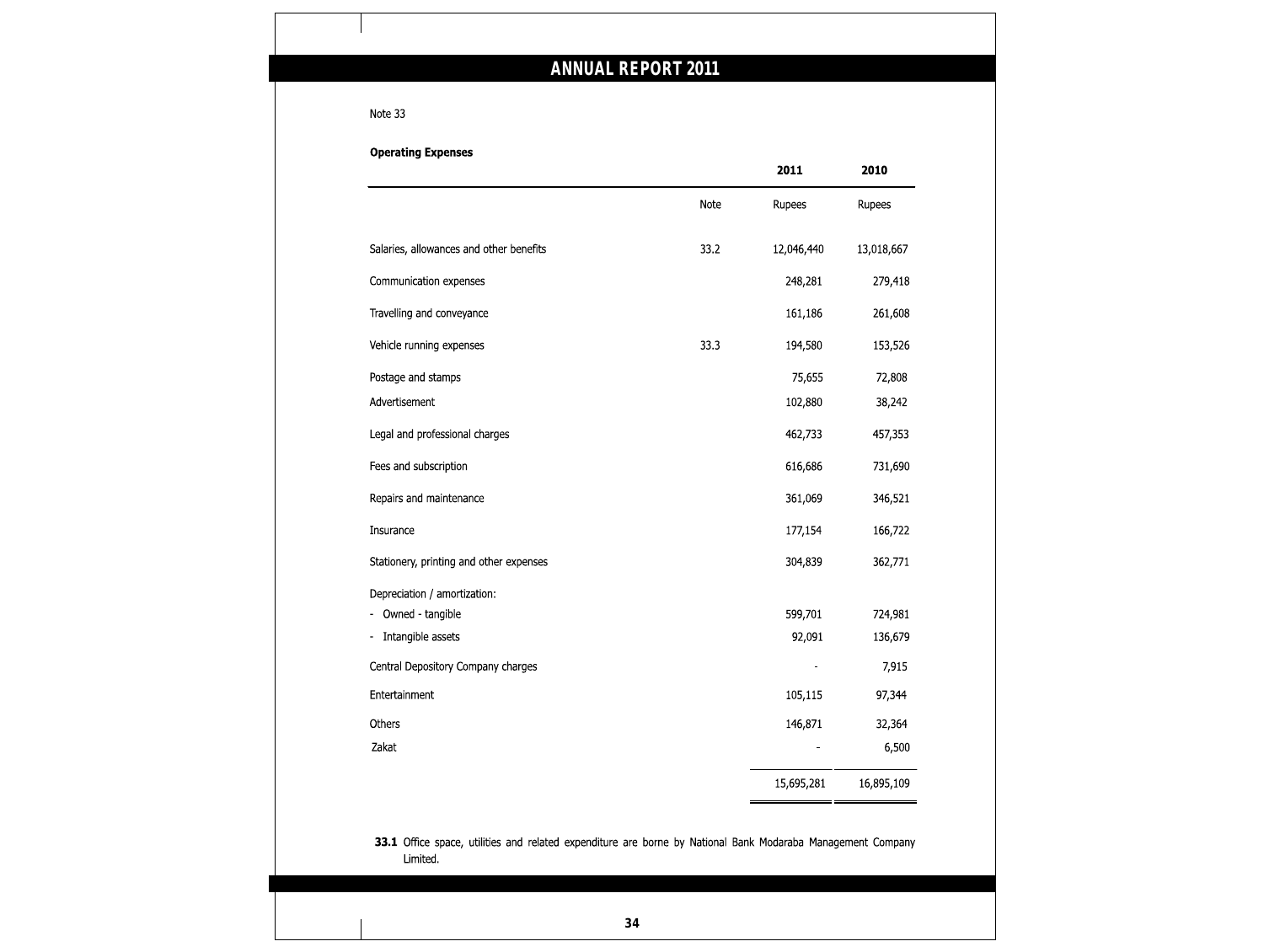### Note 33

|                                                                                                                         |      | 2011       | 2010       |
|-------------------------------------------------------------------------------------------------------------------------|------|------------|------------|
|                                                                                                                         | Note | Rupees     | Rupees     |
| Salaries, allowances and other benefits                                                                                 | 33.2 | 12,046,440 | 13,018,667 |
| Communication expenses                                                                                                  |      | 248,281    | 279,418    |
| Travelling and conveyance                                                                                               |      | 161,186    | 261,608    |
| Vehicle running expenses                                                                                                | 33.3 | 194,580    | 153,526    |
| Postage and stamps                                                                                                      |      | 75,655     | 72,808     |
| Advertisement                                                                                                           |      | 102,880    | 38,242     |
| Legal and professional charges                                                                                          |      | 462,733    | 457,353    |
| Fees and subscription                                                                                                   |      | 616,686    | 731,690    |
| Repairs and maintenance                                                                                                 |      | 361,069    | 346,521    |
| Insurance                                                                                                               |      | 177,154    | 166,722    |
| Stationery, printing and other expenses                                                                                 |      | 304,839    | 362,771    |
| Depreciation / amortization:                                                                                            |      |            |            |
| Owned - tangible                                                                                                        |      | 599,701    | 724,981    |
| Intangible assets                                                                                                       |      | 92,091     | 136,679    |
| Central Depository Company charges                                                                                      |      |            | 7,915      |
| Entertainment                                                                                                           |      | 105,115    | 97,344     |
| Others                                                                                                                  |      | 146,871    | 32,364     |
| Zakat                                                                                                                   |      |            | 6,500      |
|                                                                                                                         |      | 15,695,281 | 16,895,109 |
| 33.1 Office space, utilities and related expenditure are borne by National Bank Modaraba Management Company<br>Limited. |      |            |            |

**34**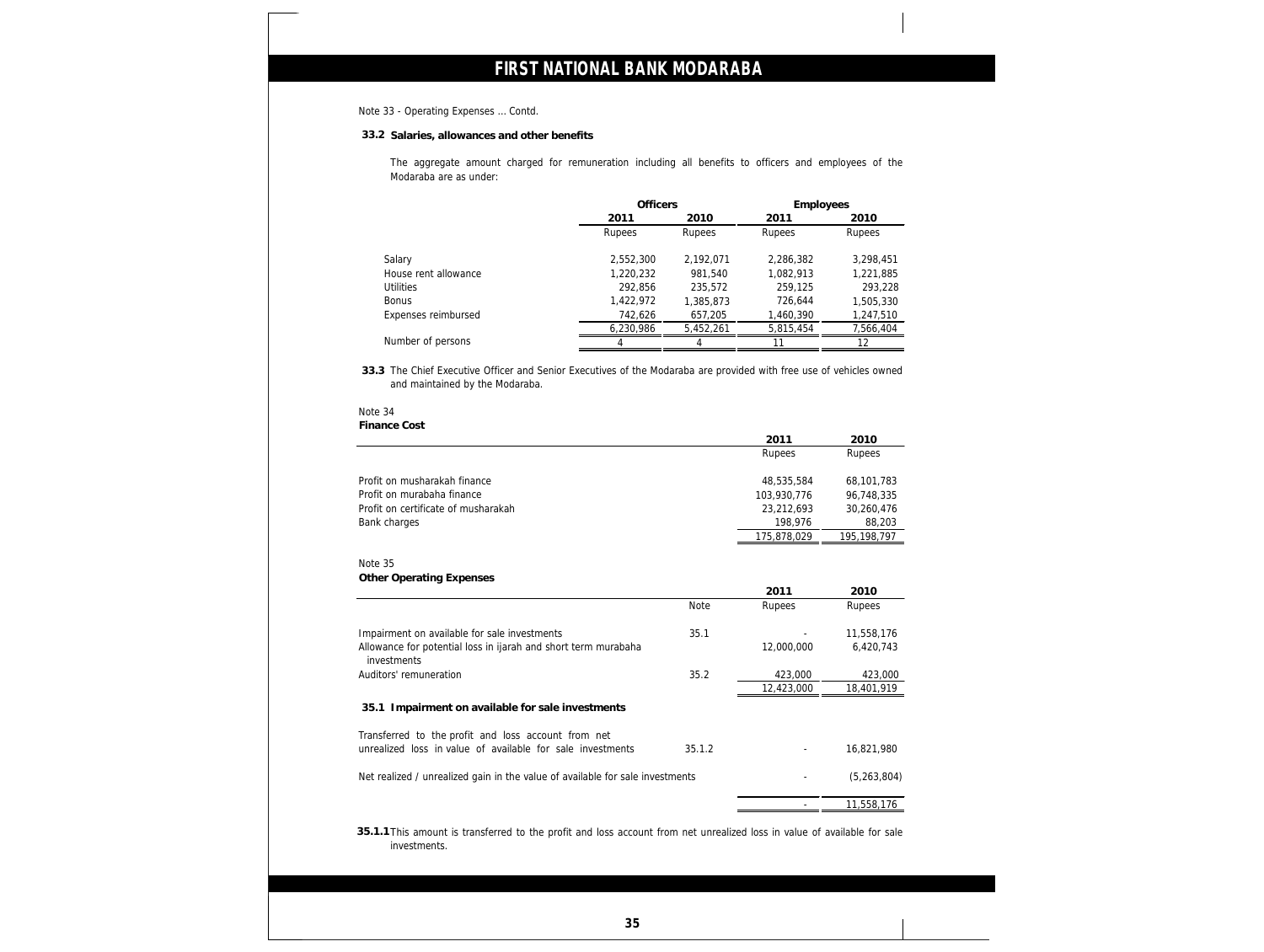### Note 33 - Operating Expenses … Contd.

**33.2 Salaries, allowances and other benefits**

The aggregate amount charged for remuneration including all benefits to officers and employees of the Modaraba are as under:

|                      | <b>Officers</b> |           | Employees |           |
|----------------------|-----------------|-----------|-----------|-----------|
|                      | 2011            | 2010      | 2011      | 2010      |
|                      | Rupees          | Rupees    | Rupees    | Rupees    |
| Salary               | 2,552,300       | 2.192.071 | 2,286,382 | 3,298,451 |
| House rent allowance | 1,220,232       | 981,540   | 1,082,913 | 1,221,885 |
| <b>Utilities</b>     | 292,856         | 235,572   | 259,125   | 293,228   |
| <b>Bonus</b>         | 1,422,972       | 1,385,873 | 726.644   | 1,505,330 |
| Expenses reimbursed  | 742,626         | 657,205   | 1,460,390 | 1,247,510 |
|                      | 6,230,986       | 5,452,261 | 5,815,454 | 7,566,404 |
| Number of persons    |                 |           | 11        | 12        |

**33.3** The Chief Executive Officer and Senior Executives of the Modaraba are provided with free use of vehicles owned and maintained by the Modaraba.

### Note 34

**Finance Cost**

|                                     | 2011        | 2010        |
|-------------------------------------|-------------|-------------|
|                                     | Rupees      | Rupees      |
| Profit on musharakah finance        | 48,535,584  | 68,101,783  |
| Profit on murabaha finance          | 103.930.776 | 96,748,335  |
| Profit on certificate of musharakah | 23,212,693  | 30,260,476  |
| Bank charges                        | 198,976     | 88,203      |
|                                     | 175,878,029 | 195,198,797 |

### Note 35 **Other Operating Expenses**

| $S1$ is $S2$ is a contracted to $S2$                                          |        |            |             |
|-------------------------------------------------------------------------------|--------|------------|-------------|
|                                                                               |        | 2011       | 2010        |
|                                                                               | Note   | Rupees     | Rupees      |
| Impairment on available for sale investments                                  | 35.1   |            | 11,558,176  |
| Allowance for potential loss in ijarah and short term murabaha<br>investments |        | 12,000,000 | 6,420,743   |
| Auditors' remuneration                                                        | 35.2   | 423,000    | 423,000     |
|                                                                               |        | 12,423,000 | 18,401,919  |
| 35.1 Impairment on available for sale investments                             |        |            |             |
| Transferred to the profit and loss account from net                           |        |            |             |
| unrealized loss in value of available for sale investments                    | 35.1.2 |            | 16.821.980  |
| Net realized / unrealized gain in the value of available for sale investments |        |            | (5,263,804) |
|                                                                               |        |            |             |

- 11,558,176

**35.1.1** This amount is transferred to the profit and loss account from net unrealized loss in value of available for sale investments.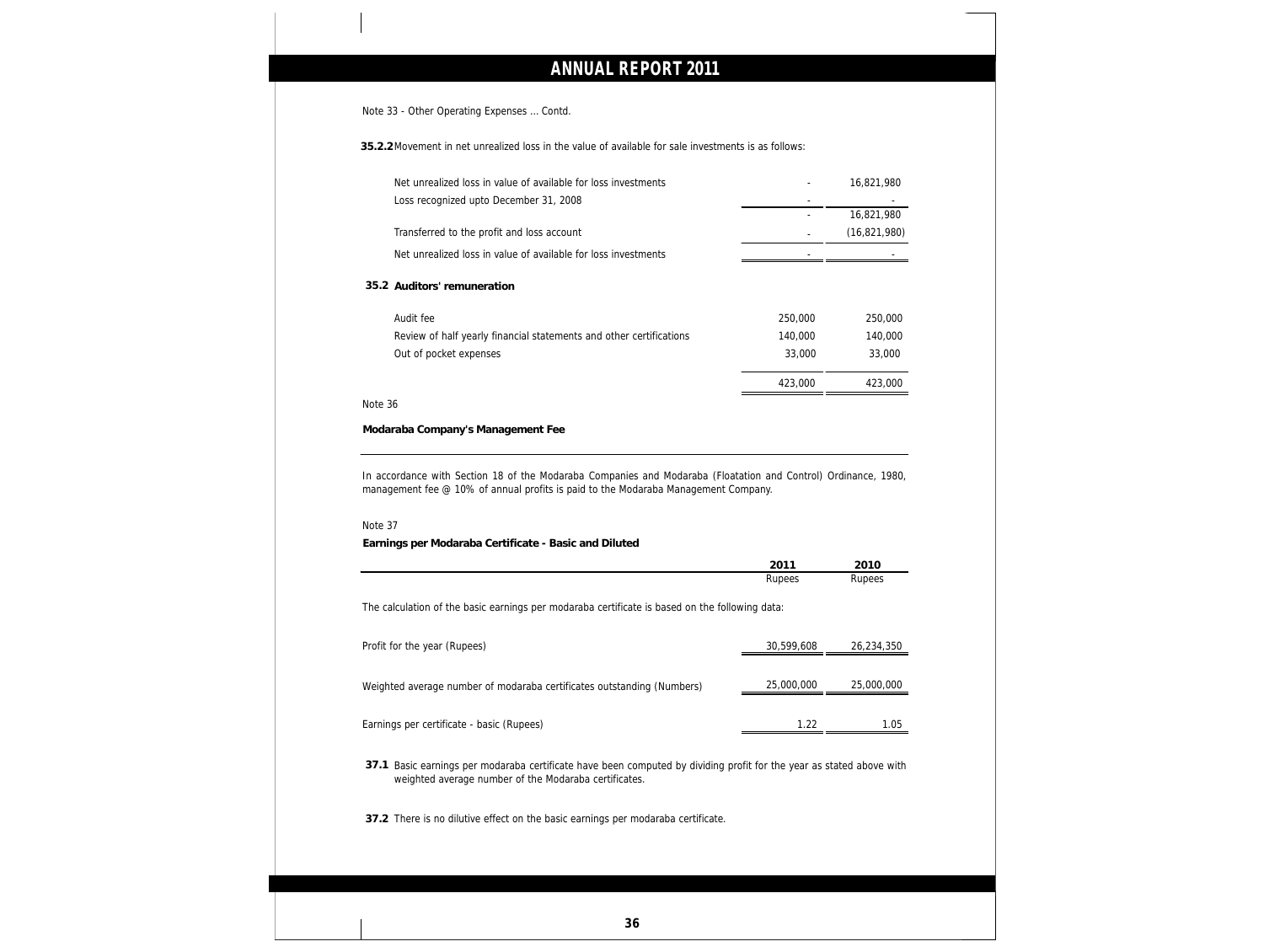Note 33 - Other Operating Expenses … Contd.

**35.2.2**Movement in net unrealized loss in the value of available for sale investments is as follows:

| Net unrealized loss in value of available for loss investments                                                                                                                |            | 16,821,980               |
|-------------------------------------------------------------------------------------------------------------------------------------------------------------------------------|------------|--------------------------|
| Loss recognized upto December 31, 2008                                                                                                                                        |            |                          |
|                                                                                                                                                                               |            | 16,821,980               |
| Transferred to the profit and loss account                                                                                                                                    |            | (16, 821, 980)           |
| Net unrealized loss in value of available for loss investments                                                                                                                |            |                          |
| 35.2 Auditors' remuneration                                                                                                                                                   |            |                          |
| Audit fee                                                                                                                                                                     | 250,000    | 250,000                  |
| Review of half yearly financial statements and other certifications                                                                                                           | 140,000    | 140,000                  |
| Out of pocket expenses                                                                                                                                                        | 33,000     | 33,000                   |
|                                                                                                                                                                               | 423,000    | 423,000                  |
| Note 36                                                                                                                                                                       |            |                          |
| Modaraba Company's Management Fee                                                                                                                                             |            |                          |
|                                                                                                                                                                               |            |                          |
|                                                                                                                                                                               |            |                          |
| In accordance with Section 18 of the Modaraba Companies and Modaraba (Floatation and Control) Ordinance, 1980,                                                                |            |                          |
| management fee @ 10% of annual profits is paid to the Modaraba Management Company.                                                                                            |            |                          |
|                                                                                                                                                                               |            |                          |
| Note 37<br>Earnings per Modaraba Certificate - Basic and Diluted                                                                                                              |            |                          |
|                                                                                                                                                                               | 2011       | 2010                     |
|                                                                                                                                                                               | Rupees     | Rupees                   |
|                                                                                                                                                                               |            |                          |
| The calculation of the basic earnings per modaraba certificate is based on the following data:                                                                                |            |                          |
|                                                                                                                                                                               | 30,599,608 |                          |
| Profit for the year (Rupees)                                                                                                                                                  |            |                          |
|                                                                                                                                                                               | 25,000,000 |                          |
|                                                                                                                                                                               |            | 26,234,350<br>25,000,000 |
| Weighted average number of modaraba certificates outstanding (Numbers)<br>Earnings per certificate - basic (Rupees)                                                           |            |                          |
|                                                                                                                                                                               |            |                          |
|                                                                                                                                                                               |            |                          |
| 37.1 Basic earnings per modaraba certificate have been computed by dividing profit for the year as stated above with<br>weighted average number of the Modaraba certificates. |            | $\frac{1.22}{1.05}$      |
| 37.2 There is no dilutive effect on the basic earnings per modaraba certificate.                                                                                              |            |                          |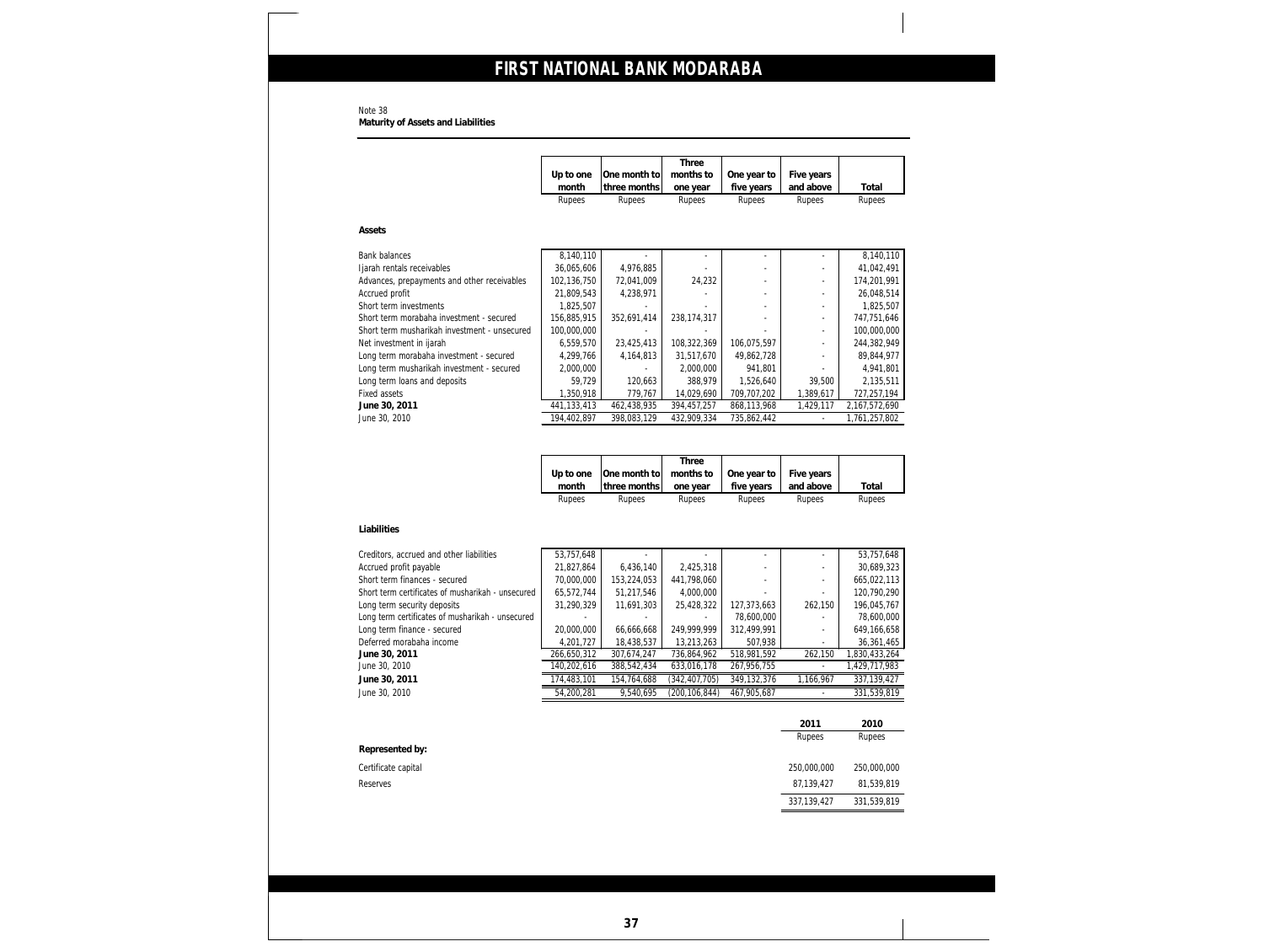**Maturity of Assets and Liabilities**

|                                                                                    | Up to one                | One month to              | months to                 | One year to               | Five years               |                            |
|------------------------------------------------------------------------------------|--------------------------|---------------------------|---------------------------|---------------------------|--------------------------|----------------------------|
|                                                                                    | month                    | three months              | one year                  | five years                | and above                | Total                      |
|                                                                                    | Rupees                   | Rupees                    | Rupees                    | Rupees                    | Rupees                   | Rupees                     |
| Assets                                                                             |                          |                           |                           |                           |                          |                            |
| <b>Bank balances</b>                                                               | 8,140,110                |                           |                           |                           |                          | 8,140,110                  |
| Ijarah rentals receivables                                                         | 36,065,606               | 4,976,885                 |                           |                           |                          | 41,042,491                 |
| Advances, prepayments and other receivables                                        | 102,136,750              | 72,041,009                | 24,232                    |                           | ÷,                       | 174,201,991                |
| Accrued profit                                                                     | 21,809,543               | 4,238,971                 |                           |                           | $\frac{1}{2}$            | 26,048,514                 |
| Short term investments                                                             | 1,825,507                |                           |                           |                           | $\overline{\phantom{a}}$ | 1,825,507                  |
| Short term morabaha investment - secured                                           | 156,885,915              | 352,691,414               | 238, 174, 317             |                           | $\overline{\phantom{a}}$ | 747,751,646                |
| Short term musharikah investment - unsecured                                       | 100,000,000              |                           |                           |                           | $\frac{1}{2}$            | 100,000,000                |
| Net investment in ijarah<br>Long term morabaha investment - secured                | 6,559,570<br>4,299,766   | 23,425,413<br>4, 164, 813 | 108,322,369<br>31,517,670 | 106,075,597<br>49,862,728 | $\frac{1}{2}$<br>÷,      | 244,382,949<br>89,844,977  |
| Long term musharikah investment - secured                                          | 2,000,000                |                           | 2,000,000                 | 941,801                   |                          | 4,941,801                  |
| Long term loans and deposits                                                       | 59,729                   | 120,663                   | 388,979                   | 1,526,640                 | 39,500                   | 2,135,511                  |
| Fixed assets                                                                       | 1,350,918                | 779,767                   | 14,029,690                | 709,707,202               | 1,389,617                | 727,257,194                |
| June 30, 2011                                                                      | 441, 133, 413            | 462,438,935               | 394,457,257               | 868,113,968               | 1,429,117                | 2,167,572,690              |
| June 30, 2010                                                                      | 194,402,897              | 398,083,129               | 432,909,334               | 735,862,442               | $\overline{\phantom{a}}$ | 1,761,257,802              |
|                                                                                    |                          |                           |                           |                           |                          |                            |
|                                                                                    |                          |                           | Three                     |                           |                          |                            |
|                                                                                    | Up to one                | One month to              | months to                 | One year to               | Five years               |                            |
|                                                                                    | month<br>Rupees          | three months<br>Rupees    | one year<br>Rupees        | five years<br>Rupees      | and above<br>Rupees      | Total<br>Rupees            |
| Liabilities                                                                        |                          |                           |                           |                           |                          |                            |
| Creditors, accrued and other liabilities                                           | 53,757,648               |                           |                           |                           |                          | 53,757,648                 |
| Accrued profit payable                                                             | 21,827,864               | 6,436,140                 | 2,425,318                 |                           | ÷,                       | 30,689,323                 |
| Short term finances - secured<br>Short term certificates of musharikah - unsecured | 70,000,000               | 153,224,053               | 441,798,060<br>4,000,000  |                           |                          | 665,022,113                |
| Long term security deposits                                                        | 65,572,744<br>31,290,329 | 51,217,546<br>11,691,303  | 25,428,322                | 127,373,663               | 262,150                  | 120,790,290<br>196,045,767 |
| Long term certificates of musharikah - unsecured                                   |                          |                           | ÷.                        | 78,600,000                |                          | 78,600,000                 |
| Long term finance - secured                                                        | 20,000,000               | 66,666,668                | 249,999,999               | 312,499,991               | $\overline{a}$           | 649,166,658                |
| Deferred morabaha income                                                           | 4,201,727                | 18,438,537                | 13,213,263                | 507,938                   |                          | 36,361,465                 |
| June 30, 2011                                                                      | 266,650,312              | 307,674,247               | 736,864,962               | 518,981,592               | 262,150                  | 1,830,433,264              |
| June 30, 2010                                                                      | 140,202,616              | 388,542,434               | 633,016,178               | 267,956,755               |                          | 1,429,717,983              |
| June 30, 2011                                                                      | 174,483,101              | 154,764,688               | (342, 407, 705)           | 349,132,376               | 1,166,967                | 337, 139, 427              |
| June 30, 2010                                                                      | 54,200,281               | 9,540,695                 | (200, 106, 844)           | 467,905,687               |                          | 331,539,819                |
|                                                                                    |                          |                           |                           |                           | 2011                     | 2010                       |
| Represented by:                                                                    |                          |                           |                           |                           | Rupees                   | Rupees                     |
| Certificate capital                                                                |                          |                           |                           |                           | 250,000,000              | 250,000,000                |
| Reserves                                                                           |                          |                           |                           |                           | 87,139,427               | 81,539,819                 |

Note 38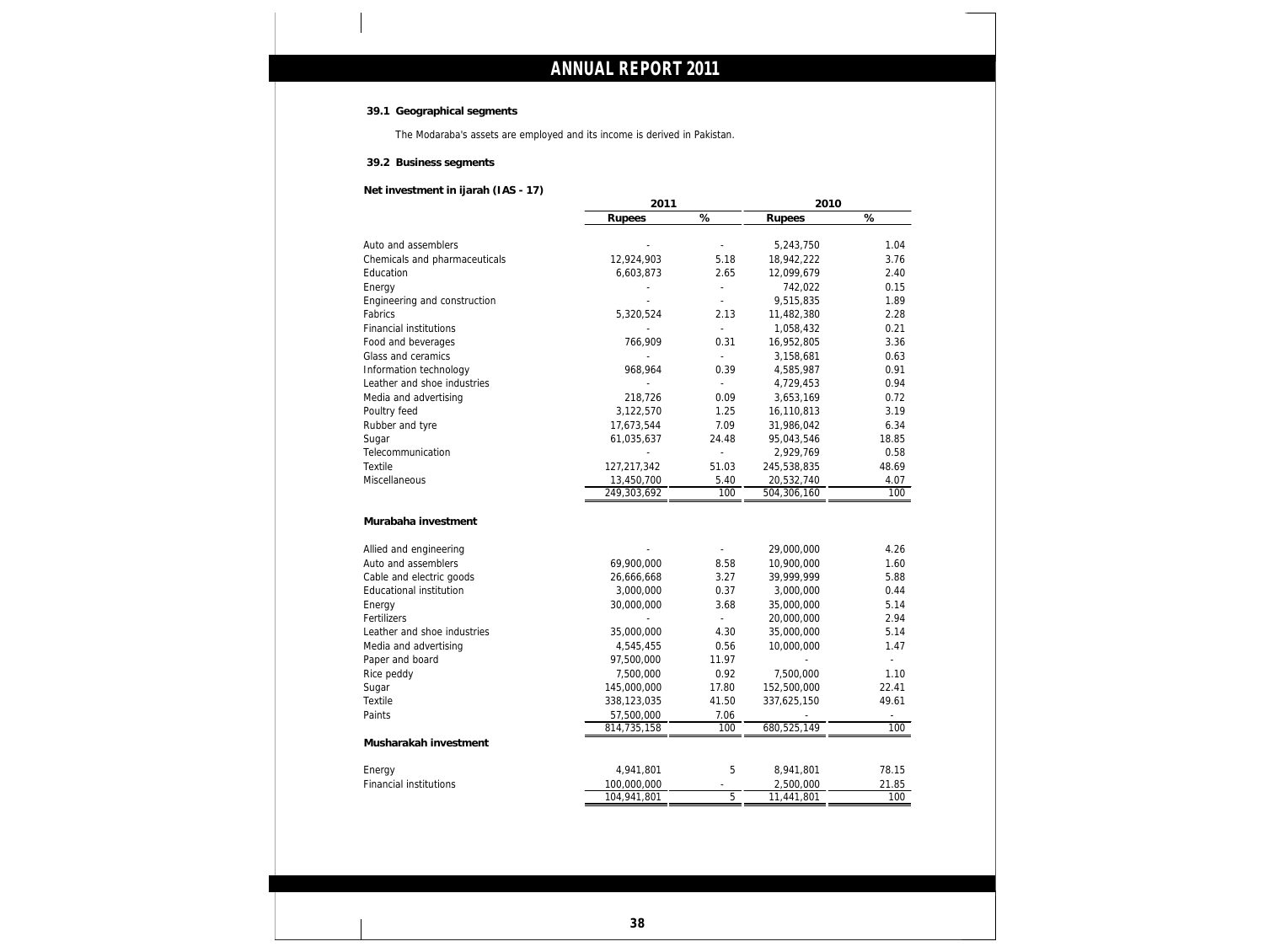### **39.1 Geographical segments**

The Modaraba's assets are employed and its income is derived in Pakistan.

**39.2 Business segments**

**Net investment in ijarah (IAS - 17)**

|                                         | 2011                      |                | 2010                       |                                                                                                                        |
|-----------------------------------------|---------------------------|----------------|----------------------------|------------------------------------------------------------------------------------------------------------------------|
|                                         | Rupees                    | $\%$           | Rupees                     | $\%$                                                                                                                   |
| Auto and assemblers                     |                           | $\overline{a}$ | 5,243,750                  | 1.04                                                                                                                   |
| Chemicals and pharmaceuticals           | 12,924,903                | 5.18           | 18,942,222                 | 3.76                                                                                                                   |
| Education                               | 6,603,873                 | 2.65           | 12,099,679                 | 2.40                                                                                                                   |
| Energy                                  |                           |                | 742,022                    | 0.15                                                                                                                   |
| Engineering and construction            |                           | L,             | 9,515,835                  | 1.89                                                                                                                   |
| Fabrics                                 | 5,320,524                 | 2.13           | 11,482,380                 | 2.28                                                                                                                   |
| <b>Financial institutions</b>           |                           |                | 1,058,432                  | 0.21                                                                                                                   |
| Food and beverages                      | 766,909                   | 0.31           | 16,952,805                 | 3.36                                                                                                                   |
| Glass and ceramics                      |                           |                | 3,158,681                  | 0.63                                                                                                                   |
| Information technology                  | 968,964                   | 0.39           | 4,585,987                  | 0.91                                                                                                                   |
| Leather and shoe industries             |                           |                | 4,729,453                  | 0.94                                                                                                                   |
| Media and advertising                   | 218,726                   | 0.09           | 3,653,169                  | 0.72                                                                                                                   |
| Poultry feed                            | 3,122,570                 | 1.25           | 16,110,813                 | 3.19                                                                                                                   |
| Rubber and tyre                         | 17,673,544                | 7.09           | 31,986,042                 | 6.34                                                                                                                   |
| Sugar                                   | 61,035,637                | 24.48          | 95,043,546                 | 18.85                                                                                                                  |
| Telecommunication                       |                           | ä,             | 2,929,769                  | 0.58                                                                                                                   |
| Textile                                 | 127,217,342               | 51.03          | 245,538,835                | 48.69                                                                                                                  |
| Miscellaneous                           | 13,450,700                | 5.40           | 20,532,740                 | 4.07                                                                                                                   |
|                                         |                           |                |                            |                                                                                                                        |
|                                         | 249,303,692               | 100            | 504,306,160                |                                                                                                                        |
| Murabaha investment                     |                           |                |                            |                                                                                                                        |
| Allied and engineering                  |                           |                | 29,000,000                 |                                                                                                                        |
| Auto and assemblers                     | 69,900,000                | 8.58           | 10,900,000                 |                                                                                                                        |
| Cable and electric goods                | 26,666,668                | 3.27           | 39,999,999                 |                                                                                                                        |
| Educational institution                 | 3,000,000                 | 0.37           | 3,000,000                  |                                                                                                                        |
| Energy                                  | 30,000,000                | 3.68<br>L,     | 35,000,000                 |                                                                                                                        |
| Fertilizers                             |                           |                | 20,000,000                 |                                                                                                                        |
| Leather and shoe industries             | 35,000,000                | 4.30           | 35,000,000                 |                                                                                                                        |
| Media and advertising                   | 4,545,455                 | 0.56           | 10,000,000                 | $\overline{\phantom{a}}$                                                                                               |
| Paper and board                         | 97,500,000                | 11.97          |                            |                                                                                                                        |
| Rice peddy                              | 7,500,000                 | 0.92           | 7,500,000                  |                                                                                                                        |
| Sugar<br><b>Textile</b>                 | 145,000,000               | 17.80<br>41.50 | 152,500,000<br>337,625,150 |                                                                                                                        |
| Paints                                  | 338,123,035               |                |                            |                                                                                                                        |
|                                         | 57,500,000<br>814,735,158 | 7.06<br>100    | 680,525,149                |                                                                                                                        |
| Musharakah investment                   |                           |                |                            |                                                                                                                        |
|                                         | 4,941,801                 | 5              | 8,941,801                  |                                                                                                                        |
| Energy<br><b>Financial institutions</b> | 100,000,000               |                | 2,500,000                  | 100<br>4.26<br>1.60<br>5.88<br>0.44<br>5.14<br>2.94<br>5.14<br>1.47<br>1.10<br>22.41<br>49.61<br>100<br>78.15<br>21.85 |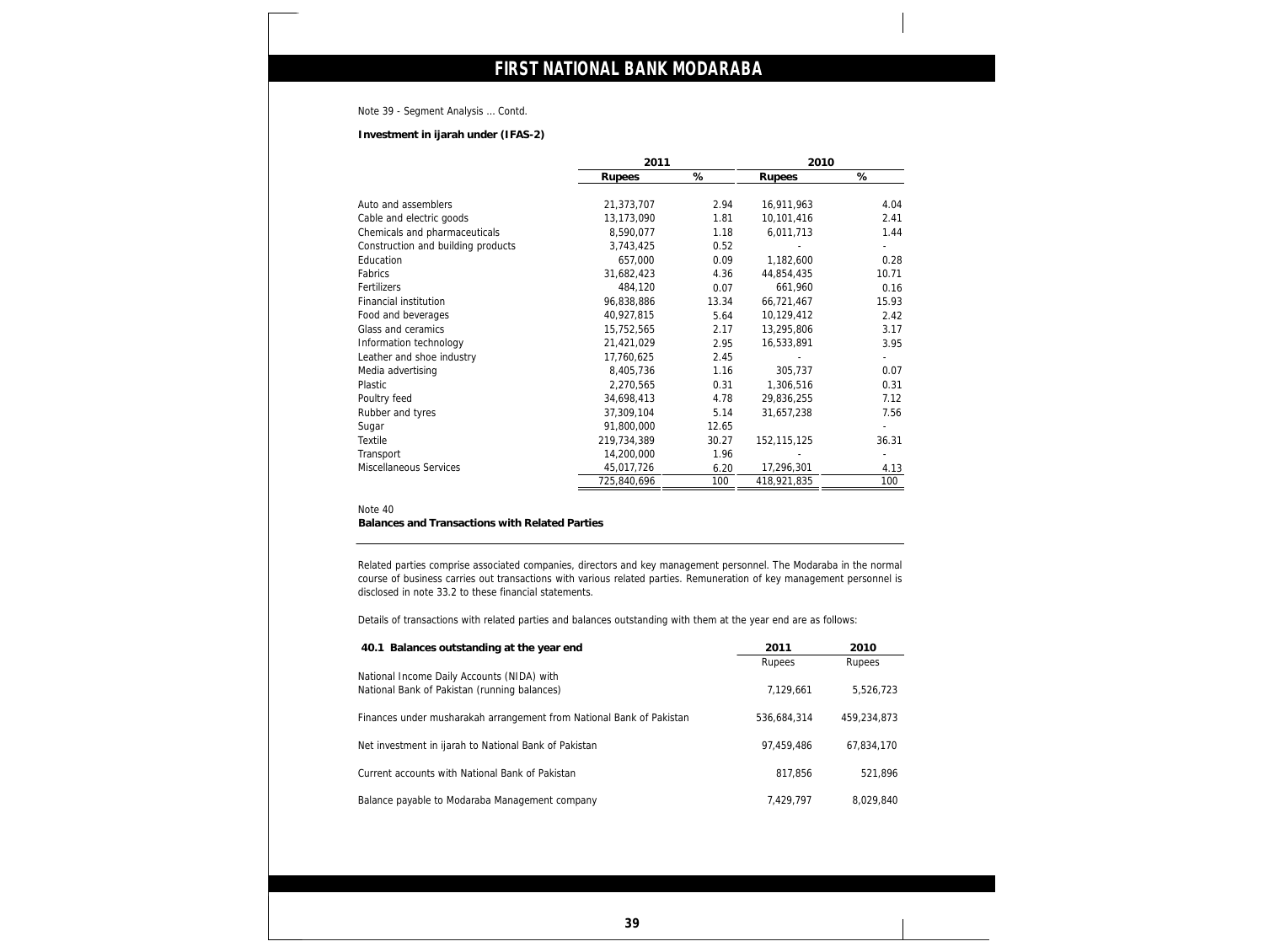### Note 39 - Segment Analysis … Contd.

**Investment in ijarah under (IFAS-2)**

|                                    | 2011        |       | 2010          |       |
|------------------------------------|-------------|-------|---------------|-------|
|                                    | Rupees      | %     | Rupees        | %     |
| Auto and assemblers                | 21,373,707  | 2.94  | 16,911,963    | 4.04  |
| Cable and electric goods           | 13,173,090  | 1.81  | 10,101,416    | 2.41  |
| Chemicals and pharmaceuticals      | 8,590,077   | 1.18  | 6,011,713     | 1.44  |
| Construction and building products | 3,743,425   | 0.52  |               |       |
| Education                          | 657,000     | 0.09  | 1,182,600     | 0.28  |
| Fabrics                            | 31,682,423  | 4.36  | 44,854,435    | 10.71 |
| Fertilizers                        | 484,120     | 0.07  | 661,960       | 0.16  |
| Financial institution              | 96,838,886  | 13.34 | 66,721,467    | 15.93 |
| Food and beverages                 | 40,927,815  | 5.64  | 10,129,412    | 2.42  |
| Glass and ceramics                 | 15,752,565  | 2.17  | 13,295,806    | 3.17  |
| Information technology             | 21,421,029  | 2.95  | 16,533,891    | 3.95  |
| Leather and shoe industry          | 17,760,625  | 2.45  |               |       |
| Media advertising                  | 8,405,736   | 1.16  | 305,737       | 0.07  |
| Plastic                            | 2,270,565   | 0.31  | 1,306,516     | 0.31  |
| Poultry feed                       | 34,698,413  | 4.78  | 29,836,255    | 7.12  |
| Rubber and tyres                   | 37,309,104  | 5.14  | 31,657,238    | 7.56  |
| Sugar                              | 91,800,000  | 12.65 |               |       |
| Textile                            | 219,734,389 | 30.27 | 152, 115, 125 | 36.31 |
| Transport                          | 14,200,000  | 1.96  |               |       |
| Miscellaneous Services             | 45,017,726  | 6.20  | 17,296,301    | 4.13  |
|                                    | 725,840,696 | 100   | 418,921,835   | 100   |

### Note 40

**Balances and Transactions with Related Parties**

Related parties comprise associated companies, directors and key management personnel. The Modaraba in the normal course of business carries out transactions with various related parties. Remuneration of key management personnel is disclosed in note 33.2 to these financial statements.

Details of transactions with related parties and balances outstanding with them at the year end are as follows:

| 40.1 Balances outstanding at the year end                            | 2011        | 2010        |
|----------------------------------------------------------------------|-------------|-------------|
|                                                                      | Rupees      | Rupees      |
| National Income Daily Accounts (NIDA) with                           |             |             |
| National Bank of Pakistan (running balances)                         | 7,129,661   | 5,526,723   |
|                                                                      |             |             |
| Finances under musharakah arrangement from National Bank of Pakistan | 536.684.314 | 459,234,873 |
| Net investment in ijarah to National Bank of Pakistan                | 97,459,486  | 67.834.170  |
|                                                                      |             |             |
| Current accounts with National Bank of Pakistan                      | 817.856     | 521.896     |
|                                                                      |             |             |
| Balance payable to Modaraba Management company                       | 7.429.797   | 8,029,840   |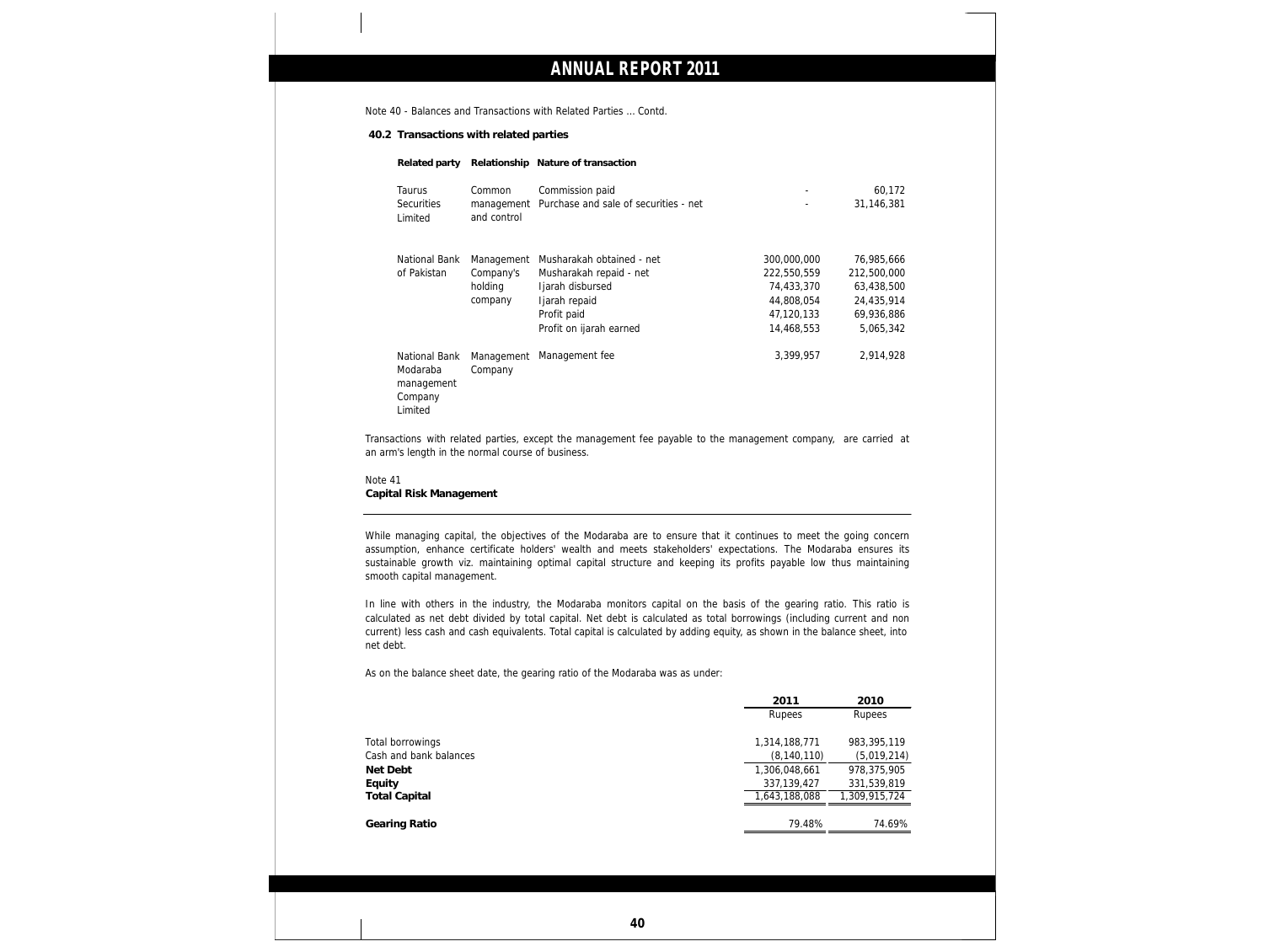Note 40 - Balances and Transactions with Related Parties … Contd.

**40.2 Transactions with related parties**

**Related party Relationship Nature of transaction**

| <b>Taurus</b><br><b>Securities</b><br>Limited | Common<br>and control                         | Commission paid<br>management Purchase and sale of securities - net                                                                 | ۰<br>٠                                                                             | 60,172<br>31,146,381                                                             |  |
|-----------------------------------------------|-----------------------------------------------|-------------------------------------------------------------------------------------------------------------------------------------|------------------------------------------------------------------------------------|----------------------------------------------------------------------------------|--|
| National Bank<br>of Pakistan                  | Management<br>Company's<br>holding<br>company | Musharakah obtained - net<br>Musharakah repaid - net<br>Ijarah disbursed<br>Ijarah repaid<br>Profit paid<br>Profit on ijarah earned | 300,000,000<br>222,550,559<br>74,433,370<br>44,808,054<br>47,120,133<br>14,468,553 | 76,985,666<br>212,500,000<br>63,438,500<br>24.435.914<br>69,936,886<br>5,065,342 |  |
| National Bank<br>Modaraba<br>management       | Management<br>Company                         | Management fee                                                                                                                      | 3,399,957                                                                          | 2.914.928                                                                        |  |

Transactions with related parties, except the management fee payable to the management company, are carried at an arm's length in the normal course of business.

Note 41 **Capital Risk Management**

Company Limited

While managing capital, the objectives of the Modaraba are to ensure that it continues to meet the going concern assumption, enhance certificate holders' wealth and meets stakeholders' expectations. The Modaraba ensures its sustainable growth viz. maintaining optimal capital structure and keeping its profits payable low thus maintaining smooth capital management.

In line with others in the industry, the Modaraba monitors capital on the basis of the gearing ratio. This ratio is calculated as net debt divided by total capital. Net debt is calculated as total borrowings (including current and non current) less cash and cash equivalents. Total capital is calculated by adding equity, as shown in the balance sheet, into net debt.

As on the balance sheet date, the gearing ratio of the Modaraba was as under:

|                        | 2011          | 2010          |
|------------------------|---------------|---------------|
|                        | Rupees        | Rupees        |
| Total borrowings       | 1,314,188,771 | 983,395,119   |
| Cash and bank balances | (8, 140, 110) | (5,019,214)   |
| Net Debt               | 1,306,048,661 | 978,375,905   |
| Equity                 | 337, 139, 427 | 331,539,819   |
| <b>Total Capital</b>   | 1,643,188,088 | 1,309,915,724 |
| Gearing Ratio          | 79.48%        | 74.69%        |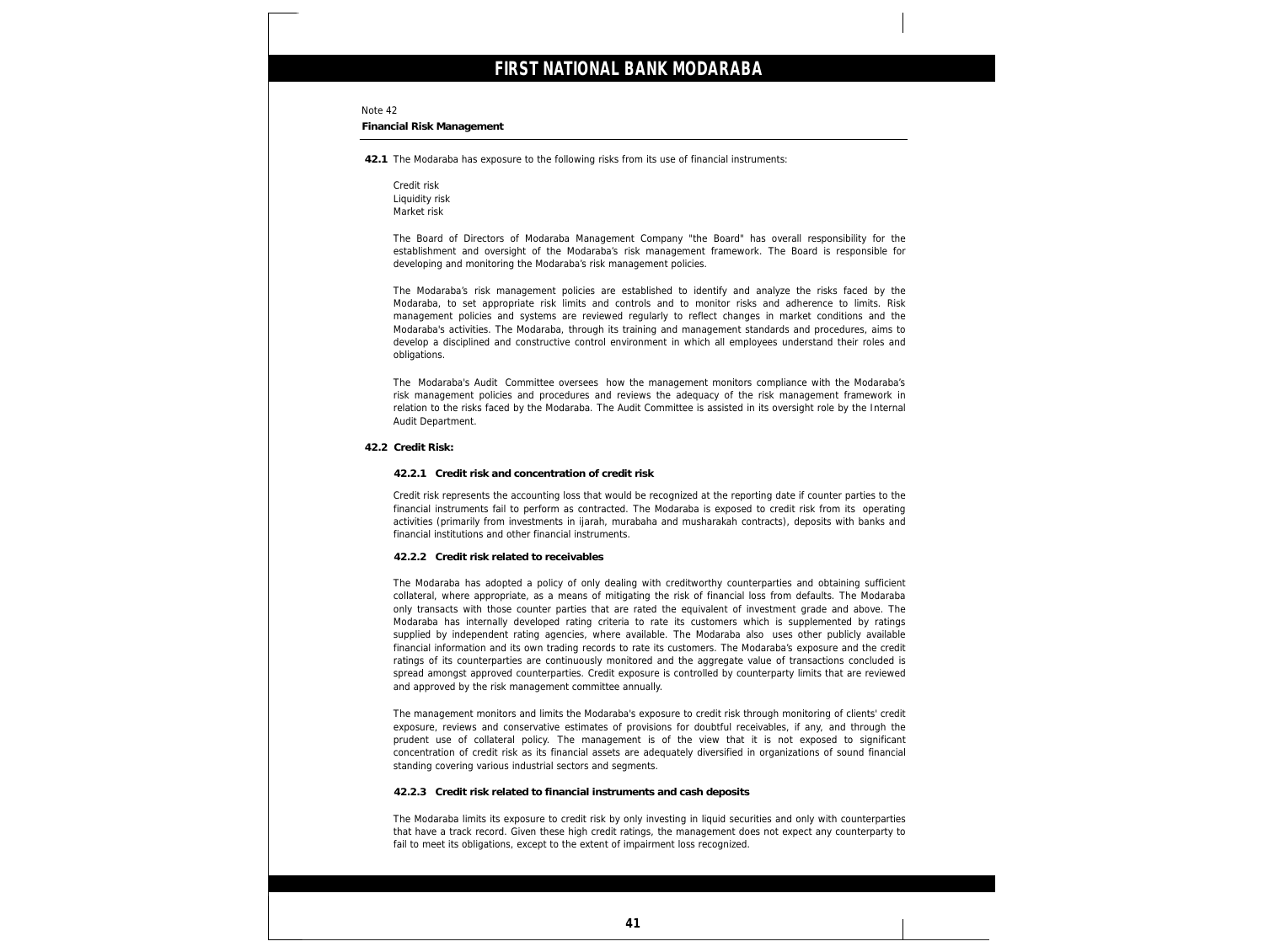#### Note 42

**Financial Risk Management**

**42.1** The Modaraba has exposure to the following risks from its use of financial instruments:

Credit risk Liquidity risk Market risk

The Board of Directors of Modaraba Management Company "the Board" has overall responsibility for the establishment and oversight of the Modaraba's risk management framework. The Board is responsible for developing and monitoring the Modaraba's risk management policies.

The Modaraba's risk management policies are established to identify and analyze the risks faced by the Modaraba, to set appropriate risk limits and controls and to monitor risks and adherence to limits. Risk management policies and systems are reviewed regularly to reflect changes in market conditions and the Modaraba's activities. The Modaraba, through its training and management standards and procedures, aims to develop a disciplined and constructive control environment in which all employees understand their roles and obligations.

The Modaraba's Audit Committee oversees how the management monitors compliance with the Modaraba's risk management policies and procedures and reviews the adequacy of the risk management framework in relation to the risks faced by the Modaraba. The Audit Committee is assisted in its oversight role by the Internal Audit Department.

#### **42.2 Credit Risk:**

**42.2.1 Credit risk and concentration of credit risk**

Credit risk represents the accounting loss that would be recognized at the reporting date if counter parties to the financial instruments fail to perform as contracted. The Modaraba is exposed to credit risk from its operating activities (primarily from investments in ijarah, murabaha and musharakah contracts), deposits with banks and financial institutions and other financial instruments.

#### **42.2.2 Credit risk related to receivables**

The Modaraba has adopted a policy of only dealing with creditworthy counterparties and obtaining sufficient collateral, where appropriate, as a means of mitigating the risk of financial loss from defaults. The Modaraba only transacts with those counter parties that are rated the equivalent of investment grade and above. The Modaraba has internally developed rating criteria to rate its customers which is supplemented by ratings supplied by independent rating agencies, where available. The Modaraba also uses other publicly available financial information and its own trading records to rate its customers. The Modaraba's exposure and the credit ratings of its counterparties are continuously monitored and the aggregate value of transactions concluded is spread amongst approved counterparties. Credit exposure is controlled by counterparty limits that are reviewed and approved by the risk management committee annually.

The management monitors and limits the Modaraba's exposure to credit risk through monitoring of clients' credit exposure, reviews and conservative estimates of provisions for doubtful receivables, if any, and through the prudent use of collateral policy. The management is of the view that it is not exposed to significant concentration of credit risk as its financial assets are adequately diversified in organizations of sound financial standing covering various industrial sectors and segments.

**42.2.3 Credit risk related to financial instruments and cash deposits**

The Modaraba limits its exposure to credit risk by only investing in liquid securities and only with counterparties that have a track record. Given these high credit ratings, the management does not expect any counterparty to fail to meet its obligations, except to the extent of impairment loss recognized.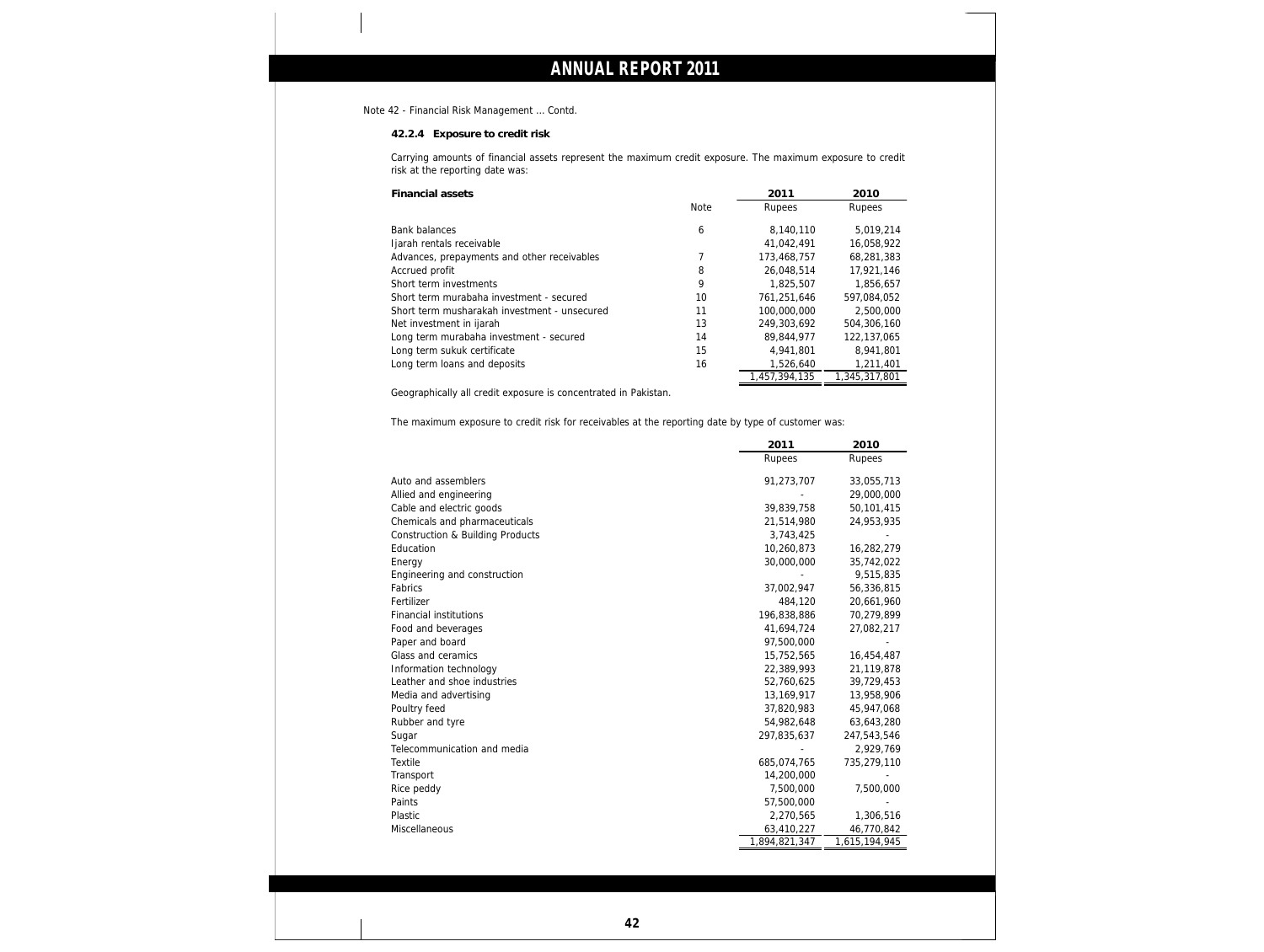Note 42 - Financial Risk Management … Contd.

**42.2.4 Exposure to credit risk**

Carrying amounts of financial assets represent the maximum credit exposure. The maximum exposure to credit risk at the reporting date was:

| <b>Financial assets</b>                      |             | 2011          | 2010          |
|----------------------------------------------|-------------|---------------|---------------|
|                                              | <b>Note</b> | Rupees        | Rupees        |
| <b>Bank balances</b>                         | 6           | 8.140.110     | 5.019.214     |
| Ijarah rentals receivable                    |             | 41.042.491    | 16,058,922    |
| Advances, prepayments and other receivables  |             | 173,468,757   | 68,281,383    |
| Accrued profit                               | 8           | 26.048.514    | 17.921.146    |
| Short term investments                       | 9           | 1.825.507     | 1.856.657     |
| Short term murabaha investment - secured     | 10          | 761.251.646   | 597.084.052   |
| Short term musharakah investment - unsecured | 11          | 100,000,000   | 2,500,000     |
| Net investment in ijarah                     | 13          | 249,303,692   | 504,306,160   |
| Long term murabaha investment - secured      | 14          | 89,844,977    | 122,137,065   |
| Long term sukuk certificate                  | 15          | 4.941.801     | 8,941,801     |
| Long term loans and deposits                 | 16          | 1,526,640     | 1,211,401     |
|                                              |             | 1,457,394,135 | 1,345,317,801 |

Geographically all credit exposure is concentrated in Pakistan.

The maximum exposure to credit risk for receivables at the reporting date by type of customer was:

|                                             | 2011          | 2010          |
|---------------------------------------------|---------------|---------------|
|                                             | Rupees        | Rupees        |
| Auto and assemblers                         | 91,273,707    | 33,055,713    |
| Allied and engineering                      |               | 29,000,000    |
| Cable and electric goods                    | 39,839,758    | 50,101,415    |
| Chemicals and pharmaceuticals               | 21,514,980    | 24,953,935    |
| <b>Construction &amp; Building Products</b> | 3,743,425     |               |
| Education                                   | 10,260,873    | 16,282,279    |
| Energy                                      | 30,000,000    | 35,742,022    |
| Engineering and construction                |               | 9,515,835     |
| Fabrics                                     | 37,002,947    | 56,336,815    |
| Fertilizer                                  | 484,120       | 20,661,960    |
| <b>Financial institutions</b>               | 196,838,886   | 70,279,899    |
| Food and beverages                          | 41,694,724    | 27,082,217    |
| Paper and board                             | 97,500,000    |               |
| Glass and ceramics                          | 15,752,565    | 16,454,487    |
| Information technology                      | 22,389,993    | 21,119,878    |
| Leather and shoe industries                 | 52,760,625    | 39,729,453    |
| Media and advertising                       | 13,169,917    | 13,958,906    |
| Poultry feed                                | 37,820,983    | 45,947,068    |
| Rubber and tyre                             | 54,982,648    | 63,643,280    |
| Sugar                                       | 297,835,637   | 247,543,546   |
| Telecommunication and media                 |               | 2,929,769     |
| <b>Textile</b>                              | 685,074,765   | 735,279,110   |
| Transport                                   | 14,200,000    |               |
| Rice peddy                                  | 7,500,000     | 7,500,000     |
| Paints                                      | 57,500,000    |               |
| Plastic                                     | 2,270,565     | 1,306,516     |
| Miscellaneous                               | 63,410,227    | 46,770,842    |
|                                             | 1,894,821,347 | 1,615,194,945 |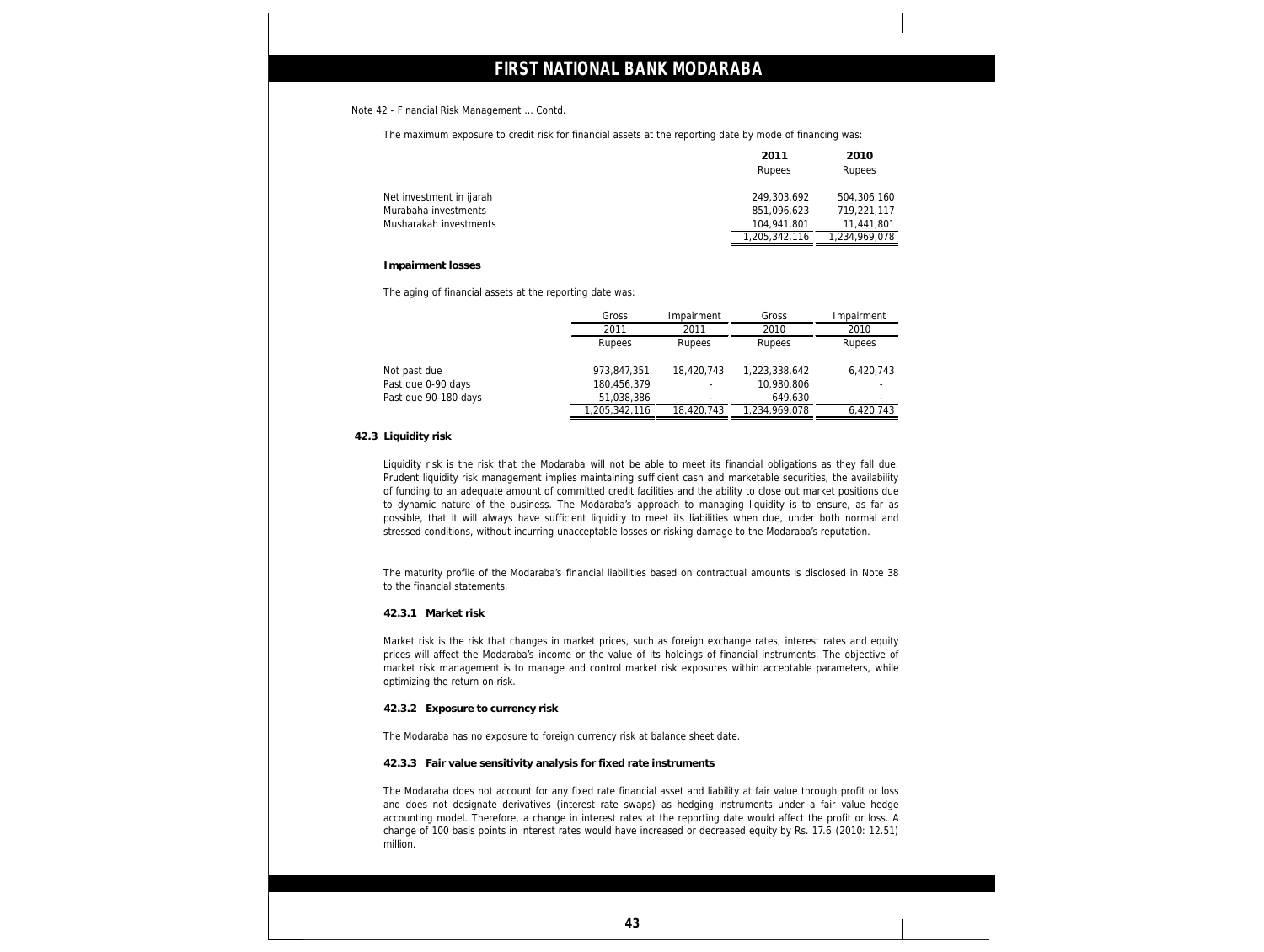#### Note 42 - Financial Risk Management … Contd.

The maximum exposure to credit risk for financial assets at the reporting date by mode of financing was:

|                          | 2011          | 2010          |
|--------------------------|---------------|---------------|
|                          | Rupees        | Rupees        |
| Net investment in ijarah | 249,303,692   | 504,306,160   |
| Murabaha investments     | 851,096,623   | 719,221,117   |
| Musharakah investments   | 104,941,801   | 11,441,801    |
|                          | 1,205,342,116 | 1,234,969,078 |

#### **Impairment losses**

The aging of financial assets at the reporting date was:

|                      | Gross         | Impairment | Gross         | Impairment |
|----------------------|---------------|------------|---------------|------------|
|                      | 2011          | 2011       | 2010          | 2010       |
|                      | Rupees        | Rupees     | Rupees        | Rupees     |
| Not past due         | 973,847,351   | 18,420,743 | 1,223,338,642 | 6,420,743  |
| Past due 0-90 days   | 180,456,379   |            | 10,980,806    |            |
| Past due 90-180 days | 51,038,386    |            | 649,630       |            |
|                      | 1,205,342,116 | 18,420,743 | 1,234,969,078 | 6,420,743  |

### **42.3 Liquidity risk**

Liquidity risk is the risk that the Modaraba will not be able to meet its financial obligations as they fall due. Prudent liquidity risk management implies maintaining sufficient cash and marketable securities, the availability of funding to an adequate amount of committed credit facilities and the ability to close out market positions due to dynamic nature of the business. The Modaraba's approach to managing liquidity is to ensure, as far as possible, that it will always have sufficient liquidity to meet its liabilities when due, under both normal and stressed conditions, without incurring unacceptable losses or risking damage to the Modaraba's reputation.

The maturity profile of the Modaraba's financial liabilities based on contractual amounts is disclosed in Note 38 to the financial statements.

### **42.3.1 Market risk**

Market risk is the risk that changes in market prices, such as foreign exchange rates, interest rates and equity prices will affect the Modaraba's income or the value of its holdings of financial instruments. The objective of market risk management is to manage and control market risk exposures within acceptable parameters, while optimizing the return on risk.

### **42.3.2 Exposure to currency risk**

The Modaraba has no exposure to foreign currency risk at balance sheet date.

**42.3.3 Fair value sensitivity analysis for fixed rate instruments**

The Modaraba does not account for any fixed rate financial asset and liability at fair value through profit or loss and does not designate derivatives (interest rate swaps) as hedging instruments under a fair value hedge accounting model. Therefore, a change in interest rates at the reporting date would affect the profit or loss. A change of 100 basis points in interest rates would have increased or decreased equity by Rs. 17.6 (2010: 12.51) million.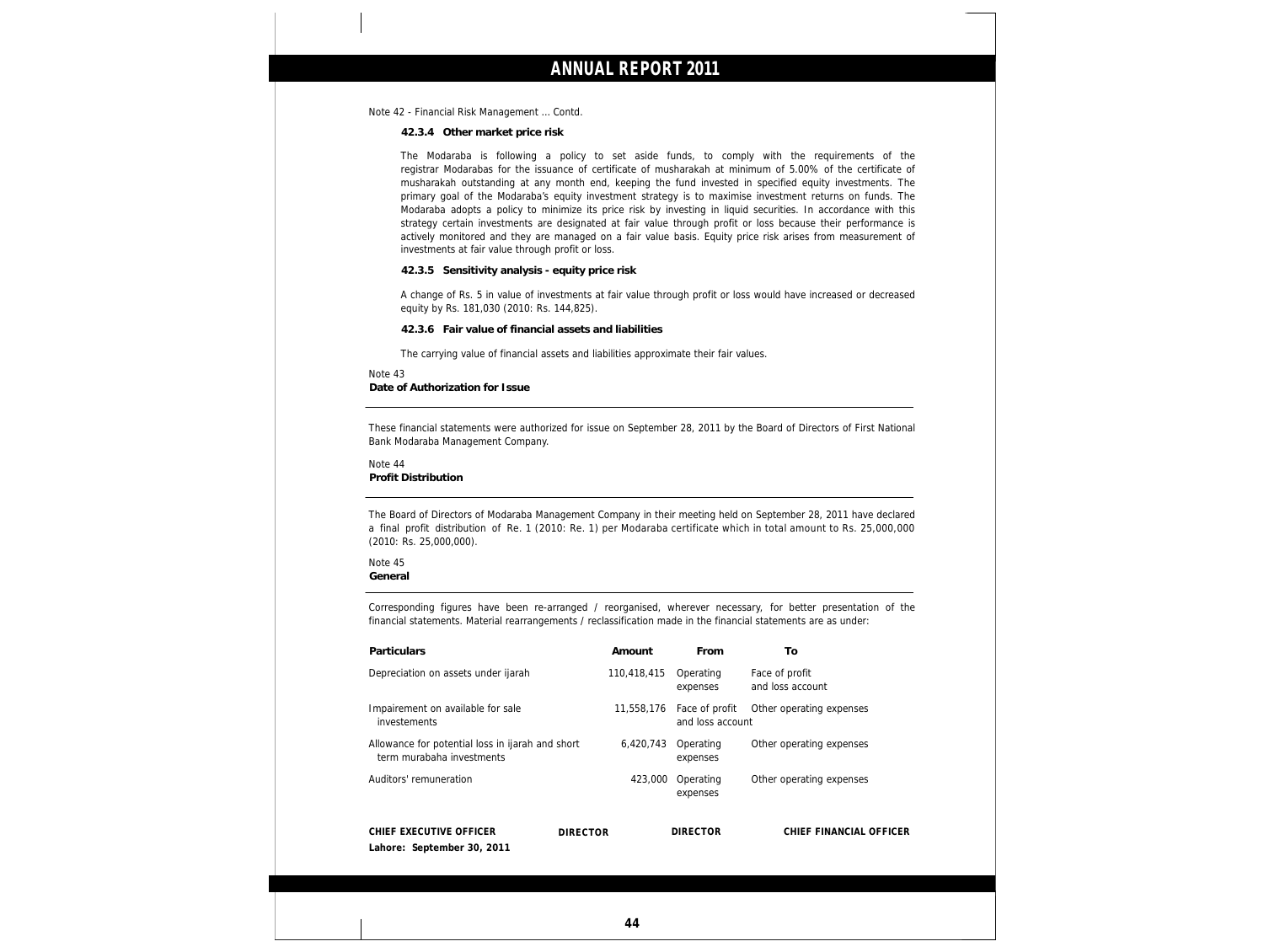Note 42 - Financial Risk Management … Contd.

**42.3.4 Other market price risk**

The Modaraba is following a policy to set aside funds, to comply with the requirements of the registrar Modarabas for the issuance of certificate of musharakah at minimum of 5.00% of the certificate of musharakah outstanding at any month end, keeping the fund invested in specified equity investments. The primary goal of the Modaraba's equity investment strategy is to maximise investment returns on funds. The Modaraba adopts a policy to minimize its price risk by investing in liquid securities. In accordance with this strategy certain investments are designated at fair value through profit or loss because their performance is actively monitored and they are managed on a fair value basis. Equity price risk arises from measurement of investments at fair value through profit or loss.

**42.3.5 Sensitivity analysis - equity price risk**

A change of Rs. 5 in value of investments at fair value through profit or loss would have increased or decreased equity by Rs. 181,030 (2010: Rs. 144,825).

**42.3.6 Fair value of financial assets and liabilities**

The carrying value of financial assets and liabilities approximate their fair values.

Note 43 **Date of Authorization for Issue**

These financial statements were authorized for issue on September 28, 2011 by the Board of Directors of First National Bank Modaraba Management Company.

Note 44

**Profit Distribution**

The Board of Directors of Modaraba Management Company in their meeting held on September 28, 2011 have declared a final profit distribution of Re. 1 (2010: Re. 1) per Modaraba certificate which in total amount to Rs. 25,000,000 (2010: Rs. 25,000,000).

### Note 45

**General**

Corresponding figures have been re-arranged / reorganised, wherever necessary, for better presentation of the financial statements. Material rearrangements / reclassification made in the financial statements are as under:

| <b>Particulars</b>                                                            |                 | Amount      | <b>From</b>                        | Τo                                 |
|-------------------------------------------------------------------------------|-----------------|-------------|------------------------------------|------------------------------------|
| Depreciation on assets under ijarah                                           |                 | 110,418,415 | Operating<br>expenses              | Face of profit<br>and loss account |
| Impairement on available for sale<br>investements                             |                 | 11,558,176  | Face of profit<br>and loss account | Other operating expenses           |
| Allowance for potential loss in ijarah and short<br>term murabaha investments |                 | 6,420,743   | Operating<br>expenses              | Other operating expenses           |
| Auditors' remuneration                                                        |                 | 423,000     | Operating<br>expenses              | Other operating expenses           |
| CHIEF EXECUTIVE OFFICER<br>Lahore: September 30, 2011                         | <b>DIRECTOR</b> |             | <b>DIRECTOR</b>                    | CHIEF FINANCIAL OFFICER            |
|                                                                               |                 |             |                                    |                                    |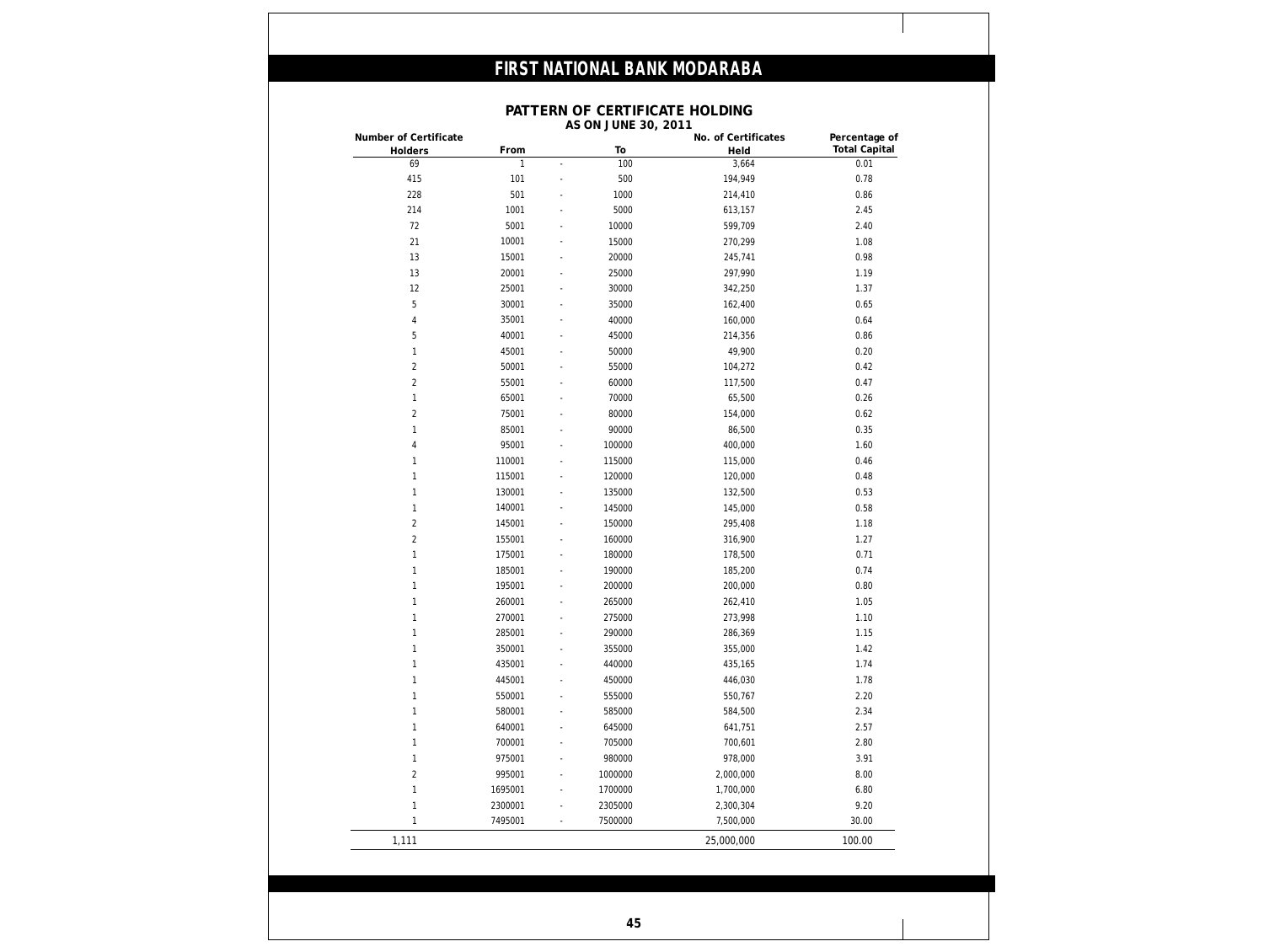### **PATTERN OF CERTIFICATE HOLDING**

| Number of Certificate<br>Holders | From         |                          | To      | No. of Certificates<br>Held | Percentage of<br><b>Total Capital</b> |
|----------------------------------|--------------|--------------------------|---------|-----------------------------|---------------------------------------|
| 69                               | $\mathbf{1}$ | $\blacksquare$           | 100     | 3,664                       | 0.01                                  |
| 415                              | 101          | ÷,                       | 500     | 194,949                     | 0.78                                  |
| 228                              | 501          |                          | 1000    | 214,410                     | 0.86                                  |
| 214                              | 1001         |                          | 5000    | 613,157                     | 2.45                                  |
| 72                               | 5001         |                          | 10000   | 599,709                     | 2.40                                  |
| 21                               | 10001        |                          | 15000   | 270,299                     | 1.08                                  |
| 13                               | 15001        | $\overline{\phantom{a}}$ | 20000   | 245,741                     | 0.98                                  |
| 13                               | 20001        | $\overline{\phantom{a}}$ | 25000   | 297,990                     | 1.19                                  |
| 12                               | 25001        | ä,                       | 30000   | 342,250                     | 1.37                                  |
| 5                                | 30001        |                          | 35000   | 162,400                     | 0.65                                  |
| 4                                | 35001        |                          | 40000   | 160,000                     | 0.64                                  |
| 5                                | 40001        | $\overline{\phantom{a}}$ | 45000   | 214,356                     | 0.86                                  |
| 1                                | 45001        |                          | 50000   | 49,900                      | 0.20                                  |
| $\overline{c}$                   | 50001        |                          | 55000   | 104,272                     | 0.42                                  |
| $\overline{2}$                   | 55001        | $\overline{\phantom{a}}$ | 60000   | 117,500                     | 0.47                                  |
| 1                                | 65001        | $\overline{\phantom{a}}$ | 70000   | 65,500                      | 0.26                                  |
| 2                                | 75001        | $\overline{\phantom{a}}$ | 80000   | 154,000                     | 0.62                                  |
| 1                                | 85001        |                          | 90000   | 86,500                      | 0.35                                  |
| 4                                | 95001        | $\overline{\phantom{a}}$ | 100000  | 400,000                     | 1.60                                  |
| 1                                | 110001       | $\overline{\phantom{a}}$ | 115000  | 115,000                     | 0.46                                  |
| 1                                | 115001       | $\overline{\phantom{a}}$ | 120000  | 120,000                     | 0.48                                  |
| 1                                | 130001       | $\overline{\phantom{a}}$ | 135000  | 132,500                     | 0.53                                  |
| 1                                | 140001       | ÷,                       | 145000  | 145,000                     | 0.58                                  |
| $\overline{c}$                   | 145001       | $\overline{\phantom{a}}$ | 150000  | 295,408                     | 1.18                                  |
| $\overline{c}$                   | 155001       | $\overline{\phantom{a}}$ | 160000  | 316,900                     | 1.27                                  |
| 1                                | 175001       | $\overline{\phantom{a}}$ | 180000  | 178,500                     | 0.71                                  |
| 1                                | 185001       | $\overline{\phantom{a}}$ | 190000  | 185,200                     | 0.74                                  |
| 1                                | 195001       | $\overline{\phantom{a}}$ | 200000  | 200,000                     | 0.80                                  |
| 1                                | 260001       | $\overline{\phantom{a}}$ | 265000  | 262,410                     | 1.05                                  |
| 1                                | 270001       | $\overline{\phantom{a}}$ | 275000  | 273,998                     | 1.10                                  |
| 1                                | 285001       |                          | 290000  | 286,369                     | 1.15                                  |
| 1                                | 350001       | $\overline{\phantom{a}}$ | 355000  | 355,000                     | 1.42                                  |
| 1                                | 435001       |                          | 440000  | 435,165                     | 1.74                                  |
| 1                                | 445001       |                          | 450000  | 446,030                     | 1.78                                  |
| 1                                | 550001       |                          | 555000  | 550,767                     | 2.20                                  |
| 1                                | 580001       |                          | 585000  | 584,500                     | 2.34                                  |
| 1                                | 640001       |                          | 645000  | 641,751                     | 2.57                                  |
| 1                                | 700001       |                          | 705000  | 700,601                     | 2.80                                  |
| 1                                | 975001       |                          | 980000  | 978,000                     | 3.91                                  |
| $\sqrt{2}$                       | 995001       |                          | 1000000 | 2,000,000                   | 8.00                                  |
| 1                                | 1695001      |                          | 1700000 | 1,700,000                   | 6.80                                  |
|                                  |              | ۰                        |         |                             |                                       |
| 1                                | 2300001      | $\overline{\phantom{a}}$ | 2305000 | 2,300,304                   | 9.20                                  |
| $\mathbf{1}$                     | 7495001      | $\overline{\phantom{a}}$ | 7500000 | 7,500,000                   | 30.00                                 |
| 1,111                            |              |                          |         | 25,000,000                  | 100.00                                |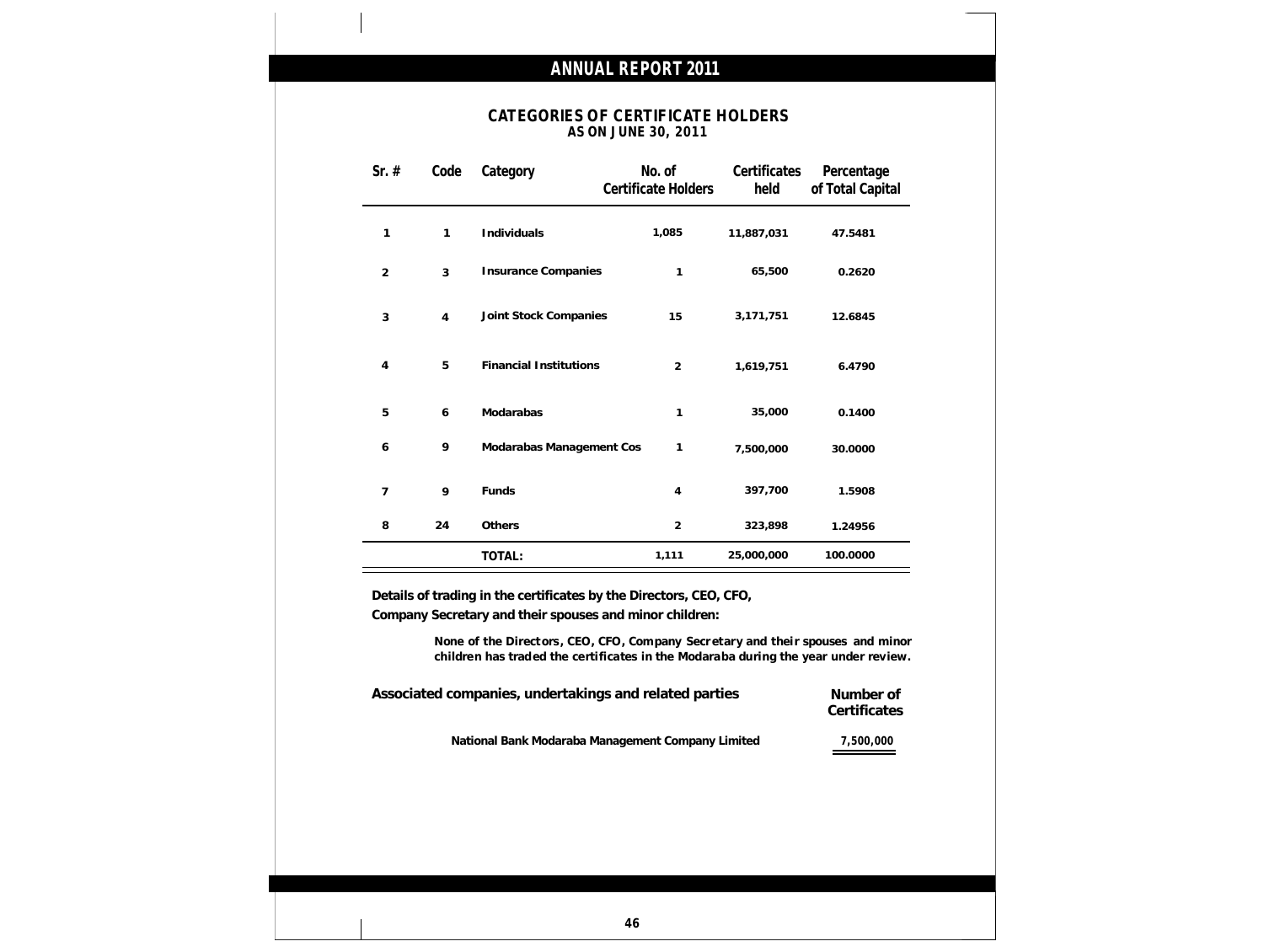### **CATEGORIES OF CERTIFICATE HOLDERS AS ON JUNE 30, 2011**

| Sr. $#$        | Code           | Category                      | No. of<br>Certificate Holders | Certificates<br>held | Percentage<br>of Total Capital |
|----------------|----------------|-------------------------------|-------------------------------|----------------------|--------------------------------|
| $\mathbf{1}$   | 1              | Individuals                   | 1,085                         | 11,887,031           | 47.5481                        |
| $\overline{2}$ | 3              | <b>Insurance Companies</b>    | $\mathbf{1}$                  | 65,500               | 0.2620                         |
| $\sqrt{3}$     | $\overline{4}$ | Joint Stock Companies         | 15                            | 3,171,751            | 12.6845                        |
| 4              | 5              | <b>Financial Institutions</b> | $\overline{2}$                | 1,619,751            | 6.4790                         |
| 5              | 6              | Modarabas                     | 1                             | 35,000               | 0.1400                         |
| 6              | 9              | Modarabas Management Cos      | 1                             | 7,500,000            | 30.0000                        |
| $\overline{7}$ | 9              | Funds                         | $\overline{4}$                | 397,700              | 1.5908                         |
| 8              | 24             | Others                        | $\overline{2}$                | 323,898              | 1.24956                        |
|                |                | TOTAL:                        | 1,111                         | 25,000,000           | 100.0000                       |

**Details of trading in the certificates by the Directors, CEO, CFO, Company Secretary and their spouses and minor children:**

> **None of the Directors, CEO, CFO, Company Secr etary and thei r spouses and minor children has traded the certificates in the Modaraba during the year under review.**

| Associated companies, undertakings and related parties | Number of<br>Certificates |
|--------------------------------------------------------|---------------------------|
| National Bank Modaraba Management Company Limited      | 7,500,000                 |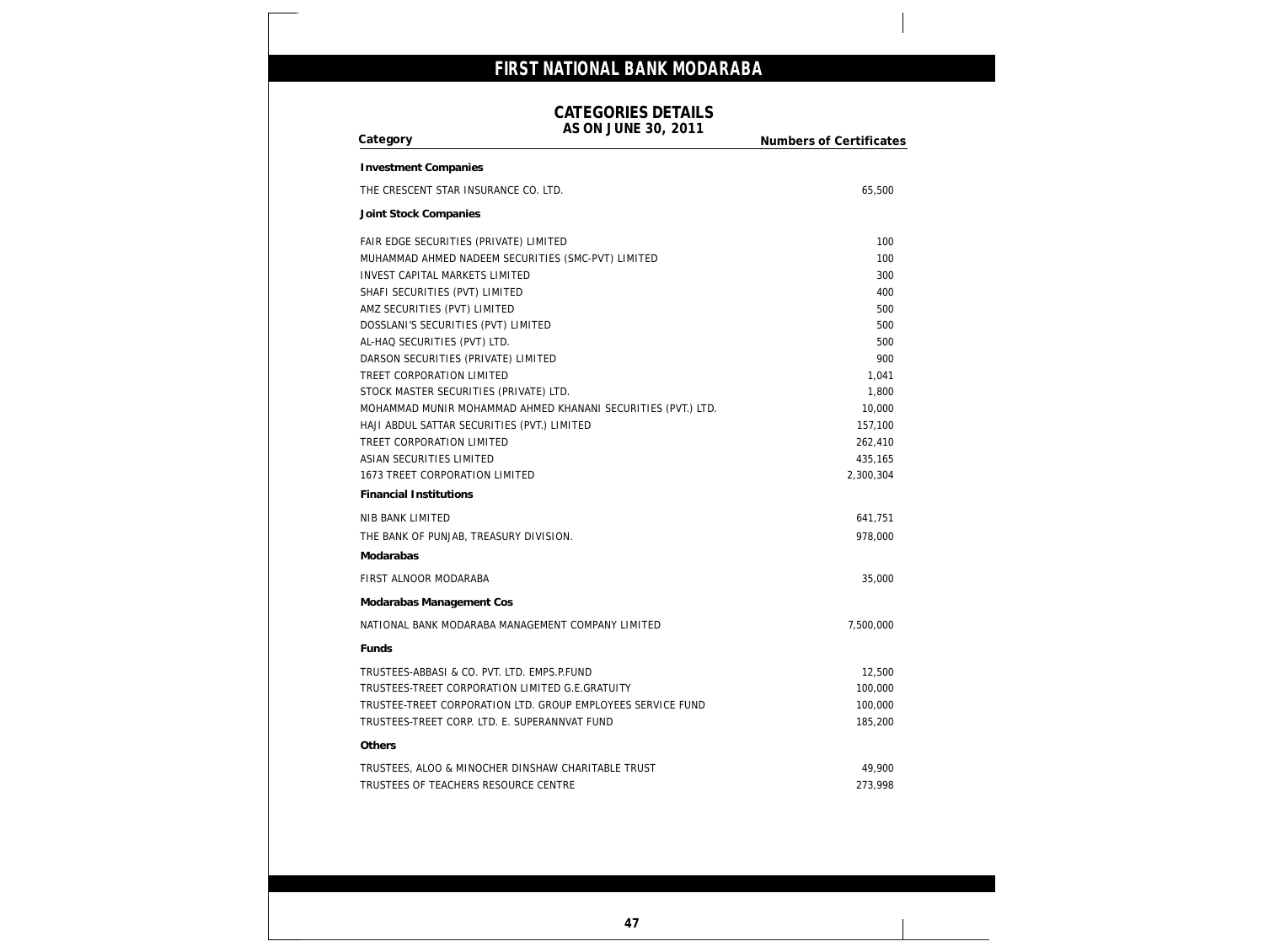### **CATEGORIES DETAILS**

**AS ON JUNE 30, 2011**

| THE CRESCENT STAR INSURANCE CO. LTD.                         | 65,500    |
|--------------------------------------------------------------|-----------|
| Joint Stock Companies                                        |           |
| FAIR EDGE SECURITIES (PRIVATE) LIMITED                       | 100       |
| MUHAMMAD AHMED NADEEM SECURITIES (SMC-PVT) LIMITED           | 100       |
| <b>INVEST CAPITAL MARKETS LIMITED</b>                        | 300       |
| SHAFI SECURITIES (PVT) LIMITED                               | 400       |
| AMZ SECURITIES (PVT) LIMITED                                 | 500       |
| DOSSLANI'S SECURITIES (PVT) LIMITED                          | 500       |
| AL-HAQ SECURITIES (PVT) LTD.                                 | 500       |
| DARSON SECURITIES (PRIVATE) LIMITED                          | 900       |
| TREET CORPORATION LIMITED                                    | 1,041     |
| STOCK MASTER SECURITIES (PRIVATE) LTD.                       | 1,800     |
| MOHAMMAD MUNIR MOHAMMAD AHMED KHANANI SECURITIES (PVT.) LTD. | 10,000    |
| HAJI ABDUL SATTAR SECURITIES (PVT.) LIMITED                  | 157,100   |
| TREET CORPORATION LIMITED                                    | 262,410   |
| ASIAN SECURITIES LIMITED                                     | 435,165   |
| 1673 TREET CORPORATION LIMITED                               | 2,300,304 |
| <b>Financial Institutions</b>                                |           |
| NIB BANK LIMITED                                             | 641,751   |
| THE BANK OF PUNJAB, TREASURY DIVISION.                       | 978,000   |
| Modarabas                                                    |           |
| FIRST ALNOOR MODARABA                                        | 35,000    |
| Modarabas Management Cos                                     |           |
| NATIONAL BANK MODARABA MANAGEMENT COMPANY LIMITED            | 7,500,000 |
| Funds                                                        |           |
| TRUSTEES-ABBASI & CO. PVT. LTD. EMPS.P.FUND                  | 12,500    |
| TRUSTEES-TREET CORPORATION LIMITED G.E.GRATUITY              | 100,000   |
| TRUSTEE-TREET CORPORATION LTD. GROUP EMPLOYEES SERVICE FUND  | 100,000   |
| TRUSTEES-TREET CORP. LTD. E. SUPERANNVAT FUND                | 185,200   |
| Others                                                       |           |
| TRUSTEES, ALOO & MINOCHER DINSHAW CHARITABLE TRUST           | 49,900    |
| TRUSTEES OF TEACHERS RESOURCE CENTRE                         | 273,998   |
|                                                              |           |
|                                                              |           |